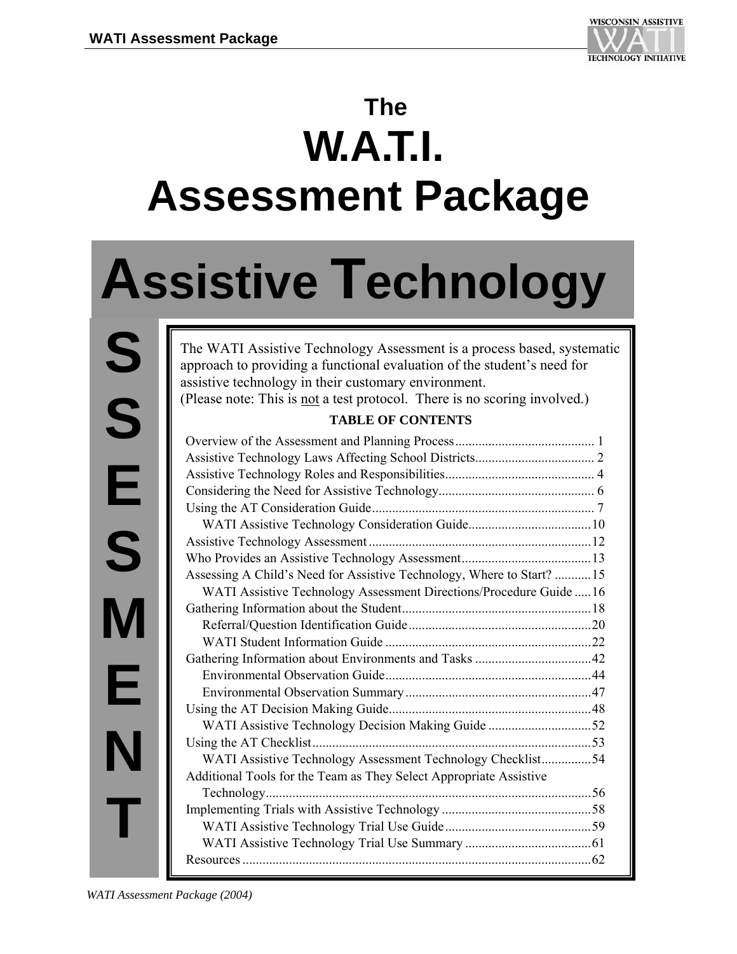

## **The W.A.T.I. Assessment Package**

# **Assistive Technology**

**S S E S M E N T** 

The WATI Assistive Technology Assessment is a process based, systematic approach to providing a functional evaluation of the student's need for assistive technology in their customary environment.

(Please note: This is not a test protocol. There is no scoring involved.)

#### **TABLE OF CONTENTS**

| Assessing A Child's Need for Assistive Technology, Where to Start? 15 |  |
|-----------------------------------------------------------------------|--|
| WATI Assistive Technology Assessment Directions/Procedure Guide 16    |  |
|                                                                       |  |
|                                                                       |  |
|                                                                       |  |
|                                                                       |  |
|                                                                       |  |
|                                                                       |  |
|                                                                       |  |
| WATI Assistive Technology Decision Making Guide 52                    |  |
|                                                                       |  |
| WATI Assistive Technology Assessment Technology Checklist54           |  |
| Additional Tools for the Team as They Select Appropriate Assistive    |  |
|                                                                       |  |
|                                                                       |  |
|                                                                       |  |
|                                                                       |  |
|                                                                       |  |

*WATI Assessment Package (2004)*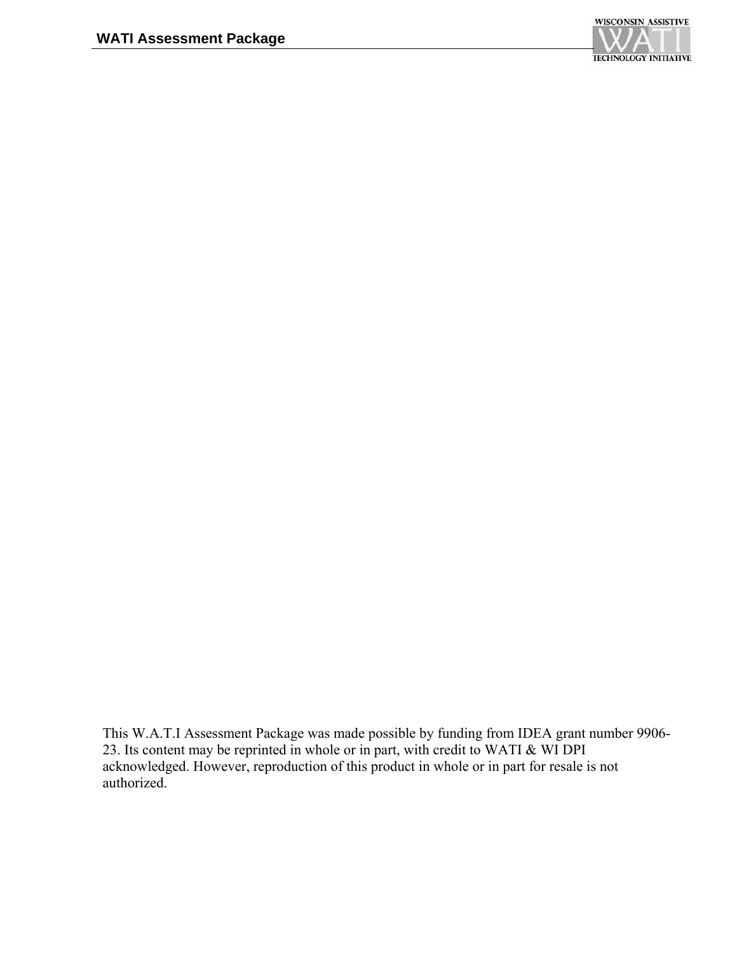

This W.A.T.I Assessment Package was made possible by funding from IDEA grant number 9906- 23. Its content may be reprinted in whole or in part, with credit to WATI & WI DPI acknowledged. However, reproduction of this product in whole or in part for resale is not authorized.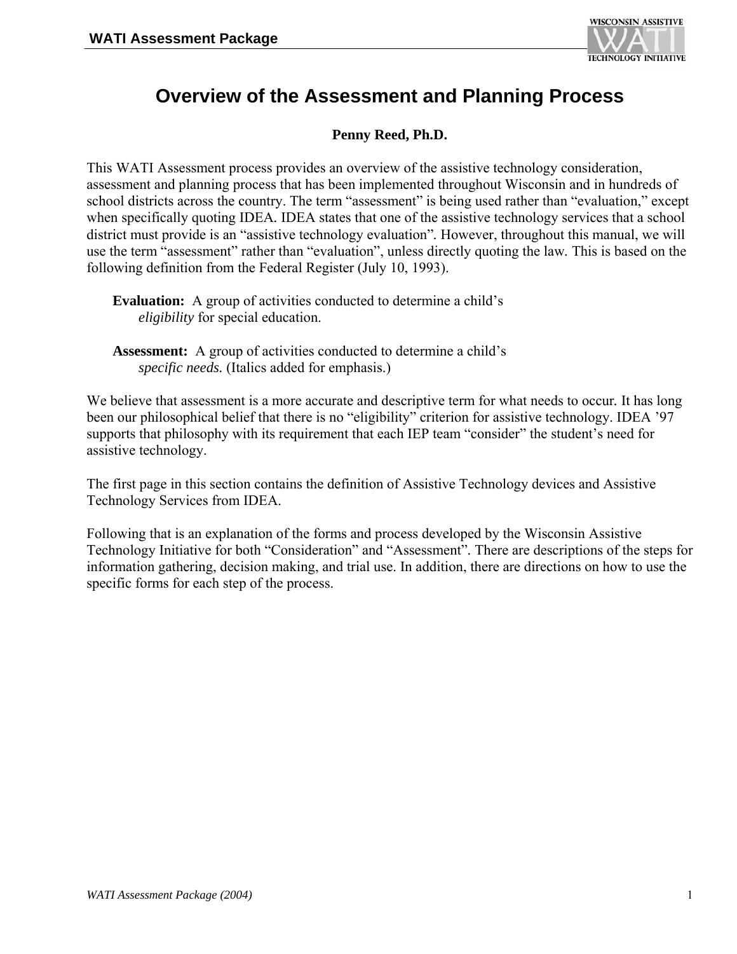

## **Overview of the Assessment and Planning Process**

#### **Penny Reed, Ph.D.**

This WATI Assessment process provides an overview of the assistive technology consideration, assessment and planning process that has been implemented throughout Wisconsin and in hundreds of school districts across the country. The term "assessment" is being used rather than "evaluation," except when specifically quoting IDEA*.* IDEA states that one of the assistive technology services that a school district must provide is an "assistive technology evaluation"*.* However, throughout this manual, we will use the term "assessment" rather than "evaluation", unless directly quoting the law*.* This is based on the following definition from the Federal Register (July 10, 1993).

We believe that assessment is a more accurate and descriptive term for what needs to occur*.* It has long been our philosophical belief that there is no "eligibility" criterion for assistive technology. IDEA '97 supports that philosophy with its requirement that each IEP team "consider" the student's need for assistive technology.

The first page in this section contains the definition of Assistive Technology devices and Assistive Technology Services from IDEA.

Following that is an explanation of the forms and process developed by the Wisconsin Assistive Technology Initiative for both "Consideration" and "Assessment"*.* There are descriptions of the steps for information gathering, decision making, and trial use. In addition, there are directions on how to use the specific forms for each step of the process.

**Evaluation:** A group of activities conducted to determine a child's *eligibility* for special education.

**Assessment:** A group of activities conducted to determine a child's *specific needs.* (Italics added for emphasis.)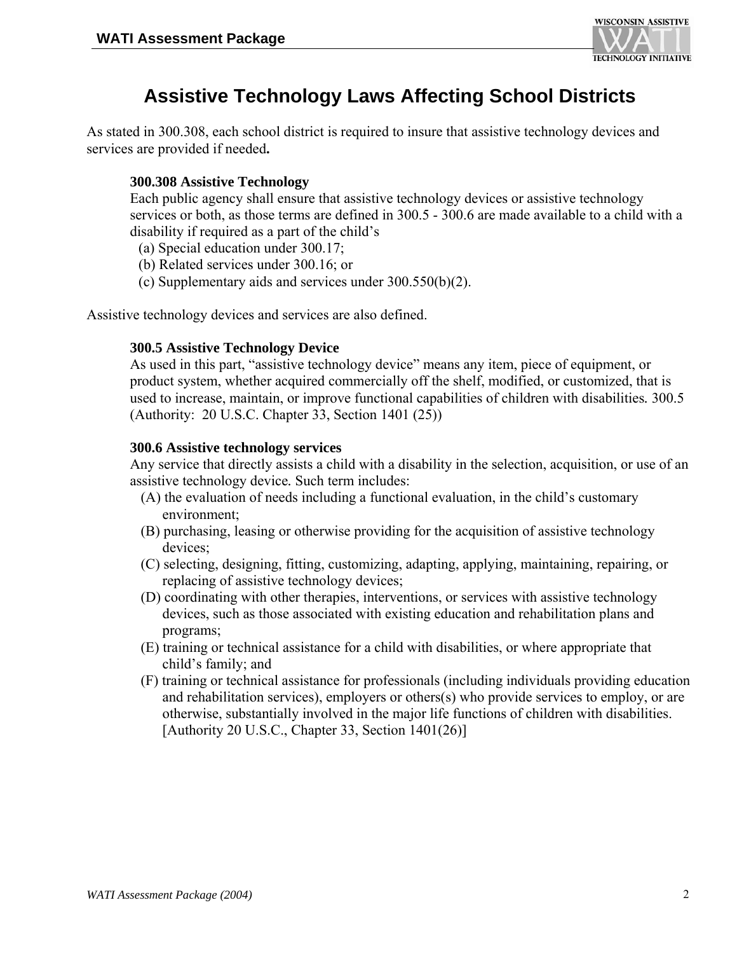

## **Assistive Technology Laws Affecting School Districts**

As stated in 300.308, each school district is required to insure that assistive technology devices and services are provided if needed**.** 

#### **300.308 Assistive Technology**

Each public agency shall ensure that assistive technology devices or assistive technology services or both, as those terms are defined in 300.5 - 300.6 are made available to a child with a disability if required as a part of the child's

- (a) Special education under 300.17;
- (b) Related services under 300.16; or
- (c) Supplementary aids and services under 300.550(b)(2).

Assistive technology devices and services are also defined.

#### **300.5 Assistive Technology Device**

As used in this part, "assistive technology device" means any item, piece of equipment, or product system, whether acquired commercially off the shelf, modified, or customized, that is used to increase, maintain, or improve functional capabilities of children with disabilities*.* 300.5 (Authority: 20 U.S.C. Chapter 33, Section 1401 (25))

#### **300.6 Assistive technology services**

Any service that directly assists a child with a disability in the selection, acquisition, or use of an assistive technology device*.* Such term includes:

- (A) the evaluation of needs including a functional evaluation, in the child's customary environment;
- (B) purchasing, leasing or otherwise providing for the acquisition of assistive technology devices;
- (C) selecting, designing, fitting, customizing, adapting, applying, maintaining, repairing, or replacing of assistive technology devices;
- (D) coordinating with other therapies, interventions, or services with assistive technology devices, such as those associated with existing education and rehabilitation plans and programs;
- (E) training or technical assistance for a child with disabilities, or where appropriate that child's family; and
- (F) training or technical assistance for professionals (including individuals providing education and rehabilitation services), employers or others(s) who provide services to employ, or are otherwise, substantially involved in the major life functions of children with disabilities. [Authority 20 U.S.C., Chapter 33, Section 1401(26)]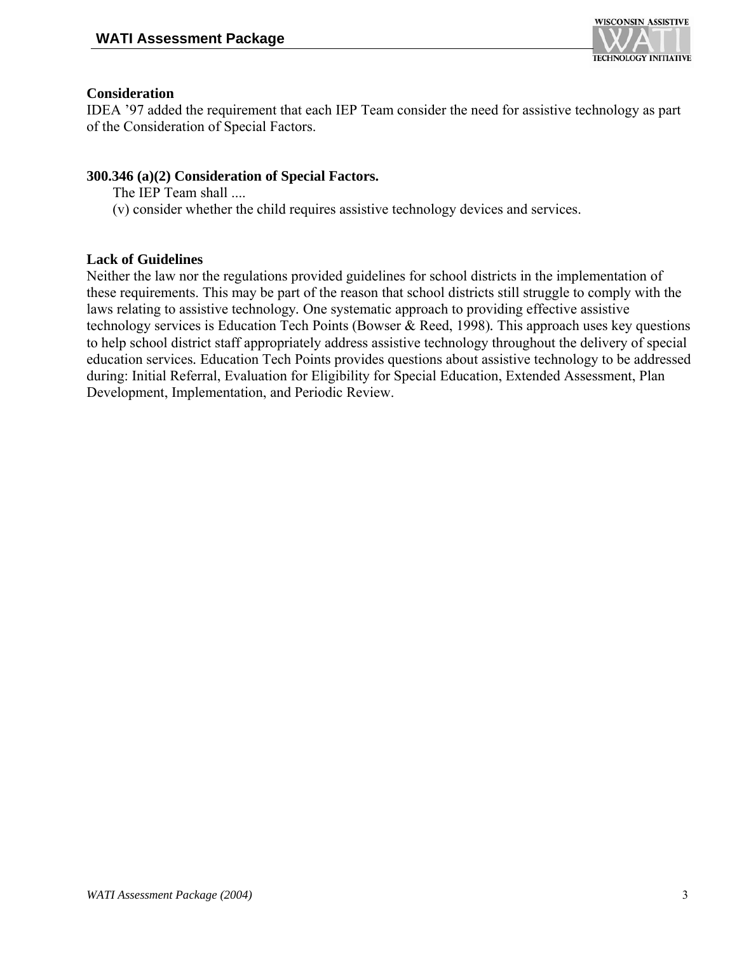

#### **Consideration**

IDEA '97 added the requirement that each IEP Team consider the need for assistive technology as part of the Consideration of Special Factors.

#### **300.346 (a)(2) Consideration of Special Factors.**

- The IEP Team shall ....
- (v) consider whether the child requires assistive technology devices and services.

#### **Lack of Guidelines**

Neither the law nor the regulations provided guidelines for school districts in the implementation of these requirements. This may be part of the reason that school districts still struggle to comply with the laws relating to assistive technology*.* One systematic approach to providing effective assistive technology services is Education Tech Points (Bowser & Reed, 1998)*.* This approach uses key questions to help school district staff appropriately address assistive technology throughout the delivery of special education services*.* Education Tech Points provides questions about assistive technology to be addressed during: Initial Referral, Evaluation for Eligibility for Special Education, Extended Assessment, Plan Development, Implementation, and Periodic Review.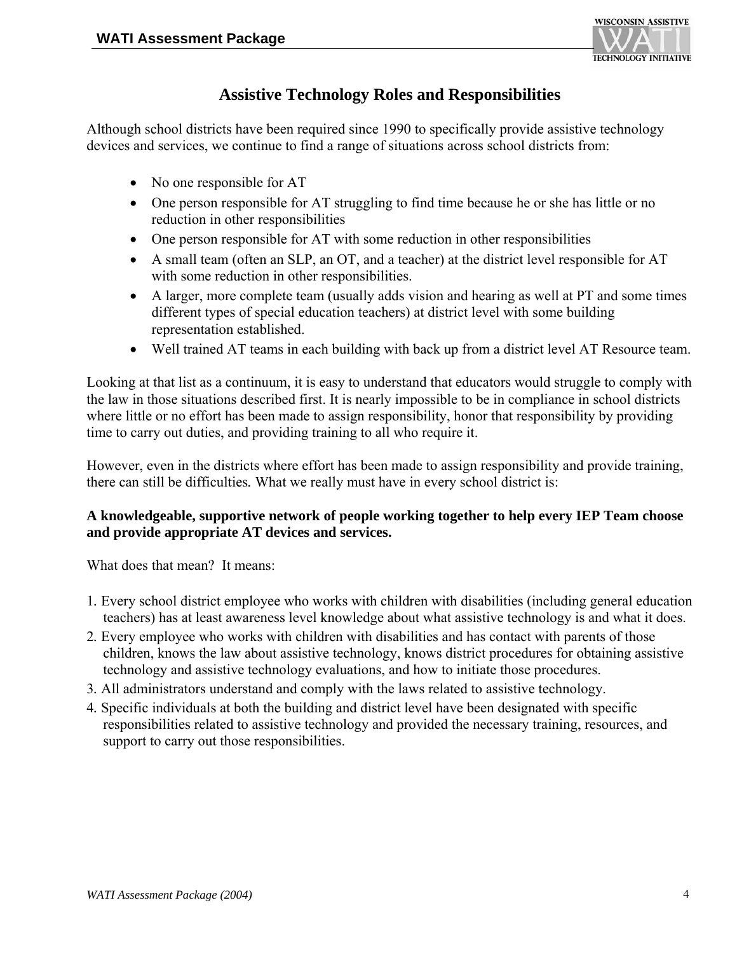

#### **Assistive Technology Roles and Responsibilities**

Although school districts have been required since 1990 to specifically provide assistive technology devices and services, we continue to find a range of situations across school districts from:

- No one responsible for AT
- One person responsible for AT struggling to find time because he or she has little or no reduction in other responsibilities
- One person responsible for AT with some reduction in other responsibilities
- A small team (often an SLP, an OT, and a teacher) at the district level responsible for AT with some reduction in other responsibilities.
- A larger, more complete team (usually adds vision and hearing as well at PT and some times different types of special education teachers) at district level with some building representation established.
- Well trained AT teams in each building with back up from a district level AT Resource team.

Looking at that list as a continuum, it is easy to understand that educators would struggle to comply with the law in those situations described first. It is nearly impossible to be in compliance in school districts where little or no effort has been made to assign responsibility, honor that responsibility by providing time to carry out duties, and providing training to all who require it.

However, even in the districts where effort has been made to assign responsibility and provide training, there can still be difficulties*.* What we really must have in every school district is:

#### **A knowledgeable, supportive network of people working together to help every IEP Team choose and provide appropriate AT devices and services.**

What does that mean? It means:

- 1*.* Every school district employee who works with children with disabilities (including general education teachers) has at least awareness level knowledge about what assistive technology is and what it does.
- 2*.* Every employee who works with children with disabilities and has contact with parents of those children, knows the law about assistive technology, knows district procedures for obtaining assistive technology and assistive technology evaluations, and how to initiate those procedures.
- 3*.* All administrators understand and comply with the laws related to assistive technology.
- 4*.* Specific individuals at both the building and district level have been designated with specific responsibilities related to assistive technology and provided the necessary training, resources, and support to carry out those responsibilities.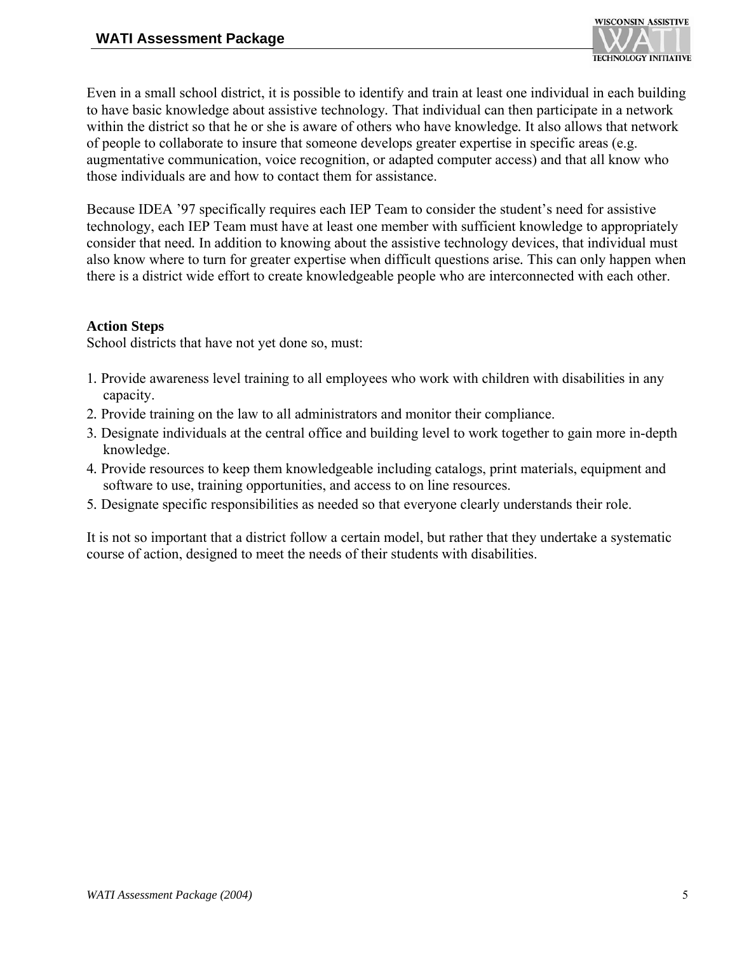

Even in a small school district, it is possible to identify and train at least one individual in each building to have basic knowledge about assistive technology*.* That individual can then participate in a network within the district so that he or she is aware of others who have knowledge*.* It also allows that network of people to collaborate to insure that someone develops greater expertise in specific areas (e.g. augmentative communication, voice recognition, or adapted computer access) and that all know who those individuals are and how to contact them for assistance.

Because IDEA '97 specifically requires each IEP Team to consider the student's need for assistive technology, each IEP Team must have at least one member with sufficient knowledge to appropriately consider that need*.* In addition to knowing about the assistive technology devices, that individual must also know where to turn for greater expertise when difficult questions arise*.* This can only happen when there is a district wide effort to create knowledgeable people who are interconnected with each other.

#### **Action Steps**

School districts that have not yet done so, must:

- 1*.* Provide awareness level training to all employees who work with children with disabilities in any capacity.
- 2*.* Provide training on the law to all administrators and monitor their compliance.
- 3*.* Designate individuals at the central office and building level to work together to gain more in-depth knowledge.
- 4*.* Provide resources to keep them knowledgeable including catalogs, print materials, equipment and software to use, training opportunities, and access to on line resources.
- 5*.* Designate specific responsibilities as needed so that everyone clearly understands their role.

It is not so important that a district follow a certain model, but rather that they undertake a systematic course of action, designed to meet the needs of their students with disabilities.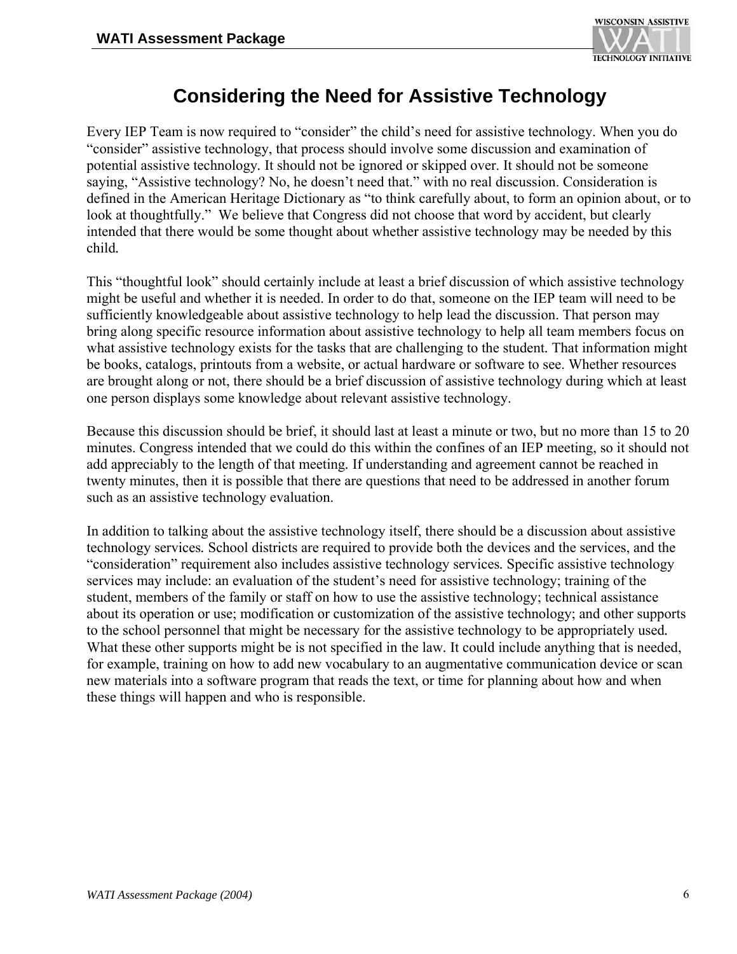

## **Considering the Need for Assistive Technology**

Every IEP Team is now required to "consider" the child's need for assistive technology. When you do "consider" assistive technology, that process should involve some discussion and examination of potential assistive technology*.* It should not be ignored or skipped over. It should not be someone saying, "Assistive technology? No, he doesn't need that." with no real discussion. Consideration is defined in the American Heritage Dictionary as "to think carefully about, to form an opinion about, or to look at thoughtfully." We believe that Congress did not choose that word by accident, but clearly intended that there would be some thought about whether assistive technology may be needed by this child*.* 

This "thoughtful look" should certainly include at least a brief discussion of which assistive technology might be useful and whether it is needed. In order to do that, someone on the IEP team will need to be sufficiently knowledgeable about assistive technology to help lead the discussion. That person may bring along specific resource information about assistive technology to help all team members focus on what assistive technology exists for the tasks that are challenging to the student*.* That information might be books, catalogs, printouts from a website, or actual hardware or software to see. Whether resources are brought along or not, there should be a brief discussion of assistive technology during which at least one person displays some knowledge about relevant assistive technology.

Because this discussion should be brief, it should last at least a minute or two, but no more than 15 to 20 minutes. Congress intended that we could do this within the confines of an IEP meeting, so it should not add appreciably to the length of that meeting*.* If understanding and agreement cannot be reached in twenty minutes, then it is possible that there are questions that need to be addressed in another forum such as an assistive technology evaluation.

In addition to talking about the assistive technology itself, there should be a discussion about assistive technology services*.* School districts are required to provide both the devices and the services, and the "consideration" requirement also includes assistive technology services*.* Specific assistive technology services may include: an evaluation of the student's need for assistive technology; training of the student, members of the family or staff on how to use the assistive technology; technical assistance about its operation or use; modification or customization of the assistive technology; and other supports to the school personnel that might be necessary for the assistive technology to be appropriately used*.*  What these other supports might be is not specified in the law. It could include anything that is needed, for example, training on how to add new vocabulary to an augmentative communication device or scan new materials into a software program that reads the text, or time for planning about how and when these things will happen and who is responsible.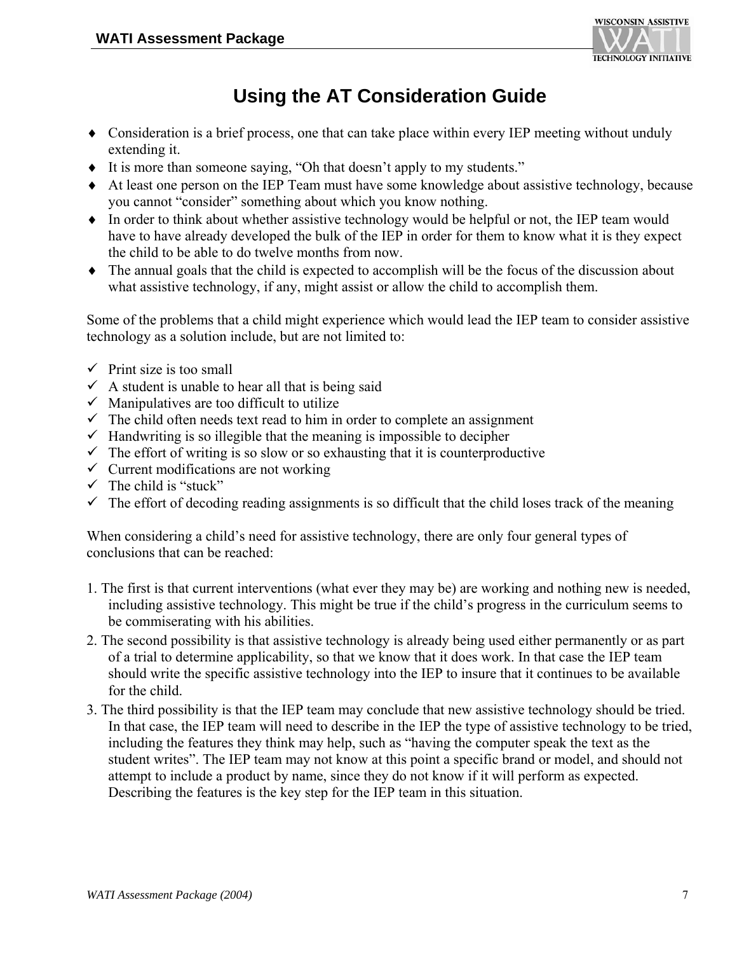

## **Using the AT Consideration Guide**

- ♦ Consideration is a brief process, one that can take place within every IEP meeting without unduly extending it.
- ♦ It is more than someone saying, "Oh that doesn't apply to my students."
- ♦ At least one person on the IEP Team must have some knowledge about assistive technology, because you cannot "consider" something about which you know nothing.
- ♦ In order to think about whether assistive technology would be helpful or not, the IEP team would have to have already developed the bulk of the IEP in order for them to know what it is they expect the child to be able to do twelve months from now.
- ♦ The annual goals that the child is expected to accomplish will be the focus of the discussion about what assistive technology, if any, might assist or allow the child to accomplish them.

Some of the problems that a child might experience which would lead the IEP team to consider assistive technology as a solution include, but are not limited to:

- $\checkmark$  Print size is too small
- $\checkmark$  A student is unable to hear all that is being said
- $\checkmark$  Manipulatives are too difficult to utilize
- $\checkmark$  The child often needs text read to him in order to complete an assignment
- $\checkmark$  Handwriting is so illegible that the meaning is impossible to decipher
- $\checkmark$  The effort of writing is so slow or so exhausting that it is counterproductive
- $\checkmark$  Current modifications are not working
- $\checkmark$  The child is "stuck"
- $\checkmark$  The effort of decoding reading assignments is so difficult that the child loses track of the meaning

When considering a child's need for assistive technology, there are only four general types of conclusions that can be reached:

- 1. The first is that current interventions (what ever they may be) are working and nothing new is needed, including assistive technology. This might be true if the child's progress in the curriculum seems to be commiserating with his abilities.
- 2. The second possibility is that assistive technology is already being used either permanently or as part of a trial to determine applicability, so that we know that it does work. In that case the IEP team should write the specific assistive technology into the IEP to insure that it continues to be available for the child.
- 3. The third possibility is that the IEP team may conclude that new assistive technology should be tried. In that case, the IEP team will need to describe in the IEP the type of assistive technology to be tried, including the features they think may help, such as "having the computer speak the text as the student writes". The IEP team may not know at this point a specific brand or model, and should not attempt to include a product by name, since they do not know if it will perform as expected. Describing the features is the key step for the IEP team in this situation.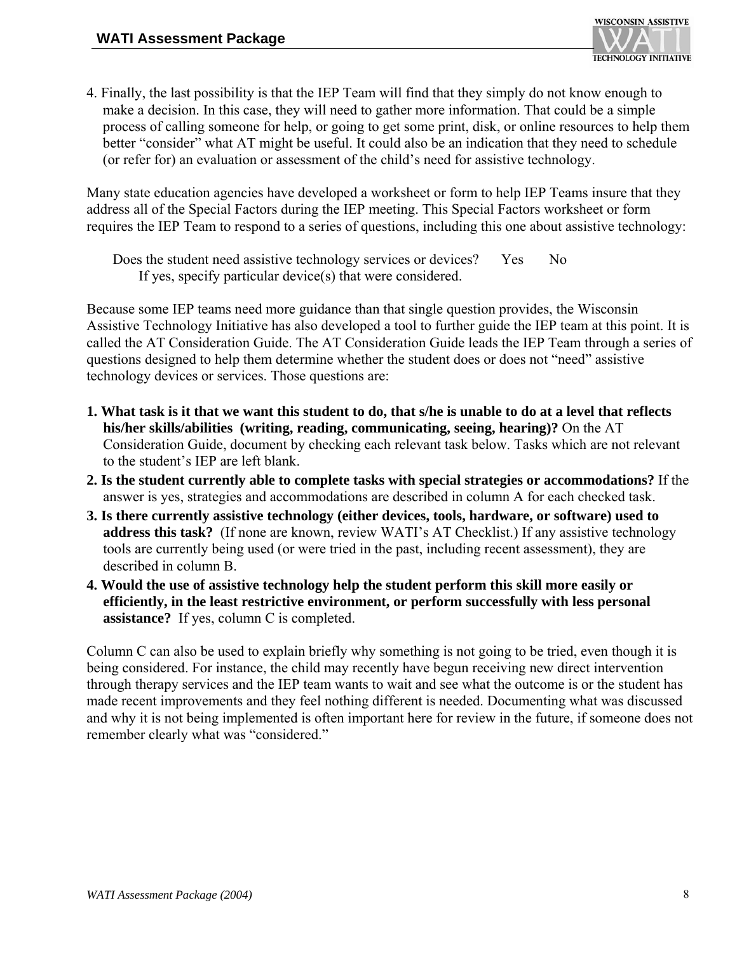4. Finally, the last possibility is that the IEP Team will find that they simply do not know enough to make a decision. In this case, they will need to gather more information. That could be a simple process of calling someone for help, or going to get some print, disk, or online resources to help them better "consider" what AT might be useful. It could also be an indication that they need to schedule (or refer for) an evaluation or assessment of the child's need for assistive technology.

Many state education agencies have developed a worksheet or form to help IEP Teams insure that they address all of the Special Factors during the IEP meeting. This Special Factors worksheet or form requires the IEP Team to respond to a series of questions, including this one about assistive technology:

 Does the student need assistive technology services or devices? Yes No If yes, specify particular device(s) that were considered.

Because some IEP teams need more guidance than that single question provides, the Wisconsin Assistive Technology Initiative has also developed a tool to further guide the IEP team at this point. It is called the AT Consideration Guide. The AT Consideration Guide leads the IEP Team through a series of questions designed to help them determine whether the student does or does not "need" assistive technology devices or services. Those questions are:

- **1. What task is it that we want this student to do, that s/he is unable to do at a level that reflects his/her skills/abilities (writing, reading, communicating, seeing, hearing)?** On the AT Consideration Guide, document by checking each relevant task below. Tasks which are not relevant to the student's IEP are left blank.
- **2. Is the student currently able to complete tasks with special strategies or accommodations?** If the answer is yes, strategies and accommodations are described in column A for each checked task.
- **3. Is there currently assistive technology (either devices, tools, hardware, or software) used to address this task?** (If none are known, review WATI's AT Checklist.) If any assistive technology tools are currently being used (or were tried in the past, including recent assessment), they are described in column B.
- **4. Would the use of assistive technology help the student perform this skill more easily or efficiently, in the least restrictive environment, or perform successfully with less personal assistance?** If yes, column C is completed.

Column C can also be used to explain briefly why something is not going to be tried, even though it is being considered. For instance, the child may recently have begun receiving new direct intervention through therapy services and the IEP team wants to wait and see what the outcome is or the student has made recent improvements and they feel nothing different is needed. Documenting what was discussed and why it is not being implemented is often important here for review in the future, if someone does not remember clearly what was "considered."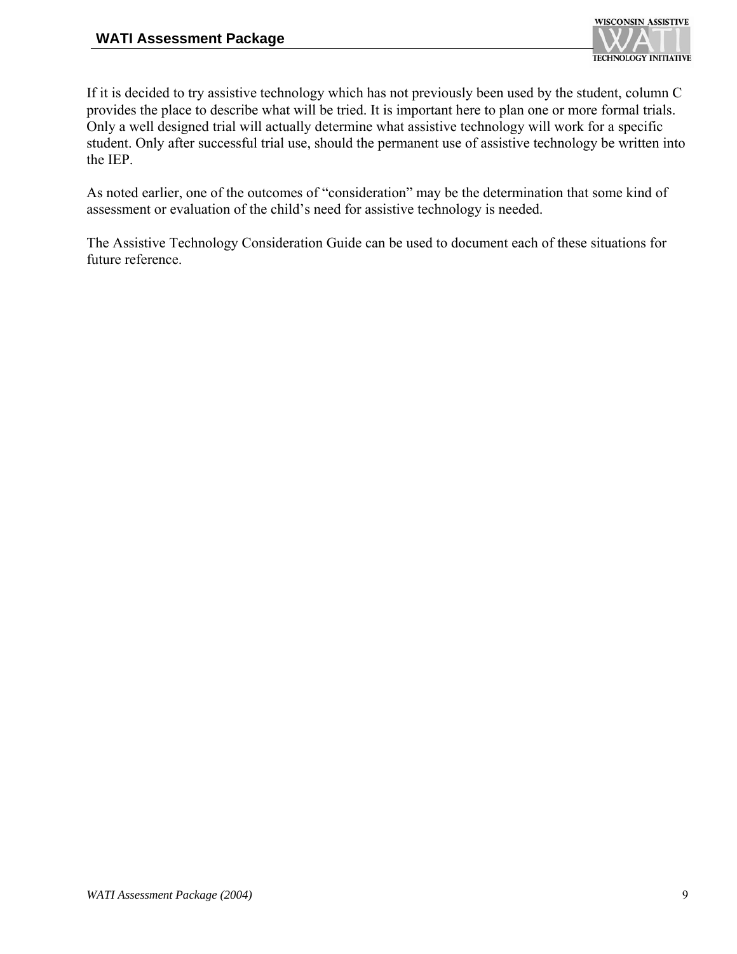

If it is decided to try assistive technology which has not previously been used by the student, column C provides the place to describe what will be tried. It is important here to plan one or more formal trials. Only a well designed trial will actually determine what assistive technology will work for a specific student. Only after successful trial use, should the permanent use of assistive technology be written into the IEP.

As noted earlier, one of the outcomes of "consideration" may be the determination that some kind of assessment or evaluation of the child's need for assistive technology is needed.

The Assistive Technology Consideration Guide can be used to document each of these situations for future reference.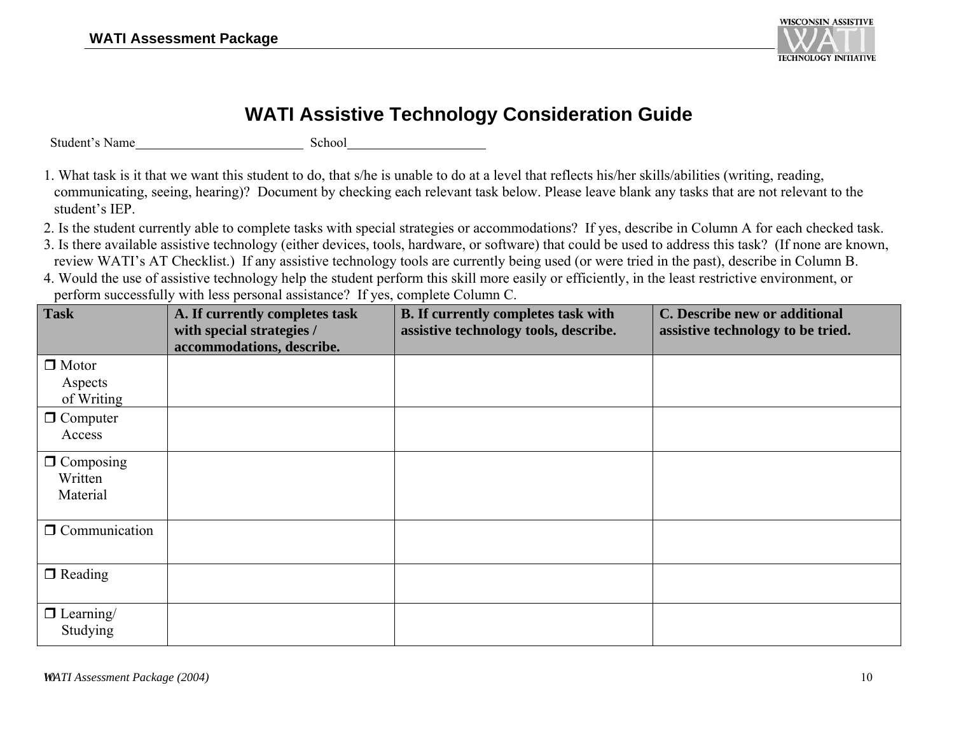

## **WATI Assistive Technology Consideration Guide**

Student's Name

School

- 1. What task is it that we want this student to do, that s/he is unable to do at a level that reflects his/her skills/abilities (writing, reading, communicating, seeing, hearing)? Document by checking each relevant task below. Please leave blank any tasks that are not relevant to the student's IEP.
- 2. Is the student currently able to complete tasks with special strategies or accommodations? If yes, describe in Column A for each checked task.
- 3. Is there available assistive technology (either devices, tools, hardware, or software) that could be used to address this task? (If none are known, review WATI's AT Checklist.) If any assistive technology tools are currently being used (or were tried in the past), describe in Column B.
- 4. Would the use of assistive technology help the student perform this skill more easily or efficiently, in the least restrictive environment, or perform successfully with less personal assistance? If yes, complete Column C.

| <b>Task</b>          | A. If currently completes task<br>with special strategies / | <b>B.</b> If currently completes task with<br>assistive technology tools, describe. | C. Describe new or additional<br>assistive technology to be tried. |
|----------------------|-------------------------------------------------------------|-------------------------------------------------------------------------------------|--------------------------------------------------------------------|
|                      | accommodations, describe.                                   |                                                                                     |                                                                    |
| $\Box$ Motor         |                                                             |                                                                                     |                                                                    |
| Aspects              |                                                             |                                                                                     |                                                                    |
| of Writing           |                                                             |                                                                                     |                                                                    |
| $\Box$ Computer      |                                                             |                                                                                     |                                                                    |
| Access               |                                                             |                                                                                     |                                                                    |
| $\Box$ Composing     |                                                             |                                                                                     |                                                                    |
| Written              |                                                             |                                                                                     |                                                                    |
| Material             |                                                             |                                                                                     |                                                                    |
|                      |                                                             |                                                                                     |                                                                    |
| $\Box$ Communication |                                                             |                                                                                     |                                                                    |
|                      |                                                             |                                                                                     |                                                                    |
| $\Box$ Reading       |                                                             |                                                                                     |                                                                    |
|                      |                                                             |                                                                                     |                                                                    |
| $\Box$ Learning/     |                                                             |                                                                                     |                                                                    |
| Studying             |                                                             |                                                                                     |                                                                    |
|                      |                                                             |                                                                                     |                                                                    |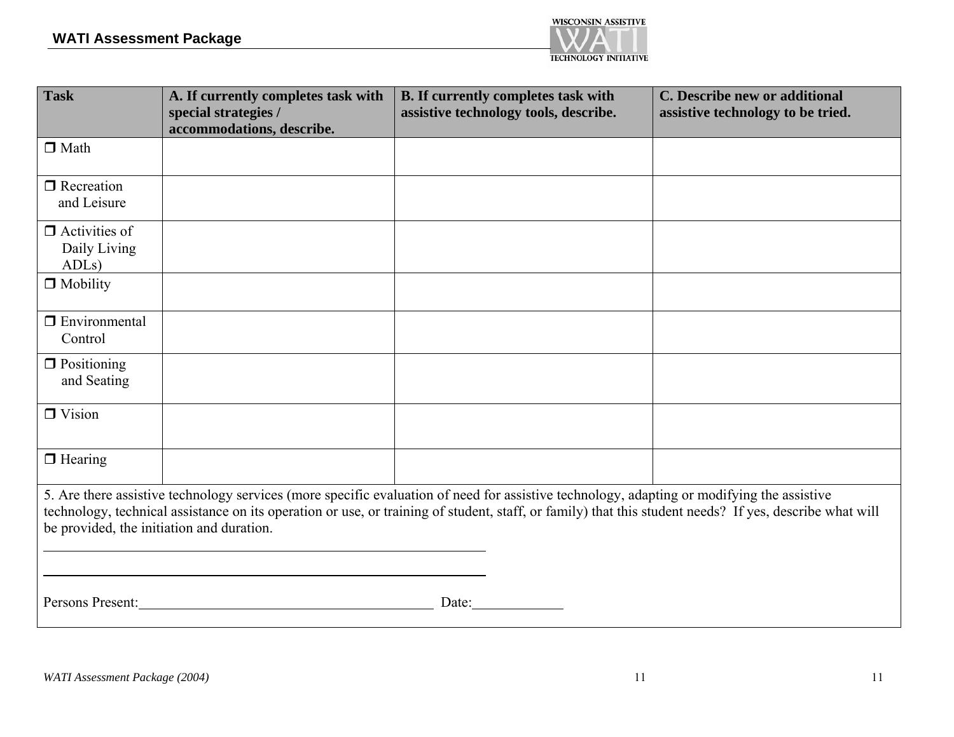

| <b>Task</b>                                   | A. If currently completes task with<br>special strategies /<br>accommodations, describe. | <b>B.</b> If currently completes task with<br>assistive technology tools, describe.                                                                                                                                                                                                                   | C. Describe new or additional<br>assistive technology to be tried. |
|-----------------------------------------------|------------------------------------------------------------------------------------------|-------------------------------------------------------------------------------------------------------------------------------------------------------------------------------------------------------------------------------------------------------------------------------------------------------|--------------------------------------------------------------------|
| $\Box$ Math                                   |                                                                                          |                                                                                                                                                                                                                                                                                                       |                                                                    |
| $\Box$ Recreation<br>and Leisure              |                                                                                          |                                                                                                                                                                                                                                                                                                       |                                                                    |
| $\Box$ Activities of<br>Daily Living<br>ADLs) |                                                                                          |                                                                                                                                                                                                                                                                                                       |                                                                    |
| $\Box$ Mobility                               |                                                                                          |                                                                                                                                                                                                                                                                                                       |                                                                    |
| $\Box$ Environmental<br>Control               |                                                                                          |                                                                                                                                                                                                                                                                                                       |                                                                    |
| $\Box$ Positioning<br>and Seating             |                                                                                          |                                                                                                                                                                                                                                                                                                       |                                                                    |
| $\Box$ Vision                                 |                                                                                          |                                                                                                                                                                                                                                                                                                       |                                                                    |
| $\Box$ Hearing                                |                                                                                          |                                                                                                                                                                                                                                                                                                       |                                                                    |
| be provided, the initiation and duration.     |                                                                                          | 5. Are there assistive technology services (more specific evaluation of need for assistive technology, adapting or modifying the assistive<br>technology, technical assistance on its operation or use, or training of student, staff, or family) that this student needs? If yes, describe what will |                                                                    |
| Persons Present:                              |                                                                                          | Date:                                                                                                                                                                                                                                                                                                 |                                                                    |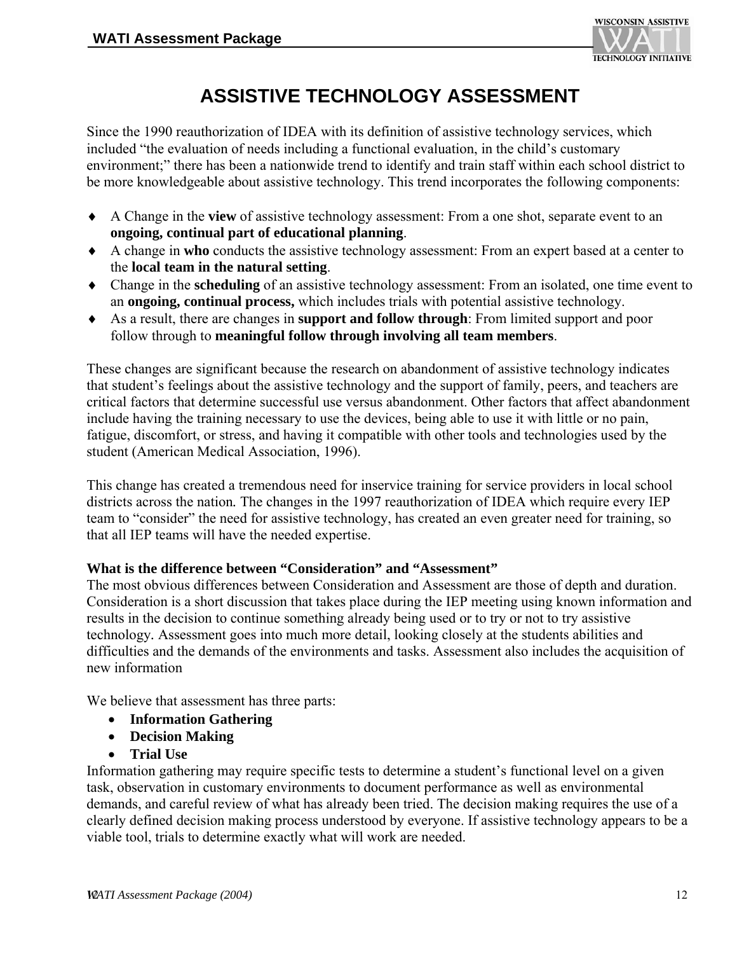

## **ASSISTIVE TECHNOLOGY ASSESSMENT**

Since the 1990 reauthorization of IDEA with its definition of assistive technology services, which included "the evaluation of needs including a functional evaluation, in the child's customary environment;" there has been a nationwide trend to identify and train staff within each school district to be more knowledgeable about assistive technology. This trend incorporates the following components:

- ♦ A Change in the **view** of assistive technology assessment: From a one shot, separate event to an **ongoing, continual part of educational planning**.
- ♦ A change in **who** conducts the assistive technology assessment: From an expert based at a center to the **local team in the natural setting**.
- ♦ Change in the **scheduling** of an assistive technology assessment: From an isolated, one time event to an **ongoing, continual process,** which includes trials with potential assistive technology.
- ♦ As a result, there are changes in **support and follow through**: From limited support and poor follow through to **meaningful follow through involving all team members**.

These changes are significant because the research on abandonment of assistive technology indicates that student's feelings about the assistive technology and the support of family, peers, and teachers are critical factors that determine successful use versus abandonment. Other factors that affect abandonment include having the training necessary to use the devices, being able to use it with little or no pain, fatigue, discomfort, or stress, and having it compatible with other tools and technologies used by the student (American Medical Association, 1996).

This change has created a tremendous need for inservice training for service providers in local school districts across the nation*.* The changes in the 1997 reauthorization of IDEA which require every IEP team to "consider" the need for assistive technology, has created an even greater need for training, so that all IEP teams will have the needed expertise.

#### **What is the difference between "Consideration" and "Assessment"**

The most obvious differences between Consideration and Assessment are those of depth and duration. Consideration is a short discussion that takes place during the IEP meeting using known information and results in the decision to continue something already being used or to try or not to try assistive technology*.* Assessment goes into much more detail, looking closely at the students abilities and difficulties and the demands of the environments and tasks. Assessment also includes the acquisition of new information

We believe that assessment has three parts:

- **Information Gathering**
- **Decision Making**
- **Trial Use**

Information gathering may require specific tests to determine a student's functional level on a given task, observation in customary environments to document performance as well as environmental demands, and careful review of what has already been tried. The decision making requires the use of a clearly defined decision making process understood by everyone. If assistive technology appears to be a viable tool, trials to determine exactly what will work are needed.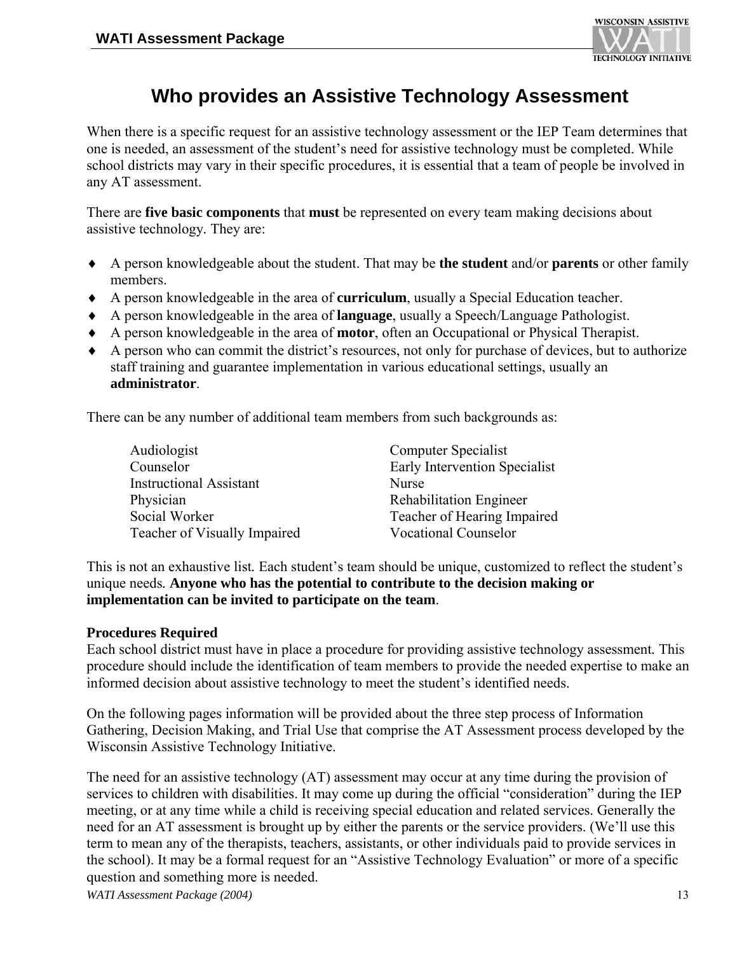

## **Who provides an Assistive Technology Assessment**

When there is a specific request for an assistive technology assessment or the IEP Team determines that one is needed, an assessment of the student's need for assistive technology must be completed. While school districts may vary in their specific procedures, it is essential that a team of people be involved in any AT assessment.

There are **five basic components** that **must** be represented on every team making decisions about assistive technology*.* They are:

- ♦ A person knowledgeable about the student. That may be **the student** and/or **parents** or other family members.
- ♦ A person knowledgeable in the area of **curriculum**, usually a Special Education teacher.
- ♦ A person knowledgeable in the area of **language**, usually a Speech/Language Pathologist.
- ♦ A person knowledgeable in the area of **motor**, often an Occupational or Physical Therapist.
- ♦ A person who can commit the district's resources, not only for purchase of devices, but to authorize staff training and guarantee implementation in various educational settings, usually an **administrator**.

There can be any number of additional team members from such backgrounds as:

| Audiologist                    | Computer Specialist            |
|--------------------------------|--------------------------------|
| Counselor                      | Early Intervention Specialist  |
| <b>Instructional Assistant</b> | Nurse                          |
| Physician                      | <b>Rehabilitation Engineer</b> |
| Social Worker                  | Teacher of Hearing Impaired    |
| Teacher of Visually Impaired   | <b>Vocational Counselor</b>    |

This is not an exhaustive list*.* Each student's team should be unique, customized to reflect the student's unique needs*.* **Anyone who has the potential to contribute to the decision making or implementation can be invited to participate on the team**.

#### **Procedures Required**

Each school district must have in place a procedure for providing assistive technology assessment*.* This procedure should include the identification of team members to provide the needed expertise to make an informed decision about assistive technology to meet the student's identified needs.

On the following pages information will be provided about the three step process of Information Gathering, Decision Making, and Trial Use that comprise the AT Assessment process developed by the Wisconsin Assistive Technology Initiative.

The need for an assistive technology (AT) assessment may occur at any time during the provision of services to children with disabilities. It may come up during the official "consideration" during the IEP meeting, or at any time while a child is receiving special education and related services. Generally the need for an AT assessment is brought up by either the parents or the service providers. (We'll use this term to mean any of the therapists, teachers, assistants, or other individuals paid to provide services in the school). It may be a formal request for an "Assistive Technology Evaluation" or more of a specific question and something more is needed.

*WATI Assessment Package (2004)* 13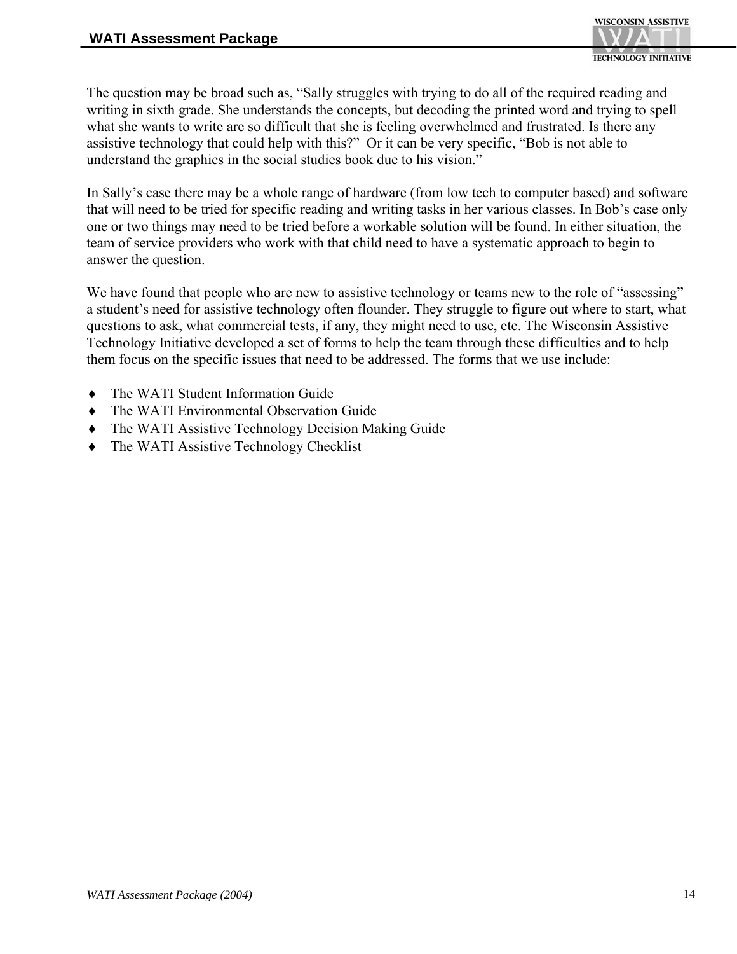The question may be broad such as, "Sally struggles with trying to do all of the required reading and writing in sixth grade. She understands the concepts, but decoding the printed word and trying to spell what she wants to write are so difficult that she is feeling overwhelmed and frustrated. Is there any assistive technology that could help with this?" Or it can be very specific, "Bob is not able to understand the graphics in the social studies book due to his vision."

In Sally's case there may be a whole range of hardware (from low tech to computer based) and software that will need to be tried for specific reading and writing tasks in her various classes. In Bob's case only one or two things may need to be tried before a workable solution will be found. In either situation, the team of service providers who work with that child need to have a systematic approach to begin to answer the question.

We have found that people who are new to assistive technology or teams new to the role of "assessing" a student's need for assistive technology often flounder. They struggle to figure out where to start, what questions to ask, what commercial tests, if any, they might need to use, etc. The Wisconsin Assistive Technology Initiative developed a set of forms to help the team through these difficulties and to help them focus on the specific issues that need to be addressed. The forms that we use include:

- ♦ The WATI Student Information Guide
- ♦ The WATI Environmental Observation Guide
- ♦ The WATI Assistive Technology Decision Making Guide
- ♦ The WATI Assistive Technology Checklist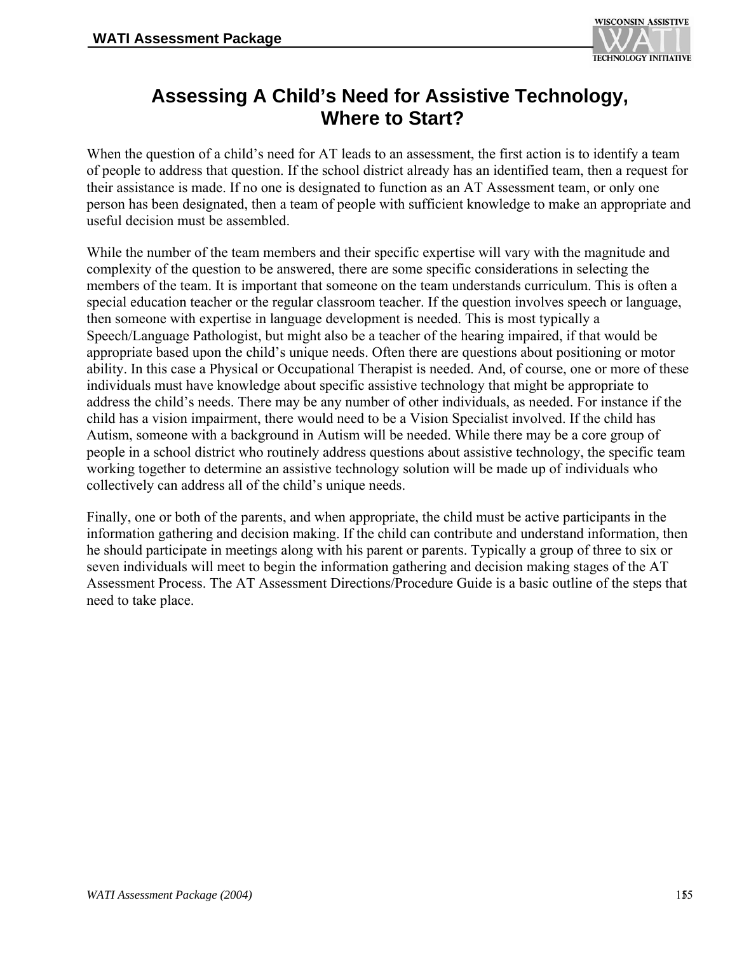

## **Assessing A Child's Need for Assistive Technology, Where to Start?**

When the question of a child's need for AT leads to an assessment, the first action is to identify a team of people to address that question. If the school district already has an identified team, then a request for their assistance is made. If no one is designated to function as an AT Assessment team, or only one person has been designated, then a team of people with sufficient knowledge to make an appropriate and useful decision must be assembled.

While the number of the team members and their specific expertise will vary with the magnitude and complexity of the question to be answered, there are some specific considerations in selecting the members of the team. It is important that someone on the team understands curriculum. This is often a special education teacher or the regular classroom teacher. If the question involves speech or language, then someone with expertise in language development is needed. This is most typically a Speech/Language Pathologist, but might also be a teacher of the hearing impaired, if that would be appropriate based upon the child's unique needs. Often there are questions about positioning or motor ability. In this case a Physical or Occupational Therapist is needed. And, of course, one or more of these individuals must have knowledge about specific assistive technology that might be appropriate to address the child's needs. There may be any number of other individuals, as needed. For instance if the child has a vision impairment, there would need to be a Vision Specialist involved. If the child has Autism, someone with a background in Autism will be needed. While there may be a core group of people in a school district who routinely address questions about assistive technology, the specific team working together to determine an assistive technology solution will be made up of individuals who collectively can address all of the child's unique needs.

Finally, one or both of the parents, and when appropriate, the child must be active participants in the information gathering and decision making. If the child can contribute and understand information, then he should participate in meetings along with his parent or parents. Typically a group of three to six or seven individuals will meet to begin the information gathering and decision making stages of the AT Assessment Process. The AT Assessment Directions/Procedure Guide is a basic outline of the steps that need to take place.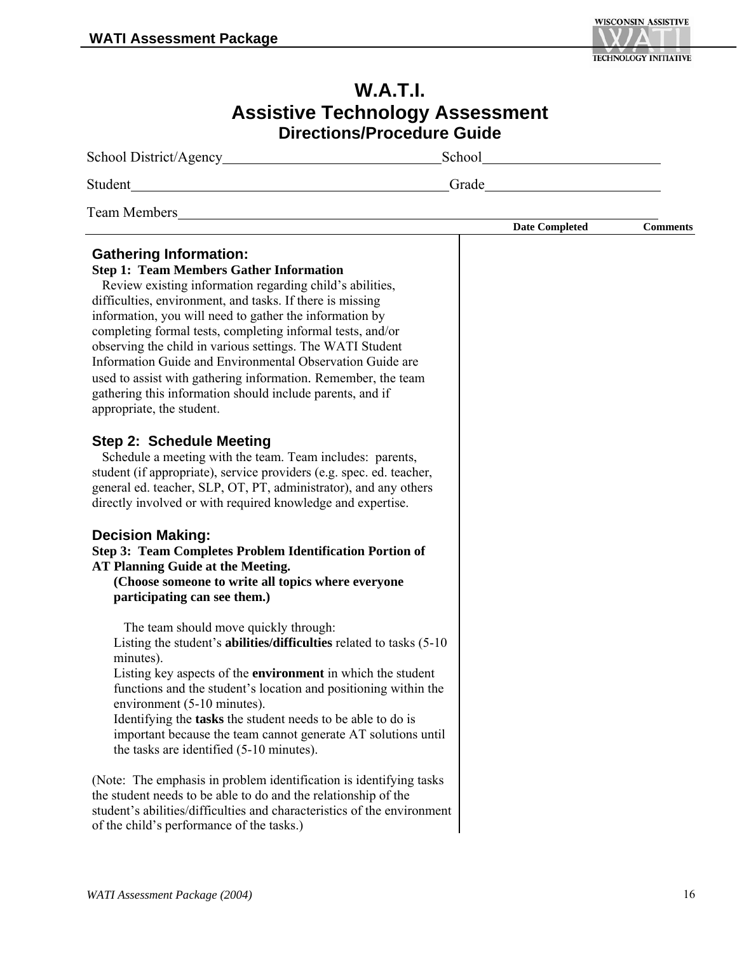

| <b>W.A.T.I.</b>                                                                                                                                                                                                                                                                                                                                                                                                                                                                                                                                                                                                                                                                                                                                                                                                                                                                                                                                                                                                                                                                                                                                                                                                                                                                                                                                                       |                       |                 |
|-----------------------------------------------------------------------------------------------------------------------------------------------------------------------------------------------------------------------------------------------------------------------------------------------------------------------------------------------------------------------------------------------------------------------------------------------------------------------------------------------------------------------------------------------------------------------------------------------------------------------------------------------------------------------------------------------------------------------------------------------------------------------------------------------------------------------------------------------------------------------------------------------------------------------------------------------------------------------------------------------------------------------------------------------------------------------------------------------------------------------------------------------------------------------------------------------------------------------------------------------------------------------------------------------------------------------------------------------------------------------|-----------------------|-----------------|
| <b>Assistive Technology Assessment</b><br><b>Directions/Procedure Guide</b>                                                                                                                                                                                                                                                                                                                                                                                                                                                                                                                                                                                                                                                                                                                                                                                                                                                                                                                                                                                                                                                                                                                                                                                                                                                                                           |                       |                 |
|                                                                                                                                                                                                                                                                                                                                                                                                                                                                                                                                                                                                                                                                                                                                                                                                                                                                                                                                                                                                                                                                                                                                                                                                                                                                                                                                                                       |                       |                 |
|                                                                                                                                                                                                                                                                                                                                                                                                                                                                                                                                                                                                                                                                                                                                                                                                                                                                                                                                                                                                                                                                                                                                                                                                                                                                                                                                                                       | Grade                 |                 |
| Team Members <b>Exercísion Contract Contract Contract Contract Contract Contract Contract Contract Contract Contract Contract Contract Contract Contract Contract Contract Contract Contract Contract Contract Contract Contra</b>                                                                                                                                                                                                                                                                                                                                                                                                                                                                                                                                                                                                                                                                                                                                                                                                                                                                                                                                                                                                                                                                                                                                    |                       |                 |
| <b>Gathering Information:</b><br><b>Step 1: Team Members Gather Information</b><br>Review existing information regarding child's abilities,<br>difficulties, environment, and tasks. If there is missing<br>information, you will need to gather the information by<br>completing formal tests, completing informal tests, and/or<br>observing the child in various settings. The WATI Student<br>Information Guide and Environmental Observation Guide are<br>used to assist with gathering information. Remember, the team<br>gathering this information should include parents, and if<br>appropriate, the student.<br><b>Step 2: Schedule Meeting</b><br>Schedule a meeting with the team. Team includes: parents,<br>student (if appropriate), service providers (e.g. spec. ed. teacher,<br>general ed. teacher, SLP, OT, PT, administrator), and any others<br>directly involved or with required knowledge and expertise.<br><b>Decision Making:</b><br>Step 3: Team Completes Problem Identification Portion of<br><b>AT Planning Guide at the Meeting.</b><br>(Choose someone to write all topics where everyone<br>participating can see them.)<br>The team should move quickly through:<br>Listing the student's <b>abilities/difficulties</b> related to tasks (5-10)<br>minutes).<br>Listing key aspects of the <b>environment</b> in which the student | <b>Date Completed</b> | <b>Comments</b> |
| functions and the student's location and positioning within the<br>environment (5-10 minutes).<br>Identifying the tasks the student needs to be able to do is<br>important because the team cannot generate AT solutions until<br>the tasks are identified (5-10 minutes).                                                                                                                                                                                                                                                                                                                                                                                                                                                                                                                                                                                                                                                                                                                                                                                                                                                                                                                                                                                                                                                                                            |                       |                 |
| (Note: The emphasis in problem identification is identifying tasks)<br>the student needs to be able to do and the relationship of the<br>student's abilities/difficulties and characteristics of the environment<br>of the child's performance of the tasks.)                                                                                                                                                                                                                                                                                                                                                                                                                                                                                                                                                                                                                                                                                                                                                                                                                                                                                                                                                                                                                                                                                                         |                       |                 |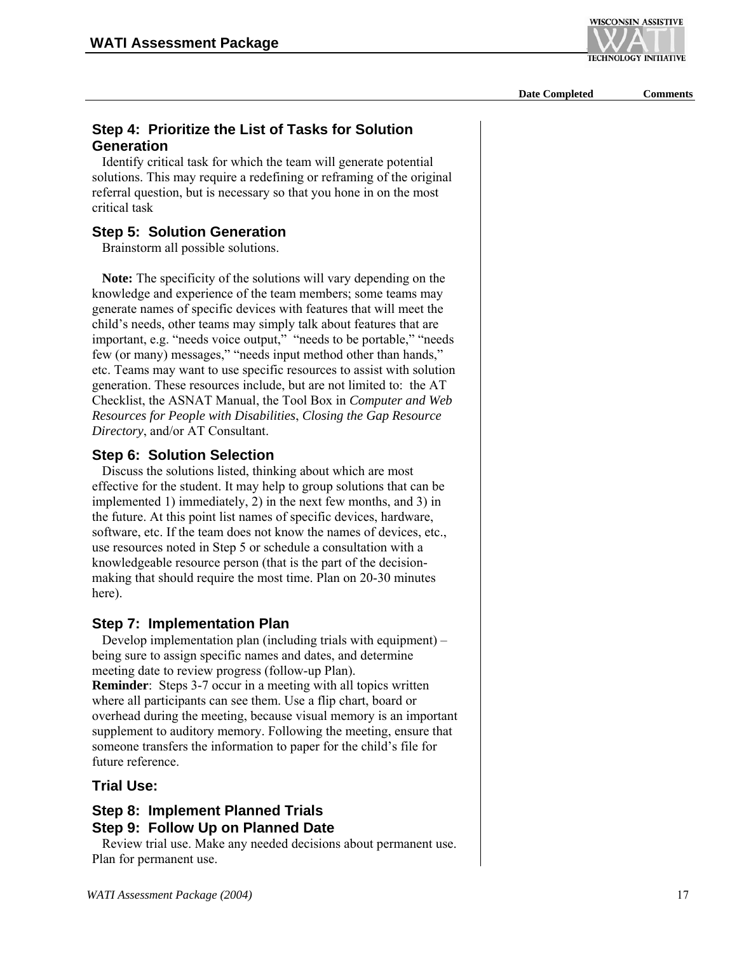**WISCONSIN ASSISTIVE TECHNOLOGY INITIATIVE** 

**Date Completed Comments**

#### **Step 4: Prioritize the List of Tasks for Solution Generation**

 Identify critical task for which the team will generate potential solutions. This may require a redefining or reframing of the original referral question, but is necessary so that you hone in on the most critical task

#### **Step 5: Solution Generation**

Brainstorm all possible solutions.

 **Note:** The specificity of the solutions will vary depending on the knowledge and experience of the team members; some teams may generate names of specific devices with features that will meet the child's needs, other teams may simply talk about features that are important, e.g. "needs voice output," "needs to be portable," "needs few (or many) messages," "needs input method other than hands," etc. Teams may want to use specific resources to assist with solution generation. These resources include, but are not limited to: the AT Checklist, the ASNAT Manual, the Tool Box in *Computer and Web Resources for People with Disabilities*, *Closing the Gap Resource Directory*, and/or AT Consultant.

#### **Step 6: Solution Selection**

 Discuss the solutions listed, thinking about which are most effective for the student. It may help to group solutions that can be implemented 1) immediately, 2) in the next few months, and 3) in the future. At this point list names of specific devices, hardware, software, etc. If the team does not know the names of devices, etc., use resources noted in Step 5 or schedule a consultation with a knowledgeable resource person (that is the part of the decisionmaking that should require the most time. Plan on 20-30 minutes here).

#### **Step 7: Implementation Plan**

 Develop implementation plan (including trials with equipment) – being sure to assign specific names and dates, and determine meeting date to review progress (follow-up Plan). **Reminder**: Steps 3-7 occur in a meeting with all topics written where all participants can see them. Use a flip chart, board or overhead during the meeting, because visual memory is an important supplement to auditory memory. Following the meeting, ensure that someone transfers the information to paper for the child's file for future reference.

#### **Trial Use:**

#### **Step 8: Implement Planned Trials**

#### **Step 9: Follow Up on Planned Date**

 Review trial use. Make any needed decisions about permanent use. Plan for permanent use.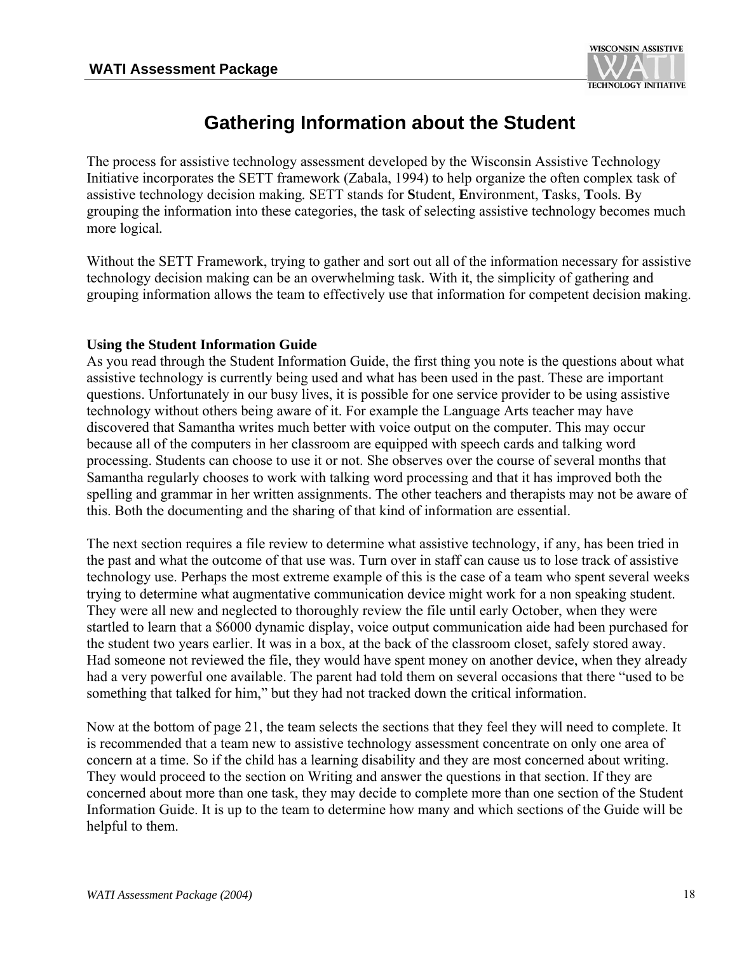

## **Gathering Information about the Student**

The process for assistive technology assessment developed by the Wisconsin Assistive Technology Initiative incorporates the SETT framework (Zabala, 1994) to help organize the often complex task of assistive technology decision making*.* SETT stands for **S**tudent, **E**nvironment, **T**asks, **T**ools*.* By grouping the information into these categories, the task of selecting assistive technology becomes much more logical*.* 

Without the SETT Framework, trying to gather and sort out all of the information necessary for assistive technology decision making can be an overwhelming task*.* With it, the simplicity of gathering and grouping information allows the team to effectively use that information for competent decision making.

#### **Using the Student Information Guide**

As you read through the Student Information Guide, the first thing you note is the questions about what assistive technology is currently being used and what has been used in the past. These are important questions. Unfortunately in our busy lives, it is possible for one service provider to be using assistive technology without others being aware of it. For example the Language Arts teacher may have discovered that Samantha writes much better with voice output on the computer. This may occur because all of the computers in her classroom are equipped with speech cards and talking word processing. Students can choose to use it or not. She observes over the course of several months that Samantha regularly chooses to work with talking word processing and that it has improved both the spelling and grammar in her written assignments. The other teachers and therapists may not be aware of this. Both the documenting and the sharing of that kind of information are essential.

The next section requires a file review to determine what assistive technology, if any, has been tried in the past and what the outcome of that use was. Turn over in staff can cause us to lose track of assistive technology use. Perhaps the most extreme example of this is the case of a team who spent several weeks trying to determine what augmentative communication device might work for a non speaking student. They were all new and neglected to thoroughly review the file until early October, when they were startled to learn that a \$6000 dynamic display, voice output communication aide had been purchased for the student two years earlier. It was in a box, at the back of the classroom closet, safely stored away. Had someone not reviewed the file, they would have spent money on another device, when they already had a very powerful one available. The parent had told them on several occasions that there "used to be something that talked for him," but they had not tracked down the critical information.

Now at the bottom of page 21, the team selects the sections that they feel they will need to complete. It is recommended that a team new to assistive technology assessment concentrate on only one area of concern at a time. So if the child has a learning disability and they are most concerned about writing. They would proceed to the section on Writing and answer the questions in that section. If they are concerned about more than one task, they may decide to complete more than one section of the Student Information Guide. It is up to the team to determine how many and which sections of the Guide will be helpful to them.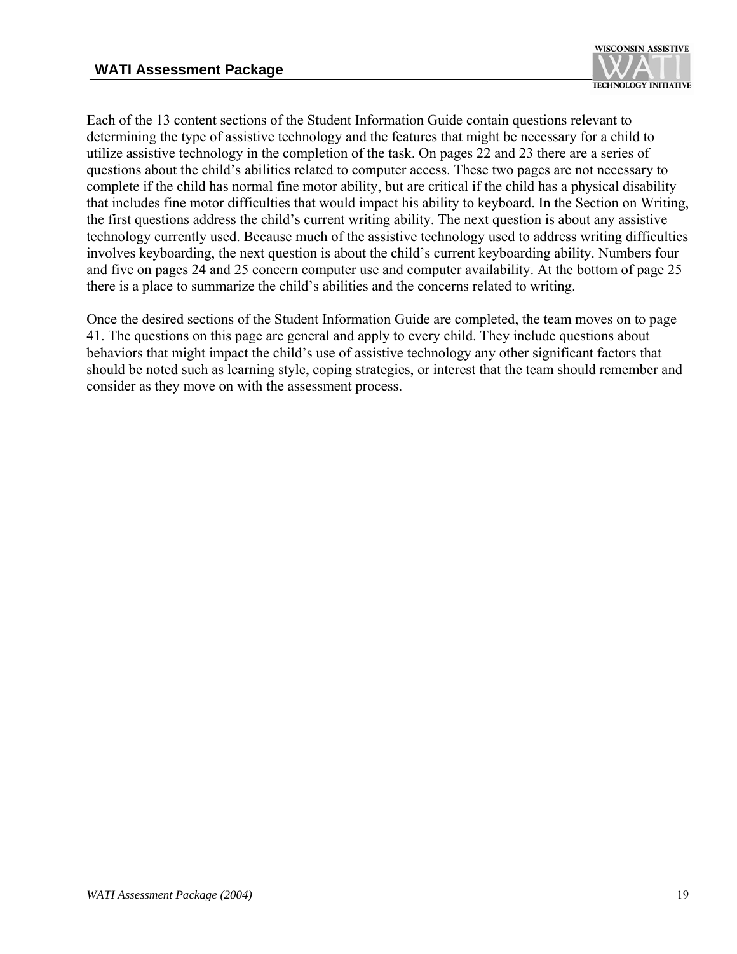

Each of the 13 content sections of the Student Information Guide contain questions relevant to determining the type of assistive technology and the features that might be necessary for a child to utilize assistive technology in the completion of the task. On pages 22 and 23 there are a series of questions about the child's abilities related to computer access. These two pages are not necessary to complete if the child has normal fine motor ability, but are critical if the child has a physical disability that includes fine motor difficulties that would impact his ability to keyboard. In the Section on Writing, the first questions address the child's current writing ability. The next question is about any assistive technology currently used. Because much of the assistive technology used to address writing difficulties involves keyboarding, the next question is about the child's current keyboarding ability. Numbers four and five on pages 24 and 25 concern computer use and computer availability. At the bottom of page 25 there is a place to summarize the child's abilities and the concerns related to writing.

Once the desired sections of the Student Information Guide are completed, the team moves on to page 41. The questions on this page are general and apply to every child. They include questions about behaviors that might impact the child's use of assistive technology any other significant factors that should be noted such as learning style, coping strategies, or interest that the team should remember and consider as they move on with the assessment process.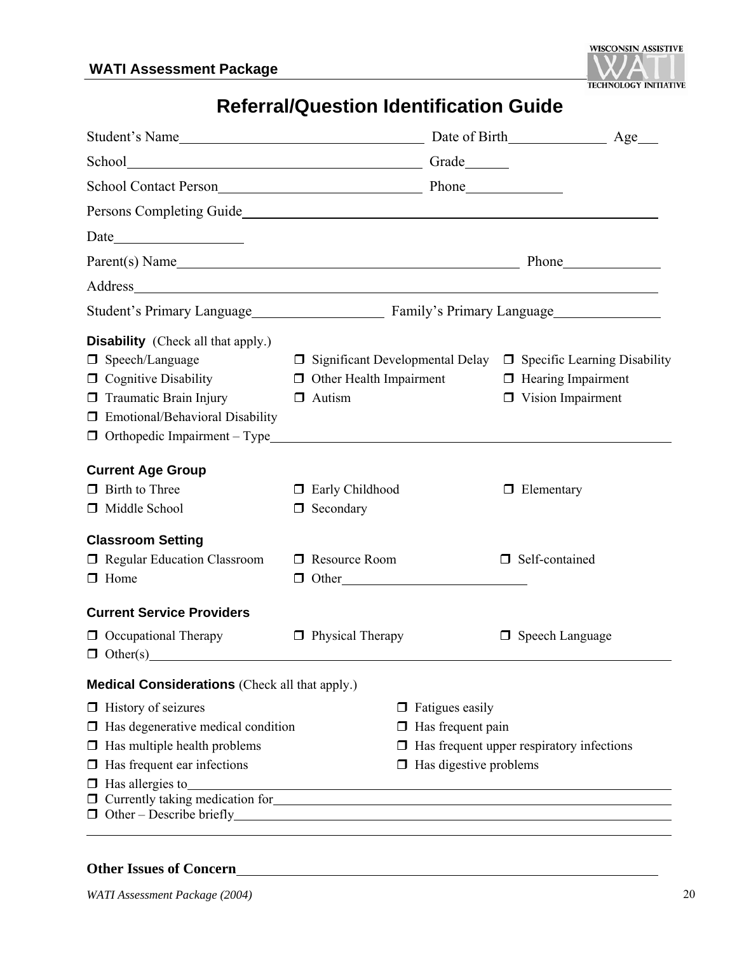

## **Referral/Question Identification Guide**

| School Contact Person<br><u>Phone</u> Phone                                                                                                                                                                                    |                                                                                                                       |                                                                                                                                     |
|--------------------------------------------------------------------------------------------------------------------------------------------------------------------------------------------------------------------------------|-----------------------------------------------------------------------------------------------------------------------|-------------------------------------------------------------------------------------------------------------------------------------|
|                                                                                                                                                                                                                                |                                                                                                                       |                                                                                                                                     |
| Date                                                                                                                                                                                                                           |                                                                                                                       |                                                                                                                                     |
| Parent(s) Name                                                                                                                                                                                                                 |                                                                                                                       |                                                                                                                                     |
| Address and the contract of the contract of the contract of the contract of the contract of the contract of the contract of the contract of the contract of the contract of the contract of the contract of the contract of th |                                                                                                                       |                                                                                                                                     |
|                                                                                                                                                                                                                                |                                                                                                                       |                                                                                                                                     |
| <b>Disability</b> (Check all that apply.)<br>$\Box$ Speech/Language<br>$\Box$ Cognitive Disability<br>$\Box$ Traumatic Brain Injury<br>□ Emotional/Behavioral Disability<br>$\Box$ Orthopedic Impairment - Type $\Box$         | $\Box$ Other Health Impairment<br>$\Box$ Autism                                                                       | $\Box$ Significant Developmental Delay $\Box$ Specific Learning Disability<br>$\Box$ Hearing Impairment<br>$\Box$ Vision Impairment |
| <b>Current Age Group</b><br>$\Box$ Birth to Three<br>Middle School                                                                                                                                                             | Early Childhood<br>$\Box$ Secondary                                                                                   | $\Box$ Elementary                                                                                                                   |
| <b>Classroom Setting</b><br><b>Example 3</b> Regular Education Classroom<br>$\Box$ Home                                                                                                                                        | □ Resource Room<br>$\Box$ Other                                                                                       | □ Self-contained                                                                                                                    |
| <b>Current Service Providers</b><br>$\Box$ Occupational Therapy<br>$\Box$ Other(s)                                                                                                                                             | $\Box$ Physical Therapy                                                                                               | $\Box$ Speech Language                                                                                                              |
| <b>Medical Considerations</b> (Check all that apply.)                                                                                                                                                                          |                                                                                                                       |                                                                                                                                     |
| $\Box$ History of seizures                                                                                                                                                                                                     | $\Box$ Fatigues easily                                                                                                |                                                                                                                                     |
| Has degenerative medical condition<br>□                                                                                                                                                                                        | Has frequent pain<br>□                                                                                                |                                                                                                                                     |
| $\Box$ Has multiple health problems                                                                                                                                                                                            |                                                                                                                       | $\Box$ Has frequent upper respiratory infections                                                                                    |
| Has frequent ear infections<br>□                                                                                                                                                                                               | $\Box$ Has digestive problems                                                                                         |                                                                                                                                     |
| Has allergies to<br>□                                                                                                                                                                                                          | <u> 1989 - Johann Stoff, deutscher Stoff, der Stoff, der Stoff, der Stoff, der Stoff, der Stoff, der Stoff, der S</u> |                                                                                                                                     |
| Currently taking medication for                                                                                                                                                                                                |                                                                                                                       |                                                                                                                                     |
|                                                                                                                                                                                                                                |                                                                                                                       |                                                                                                                                     |
|                                                                                                                                                                                                                                |                                                                                                                       |                                                                                                                                     |

#### **Other Issues of Concern**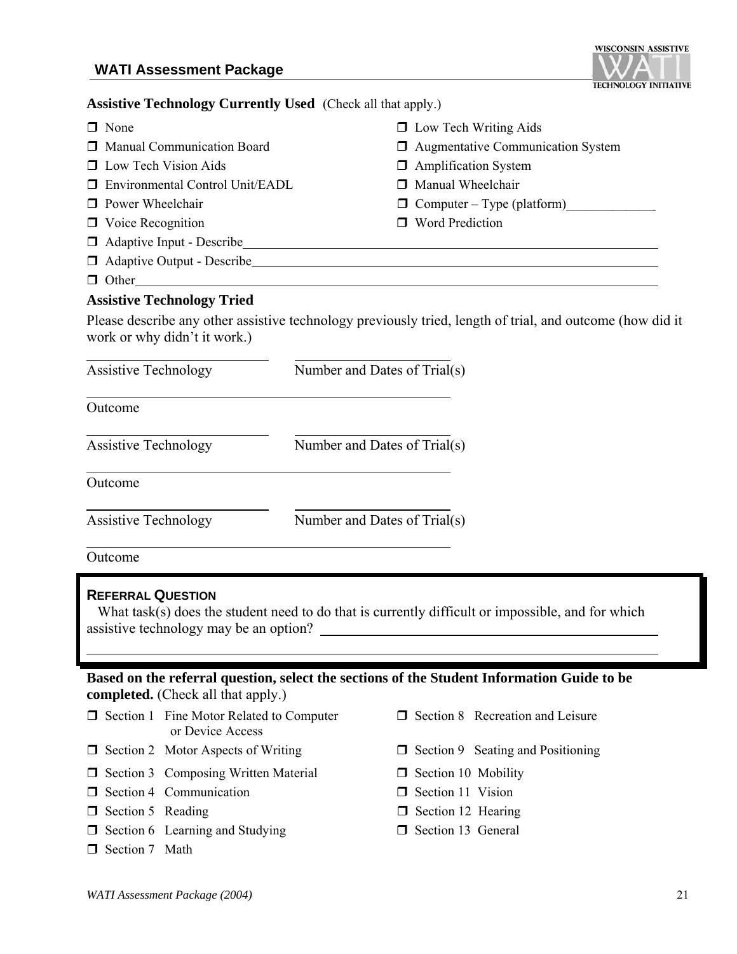

#### **Assistive Technology Currently Used** (Check all that apply.)

| $\Box$ None                              | $\Box$ Low Tech Writing Aids             |
|------------------------------------------|------------------------------------------|
| <b>I</b> Manual Communication Board      | $\Box$ Augmentative Communication System |
| <b>D</b> Low Tech Vision Aids            | $\Box$ Amplification System              |
| <b>I</b> Environmental Control Unit/EADL | □ Manual Wheelchair                      |
| $\Box$ Power Wheelchair                  | $\Box$ Computer – Type (platform)        |
| $\Box$ Voice Recognition                 | □ Word Prediction                        |
| $\Box$ Adaptive Input - Describe         |                                          |
| $\Box$ Adaptive Output - Describe        |                                          |
| $\Box$ Other                             |                                          |
| <b>Assistive Technology Tried</b>        |                                          |
|                                          |                                          |

Please describe any other assistive technology previously tried, length of trial, and outcome (how did it work or why didn't it work.)

| <b>Assistive Technology</b> | Number and Dates of Trial(s) |
|-----------------------------|------------------------------|
| Outcome                     |                              |
| <b>Assistive Technology</b> | Number and Dates of Trial(s) |
| Outcome                     |                              |
| <b>Assistive Technology</b> | Number and Dates of Trial(s) |

Outcome

#### **REFERRAL QUESTION**

What task(s) does the student need to do that is currently difficult or impossible, and for which assistive technology may be an option?

#### **Based on the referral question, select the sections of the Student Information Guide to be completed.** (Check all that apply.)

- $\Box$  Section 1 Fine Motor Related to Computer or Device Access
- $\Box$  Section 2 Motor Aspects of Writing  $\Box$  Section 9 Seating and Positioning
- $\Box$  Section 3 Composing Written Material  $\Box$  Section 10 Mobility
- $\Box$  Section 4 Communication  $\Box$  Section 11 Vision
- □ Section 5 Reading □ Section 12 Hearing
- $\Box$  Section 6 Learning and Studying  $\Box$  Section 13 General
- Section 7 Math
- $\Box$  Section 8 Recreation and Leisure
- 
- 
- 
- 
-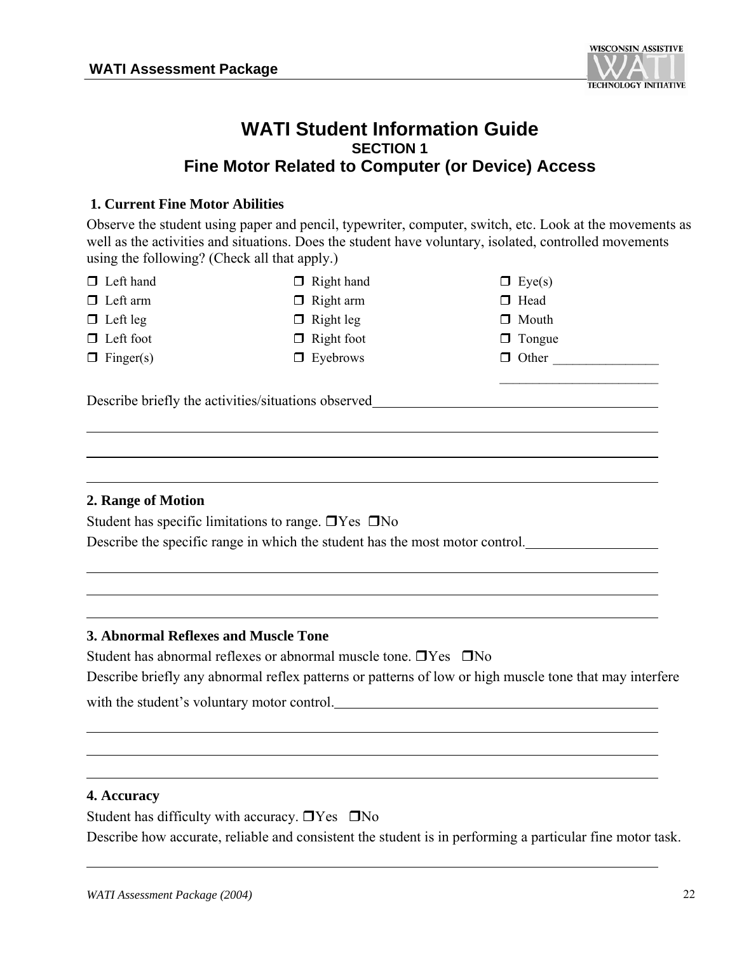

#### **WATI Student Information Guide SECTION 1 Fine Motor Related to Computer (or Device) Access**

#### **1. Current Fine Motor Abilities**

Observe the student using paper and pencil, typewriter, computer, switch, etc. Look at the movements as well as the activities and situations. Does the student have voluntary, isolated, controlled movements using the following? (Check all that apply.)

- $\Box$  Left hand  $\Box$  Right hand  $\Box$  Eye(s)
- $\Box$  Left arm  $\Box$  Right arm  $\Box$  Head
- 
- 
- 
- $\Box$  Left leg  $\Box$  Right leg  $\Box$  Mouth
- $\Box$  Left foot  $\Box$  Right foot  $\Box$  Tongue
	-
- 
- 
- $\Box$  Finger(s)  $\Box$  Eyebrows  $\Box$  Other

 $\mathcal{L}_\text{max}$ 

Describe briefly the activities/situations observed

#### **2. Range of Motion**

Student has specific limitations to range.  $\Box$  Yes  $\Box$  No

Describe the specific range in which the student has the most motor control.

#### **3. Abnormal Reflexes and Muscle Tone**

Student has abnormal reflexes or abnormal muscle tone.  $\Box$  Yes  $\Box$  No Describe briefly any abnormal reflex patterns or patterns of low or high muscle tone that may interfere with the student's voluntary motor control.

#### **4. Accuracy**

Student has difficulty with accuracy.  $\Box$  Yes  $\Box$  No Describe how accurate, reliable and consistent the student is in performing a particular fine motor task.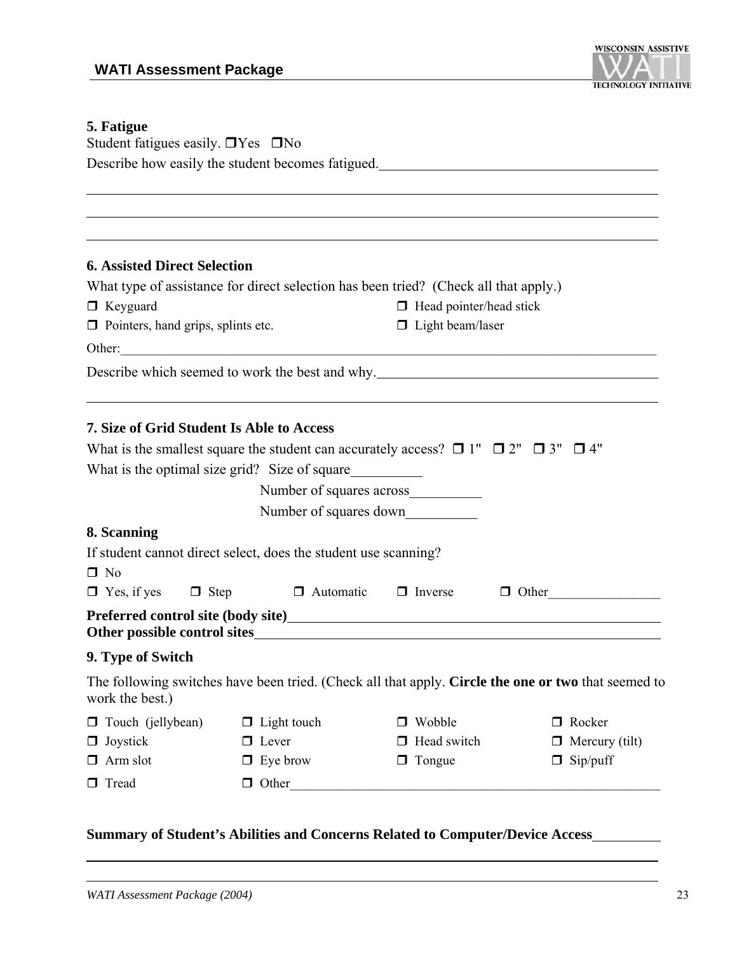

#### **5. Fatigue**

| J. Faugut<br>Student fatigues easily. $\Box$ Yes $\Box$ No |                                                                                                        |                                |                                                                                                                 |
|------------------------------------------------------------|--------------------------------------------------------------------------------------------------------|--------------------------------|-----------------------------------------------------------------------------------------------------------------|
|                                                            |                                                                                                        |                                | Describe how easily the student becomes fatigued.                                                               |
|                                                            |                                                                                                        |                                |                                                                                                                 |
|                                                            |                                                                                                        |                                |                                                                                                                 |
|                                                            |                                                                                                        |                                |                                                                                                                 |
|                                                            |                                                                                                        |                                |                                                                                                                 |
| <b>6. Assisted Direct Selection</b>                        |                                                                                                        |                                |                                                                                                                 |
|                                                            | What type of assistance for direct selection has been tried? (Check all that apply.)                   |                                |                                                                                                                 |
| $\Box$ Keyguard                                            |                                                                                                        | $\Box$ Head pointer/head stick |                                                                                                                 |
| $\Box$ Pointers, hand grips, splints etc.                  |                                                                                                        | $\Box$ Light beam/laser        |                                                                                                                 |
|                                                            |                                                                                                        |                                |                                                                                                                 |
|                                                            |                                                                                                        |                                | Describe which seemed to work the best and why.                                                                 |
|                                                            |                                                                                                        |                                |                                                                                                                 |
| 7. Size of Grid Student Is Able to Access                  |                                                                                                        |                                |                                                                                                                 |
|                                                            | What is the smallest square the student can accurately access? $\Box$ 1" $\Box$ 2" $\Box$ 3" $\Box$ 4" |                                |                                                                                                                 |
|                                                            |                                                                                                        |                                |                                                                                                                 |
|                                                            |                                                                                                        |                                |                                                                                                                 |
|                                                            |                                                                                                        |                                |                                                                                                                 |
|                                                            | Number of squares down                                                                                 |                                |                                                                                                                 |
| 8. Scanning                                                |                                                                                                        |                                |                                                                                                                 |
|                                                            | If student cannot direct select, does the student use scanning?                                        |                                |                                                                                                                 |
| $\Box$ No<br>$\Box$ Yes, if yes $\Box$ Step                | $\Box$ Automatic                                                                                       | $\Box$ Inverse                 | $\Box$ Other                                                                                                    |
|                                                            |                                                                                                        |                                |                                                                                                                 |
|                                                            |                                                                                                        |                                | Preferred control site (body site)<br><u>Preferred control site (body site)</u><br>Other possible control sites |
| 9. Type of Switch                                          |                                                                                                        |                                |                                                                                                                 |
| work the best.)                                            |                                                                                                        |                                | The following switches have been tried. (Check all that apply. Circle the one or two that seemed to             |
| $\Box$ Touch (jellybean)                                   | $\Box$ Light touch                                                                                     | $\Box$ Wobble                  | □ Rocker                                                                                                        |
| $\Box$ Joystick                                            | $\Box$ Lever                                                                                           | □ Head switch                  | $\Box$ Mercury (tilt)                                                                                           |
| $\Box$ Arm slot                                            | $\Box$ Eye brow                                                                                        | $\Box$ Tongue                  | $\Box$ Sip/puff                                                                                                 |
| □ Tread                                                    | $\Box$ Other                                                                                           |                                |                                                                                                                 |

#### **Summary of Student's Abilities and Concerns Related to Computer/Device Access**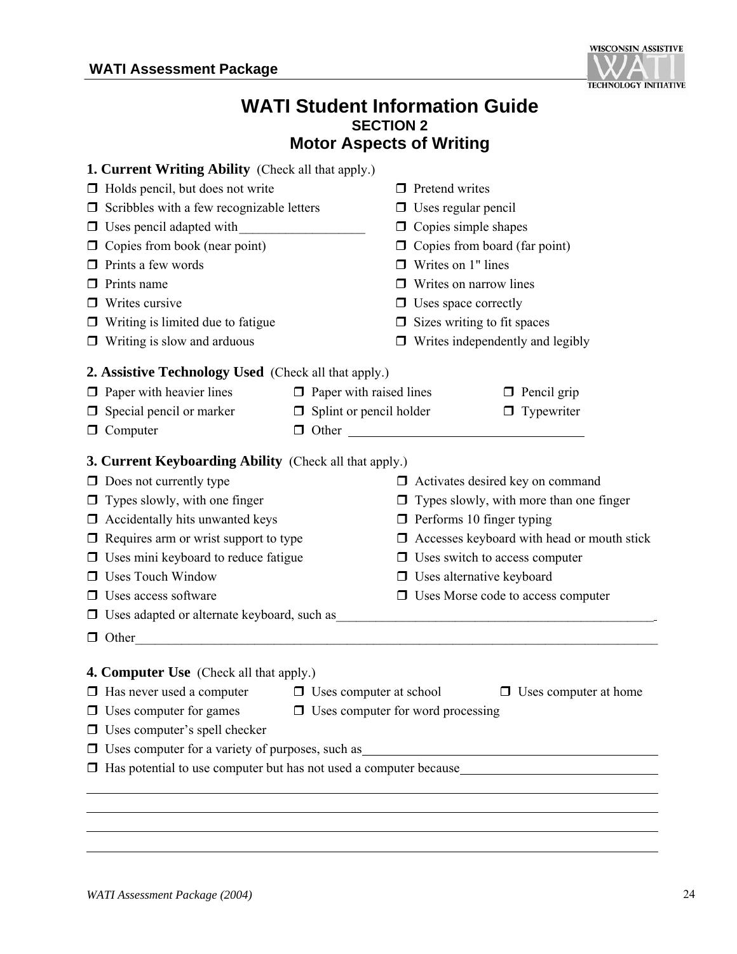

#### **WATI Student Information Guide SECTION 2 Motor Aspects of Writing**

| <b>1. Current Writing Ability</b> (Check all that apply.)                                    |                                |                                          |                                                   |
|----------------------------------------------------------------------------------------------|--------------------------------|------------------------------------------|---------------------------------------------------|
| $\Box$ Holds pencil, but does not write                                                      |                                | $\Box$ Pretend writes                    |                                                   |
| $\Box$ Scribbles with a few recognizable letters                                             |                                | $\Box$ Uses regular pencil               |                                                   |
| $\Box$ Uses pencil adapted with                                                              |                                | $\Box$ Copies simple shapes              |                                                   |
| $\Box$ Copies from book (near point)                                                         |                                | Copies from board (far point)            |                                                   |
| $\Box$ Prints a few words                                                                    |                                | Writes on 1" lines                       |                                                   |
| $\Box$ Prints name                                                                           |                                | $\Box$ Writes on narrow lines            |                                                   |
| $\Box$ Writes cursive                                                                        |                                | $\Box$ Uses space correctly              |                                                   |
| $\Box$ Writing is limited due to fatigue                                                     |                                | $\Box$ Sizes writing to fit spaces       |                                                   |
| $\Box$ Writing is slow and arduous                                                           |                                |                                          | $\Box$ Writes independently and legibly           |
| 2. Assistive Technology Used (Check all that apply.)                                         |                                |                                          |                                                   |
| $\Box$ Paper with heavier lines                                                              | $\Box$ Paper with raised lines |                                          | $\Box$ Pencil grip                                |
| $\Box$ Special pencil or marker                                                              | $\Box$ Splint or pencil holder |                                          | $\Box$ Typewriter                                 |
| $\Box$ Computer                                                                              |                                | $\Box$ Other                             |                                                   |
| <b>3. Current Keyboarding Ability</b> (Check all that apply.)                                |                                |                                          |                                                   |
| $\Box$ Does not currently type                                                               |                                |                                          | $\Box$ Activates desired key on command           |
| $\Box$ Types slowly, with one finger                                                         |                                |                                          | $\Box$ Types slowly, with more than one finger    |
| $\Box$ Accidentally hits unwanted keys                                                       |                                | $\Box$ Performs 10 finger typing         |                                                   |
| $\Box$ Requires arm or wrist support to type                                                 |                                |                                          | $\Box$ Accesses keyboard with head or mouth stick |
| $\Box$ Uses mini keyboard to reduce fatigue                                                  |                                | $\Box$ Uses switch to access computer    |                                                   |
| <b>Uses Touch Window</b>                                                                     |                                | $\Box$ Uses alternative keyboard         |                                                   |
| $\Box$ Uses access software                                                                  |                                |                                          | $\Box$ Uses Morse code to access computer         |
| □ Uses adapted or alternate keyboard, such as                                                |                                |                                          |                                                   |
|                                                                                              |                                |                                          |                                                   |
| $\Box$ Other                                                                                 |                                |                                          |                                                   |
| <b>4. Computer Use</b> (Check all that apply.)                                               |                                |                                          |                                                   |
| $\Box$ Has never used a computer $\Box$ Uses computer at school $\Box$ Uses computer at home |                                |                                          |                                                   |
| $\Box$ Uses computer for games                                                               |                                | $\Box$ Uses computer for word processing |                                                   |
| $\Box$ Uses computer's spell checker                                                         |                                |                                          |                                                   |
| □ Uses computer for a variety of purposes, such as                                           |                                |                                          |                                                   |
|                                                                                              |                                |                                          |                                                   |
|                                                                                              |                                |                                          |                                                   |
|                                                                                              |                                |                                          |                                                   |
|                                                                                              |                                |                                          |                                                   |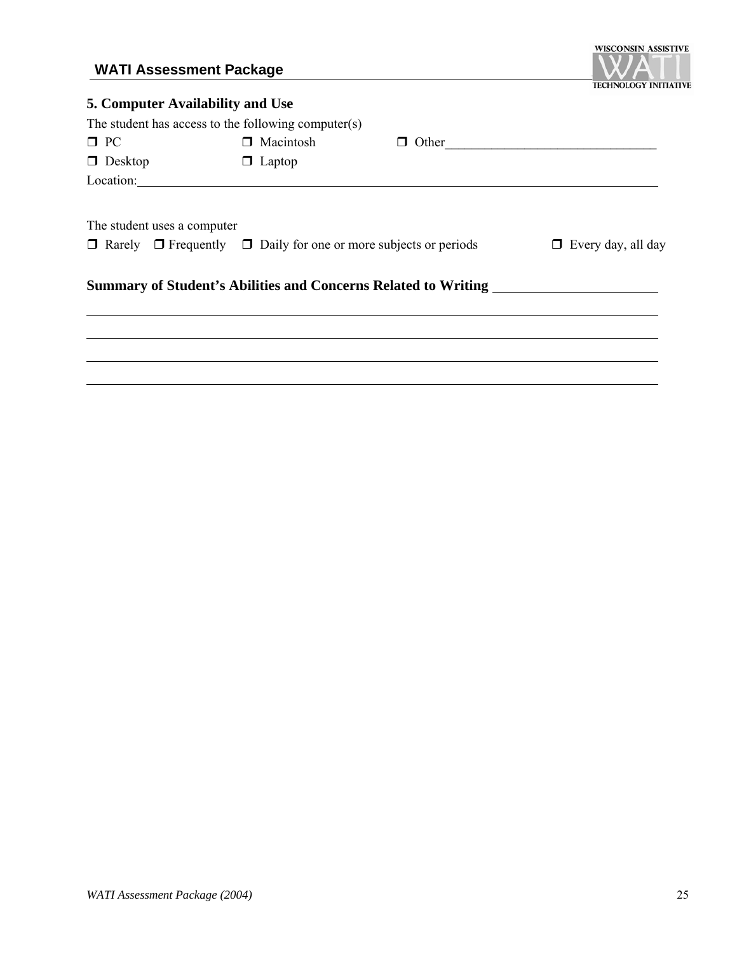### **WATI Assessment Package**



| 5. Computer Availability and Use |                                                     |                                                                                  |                           |
|----------------------------------|-----------------------------------------------------|----------------------------------------------------------------------------------|---------------------------|
|                                  | The student has access to the following computer(s) |                                                                                  |                           |
| $\Box$ PC                        | □ Macintosh                                         |                                                                                  | $\Box$ Other              |
| $\Box$ Desktop                   | $\Box$ Laptop                                       |                                                                                  |                           |
|                                  |                                                     |                                                                                  |                           |
|                                  |                                                     |                                                                                  |                           |
| The student uses a computer      |                                                     |                                                                                  |                           |
|                                  |                                                     | $\Box$ Rarely $\Box$ Frequently $\Box$ Daily for one or more subjects or periods | $\Box$ Every day, all day |
|                                  |                                                     | Summary of Student's Abilities and Concerns Related to Writing                   |                           |
|                                  |                                                     |                                                                                  |                           |
|                                  |                                                     |                                                                                  |                           |
|                                  |                                                     |                                                                                  |                           |
|                                  |                                                     |                                                                                  |                           |
|                                  |                                                     |                                                                                  |                           |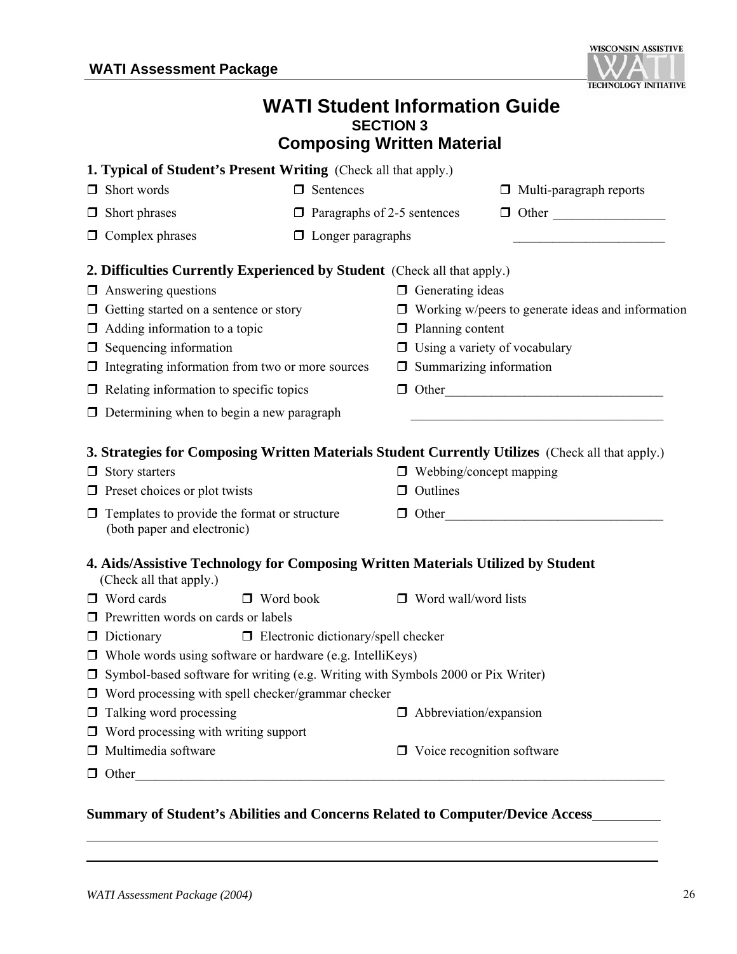

### **WATI Student Information Guide SECTION 3 Composing Written Material**

| <b>1. Typical of Student's Present Writing</b> (Check all that apply.)                                      |                                            |                                      |                                                                                           |
|-------------------------------------------------------------------------------------------------------------|--------------------------------------------|--------------------------------------|-------------------------------------------------------------------------------------------|
| Short words<br>□.                                                                                           | $\Box$ Sentences                           |                                      | $\Box$ Multi-paragraph reports                                                            |
| Short phrases<br>□                                                                                          | $\Box$ Paragraphs of 2-5 sentences         |                                      | $\Box$ Other                                                                              |
| Complex phrases<br>□                                                                                        | $\Box$ Longer paragraphs                   |                                      |                                                                                           |
| <b>2. Difficulties Currently Experienced by Student</b> (Check all that apply.)                             |                                            |                                      |                                                                                           |
| $\Box$ Answering questions                                                                                  |                                            | $\Box$ Generating ideas              |                                                                                           |
| $\Box$ Getting started on a sentence or story                                                               |                                            |                                      | $\Box$ Working w/peers to generate ideas and information                                  |
| $\Box$ Adding information to a topic                                                                        |                                            | $\Box$ Planning content              |                                                                                           |
| $\Box$ Sequencing information                                                                               |                                            | $\Box$ Using a variety of vocabulary |                                                                                           |
| $\Box$ Integrating information from two or more sources                                                     |                                            | $\Box$ Summarizing information       |                                                                                           |
| $\Box$ Relating information to specific topics                                                              |                                            |                                      | $\Box$ Other                                                                              |
| $\Box$ Determining when to begin a new paragraph                                                            |                                            |                                      | the control of the control of the control of the control of the control of the control of |
| 3. Strategies for Composing Written Materials Student Currently Utilizes (Check all that apply.)            |                                            |                                      |                                                                                           |
| Story starters<br>$\Box$                                                                                    |                                            | $\Box$ Webbing/concept mapping       |                                                                                           |
| $\Box$ Preset choices or plot twists                                                                        |                                            | $\Box$ Outlines                      |                                                                                           |
| Templates to provide the format or structure<br>□<br>(both paper and electronic)                            |                                            |                                      | $\Box$ Other                                                                              |
| 4. Aids/Assistive Technology for Composing Written Materials Utilized by Student<br>(Check all that apply.) |                                            |                                      |                                                                                           |
| $\Box$ Word cards<br>$\Box$ Word book                                                                       |                                            | $\Box$ Word wall/word lists          |                                                                                           |
| $\Box$ Prewritten words on cards or labels                                                                  |                                            |                                      |                                                                                           |
| $\Box$ Dictionary                                                                                           | $\Box$ Electronic dictionary/spell checker |                                      |                                                                                           |
| $\Box$ Whole words using software or hardware (e.g. IntelliKeys)                                            |                                            |                                      |                                                                                           |
| Symbol-based software for writing (e.g. Writing with Symbols 2000 or Pix Writer)                            |                                            |                                      |                                                                                           |
| $\Box$ Word processing with spell checker/grammar checker                                                   |                                            |                                      |                                                                                           |
| $\Box$ Talking word processing                                                                              |                                            | $\Box$ Abbreviation/expansion        |                                                                                           |
| $\Box$ Word processing with writing support                                                                 |                                            |                                      |                                                                                           |
| Multimedia software                                                                                         |                                            | $\Box$ Voice recognition software    |                                                                                           |
| $\Box$ Other                                                                                                |                                            |                                      |                                                                                           |
|                                                                                                             |                                            |                                      |                                                                                           |

**Summary of Student's Abilities and Concerns Related to Computer/Device Access**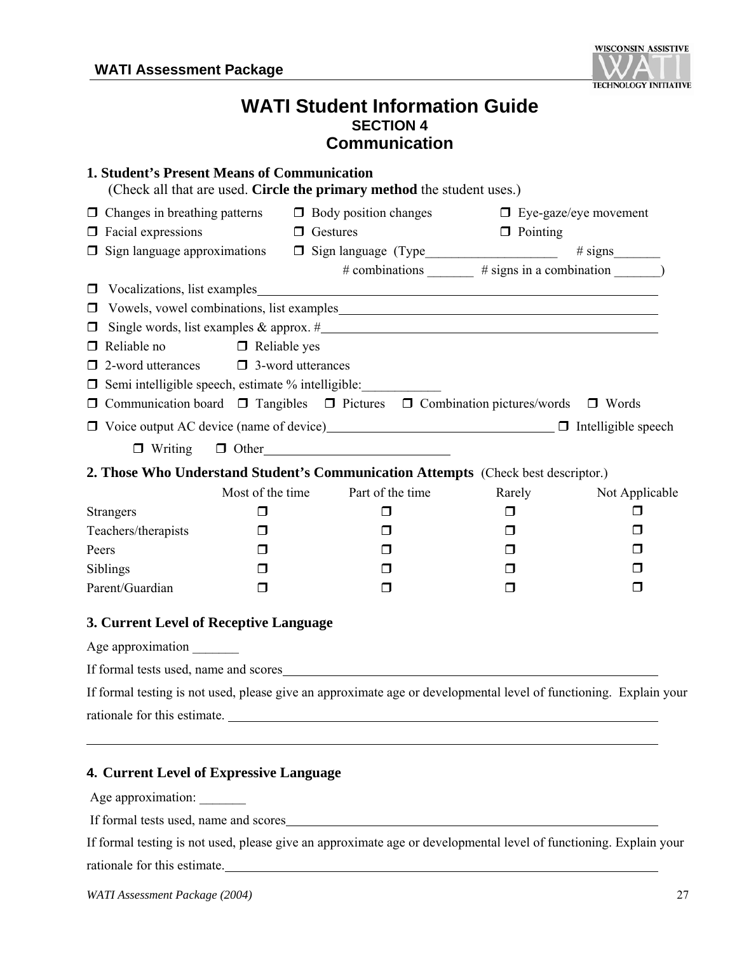

### **WATI Student Information Guide SECTION 4 Communication**

| <b>1. Student's Present Means of Communication</b> |                  | (Check all that are used. Circle the primary method the student uses.)                                            |                                                            |                |
|----------------------------------------------------|------------------|-------------------------------------------------------------------------------------------------------------------|------------------------------------------------------------|----------------|
|                                                    |                  | $\Box$ Changes in breathing patterns $\Box$ Body position changes                                                 | $\Box$ Eye-gaze/eye movement                               |                |
| $\Box$ Facial expressions                          | $\Box$ Gestures  |                                                                                                                   | $\Box$ Pointing                                            |                |
|                                                    |                  | □ Sign language approximations □ Sign language (Type___________________________                                   |                                                            |                |
|                                                    |                  |                                                                                                                   | # combinations ________ # signs in a combination _________ |                |
|                                                    |                  |                                                                                                                   |                                                            |                |
| $\Box$                                             |                  |                                                                                                                   |                                                            |                |
| $\Box$                                             |                  |                                                                                                                   |                                                            |                |
| $\Box$ Reliable no $\Box$ Reliable yes             |                  |                                                                                                                   |                                                            |                |
| $\Box$ 2-word utterances $\Box$ 3-word utterances  |                  |                                                                                                                   |                                                            |                |
|                                                    |                  | □ Semi intelligible speech, estimate % intelligible: ___________________________                                  |                                                            |                |
|                                                    |                  | $\Box$ Communication board $\Box$ Tangibles $\Box$ Pictures $\Box$ Combination pictures/words $\Box$ Words        |                                                            |                |
|                                                    |                  | □ Voice output AC device (name of device)<br>□ Intelligible speech                                                |                                                            |                |
|                                                    |                  | $\Box$ Writing $\Box$ Other                                                                                       |                                                            |                |
|                                                    |                  | 2. Those Who Understand Student's Communication Attempts (Check best descriptor.)                                 |                                                            |                |
|                                                    | Most of the time | Part of the time                                                                                                  | Rarely                                                     | Not Applicable |
| <b>Strangers</b>                                   | $\Box$           | $\Box$                                                                                                            | $\Box$                                                     | □              |
| Teachers/therapists                                | □                | □                                                                                                                 | □                                                          | □              |
| Peers                                              | $\Box$           | □                                                                                                                 | □                                                          | П              |
| Siblings                                           | $\Box$           | □                                                                                                                 | $\Box$                                                     | □              |
| Parent/Guardian                                    | □                | □                                                                                                                 | □                                                          | □              |
| 3. Current Level of Receptive Language             |                  |                                                                                                                   |                                                            |                |
| Age approximation _______                          |                  |                                                                                                                   |                                                            |                |
|                                                    |                  | If formal tests used, name and scores                                                                             |                                                            |                |
|                                                    |                  | If formal testing is not used, please give an approximate age or developmental level of functioning. Explain your |                                                            |                |
|                                                    |                  | rationale for this estimate.                                                                                      |                                                            |                |
| 4. Current Level of Expressive Language            |                  |                                                                                                                   |                                                            |                |
| Age approximation:                                 |                  |                                                                                                                   |                                                            |                |
| If formal tests used, name and scores              |                  |                                                                                                                   |                                                            |                |

If formal testing is not used, please give an approximate age or developmental level of functioning. Explain your rationale for this estimate.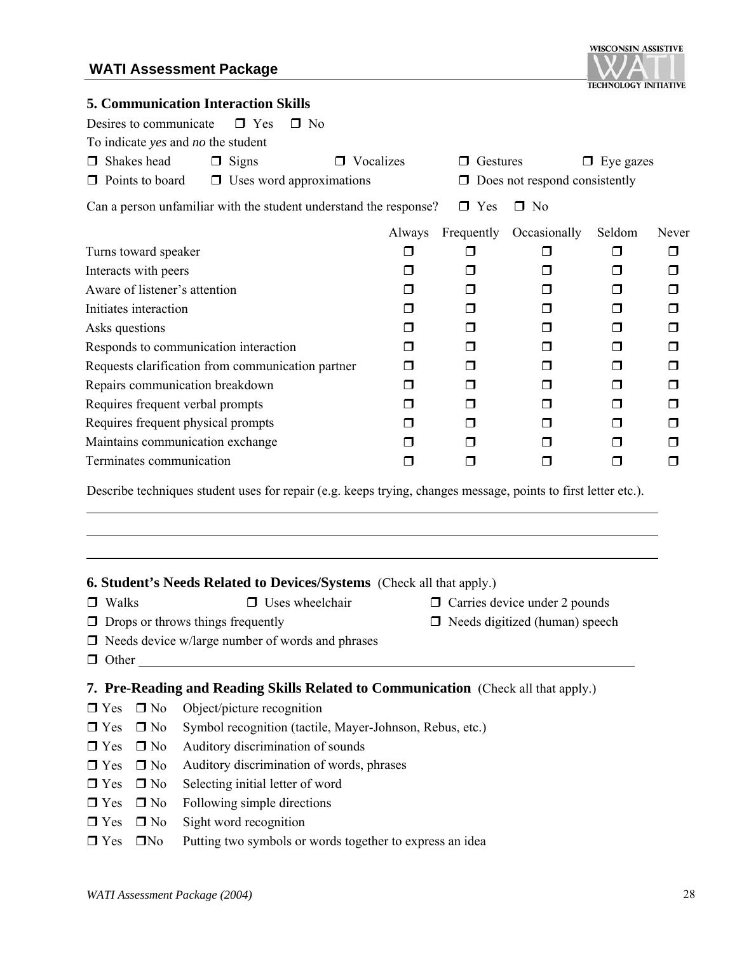#### **WATI Assessment Package**



#### **5. Communication Interaction Skills**

| Desires to communicate<br>$\Box$ Yes<br>$\Box$ No                                                              |           |                |                               |                  |        |
|----------------------------------------------------------------------------------------------------------------|-----------|----------------|-------------------------------|------------------|--------|
| To indicate yes and no the student                                                                             |           |                |                               |                  |        |
| $\Box$ Shakes head<br><b>Signs</b><br>$\Box$                                                                   | Vocalizes | Gestures<br>Π. |                               | $\Box$ Eye gazes |        |
| $\Box$ Points to board<br>$\Box$ Uses word approximations                                                      |           | □              | Does not respond consistently |                  |        |
| Can a person unfamiliar with the student understand the response?                                              |           | $\Box$ Yes     | $\Box$ No                     |                  |        |
|                                                                                                                | Always    | Frequently     | Occasionally                  | Seldom           | Never  |
| Turns toward speaker                                                                                           | ⊓         | □              | П                             | $\Box$           | $\Box$ |
| Interacts with peers                                                                                           | ⊓         | ⊓              | ⊓                             | $\Box$           | П      |
| Aware of listener's attention                                                                                  | П         | п              | п                             | $\Box$           | ⊓      |
| Initiates interaction                                                                                          | ⊓         | ⊓              | ⊓                             | ⊓                | ⊓      |
| Asks questions                                                                                                 | ⊓         | ⊓              | п                             | $\Box$           | ⊓      |
| Responds to communication interaction                                                                          | ⊓         | ⊓              | П                             | $\Box$           | ⊓      |
| Requests clarification from communication partner                                                              | ⊓         | п              | ⊓                             | ⊓                | ⊓      |
| Repairs communication breakdown                                                                                | ⊓         | ⊓              | П                             | $\Box$           | ⊓      |
| Requires frequent verbal prompts                                                                               | ⊓         | ⊓              | ⊓                             | $\Box$           | ⊓      |
| Requires frequent physical prompts                                                                             | ⊓         | ⊓              | П                             | $\Box$           | ⊓      |
| Maintains communication exchange                                                                               | ⊓         | ⊓              | П                             | $\Box$           | □      |
| Terminates communication                                                                                       | ⊓         | ⊓              | ⊓                             | ⊓                | ⊓      |
| Describe techniques student uses for repair (e.g. keeps trying, changes message, points to first letter etc.). |           |                |                               |                  |        |
|                                                                                                                |           |                |                               |                  |        |
|                                                                                                                |           |                |                               |                  |        |

|                                          | <b>6. Student's Needs Related to Devices/Systems</b> (Check all that apply.) |                                       |
|------------------------------------------|------------------------------------------------------------------------------|---------------------------------------|
| $\Box$ Walks                             | $\Box$ Uses wheelchair                                                       | $\Box$ Carries device under 2 pounds  |
| $\Box$ Drops or throws things frequently |                                                                              | $\Box$ Needs digitized (human) speech |
|                                          | $\Box$ Needs device w/large number of words and phrases                      |                                       |
| $\Box$ Other                             |                                                                              |                                       |

#### **7. Pre-Reading and Reading Skills Related to Communication** (Check all that apply.)

- $\Box$  Yes  $\Box$  No Object/picture recognition
- Yes No Symbol recognition (tactile, Mayer-Johnson, Rebus, etc.)
- $\Box$  Yes  $\Box$  No Auditory discrimination of sounds
- $\Box$  Yes  $\Box$  No Auditory discrimination of words, phrases
- $\Box$  Yes  $\Box$  No Selecting initial letter of word
- $\Box$  Yes  $\Box$  No Following simple directions
- $\Box$  Yes  $\Box$  No Sight word recognition
- $\Box$  Yes  $\Box$  No Putting two symbols or words together to express an idea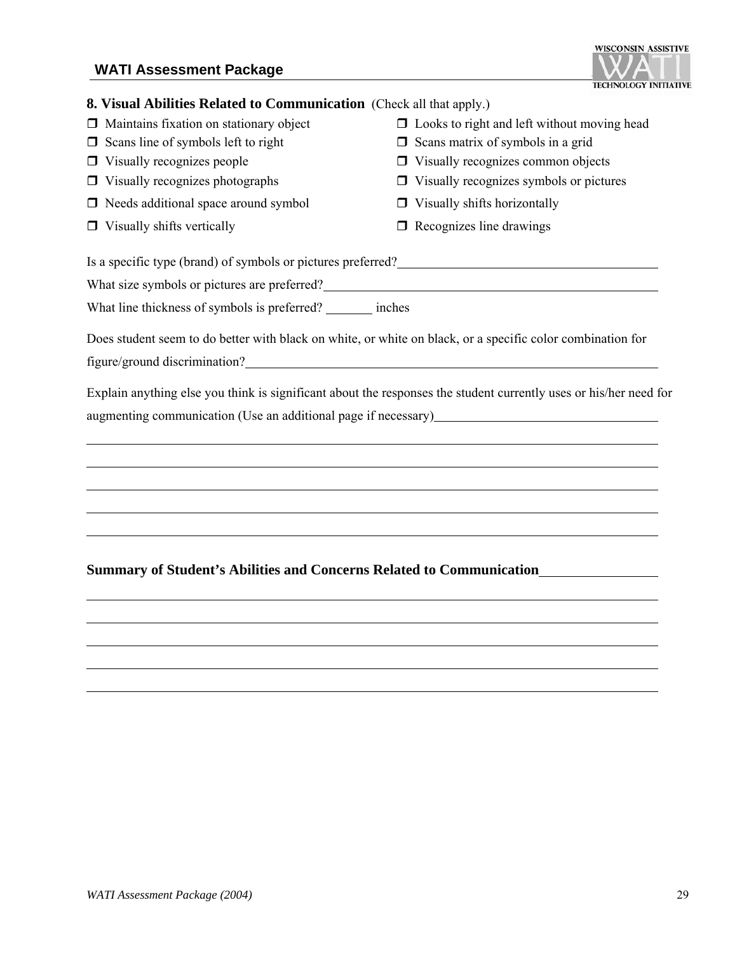#### **WATI Assessment Package**

#### **8. Visual Abilities Related to Communication** (Check all that apply.)

- 
- $\Box$  Scans line of symbols left to right  $\Box$  Scans matrix of symbols in a grid
- 
- 
- $\Box$  Needs additional space around symbol  $\Box$  Visually shifts horizontally
- 
- $\Box$  Maintains fixation on stationary object  $\Box$  Looks to right and left without moving head
	-
- $\Box$  Visually recognizes people  $\Box$  Visually recognizes common objects
- $\Box$  Visually recognizes photographs  $\Box$  Visually recognizes symbols or pictures
	-
- $\Box$  Visually shifts vertically  $\Box$  Recognizes line drawings

Is a specific type (brand) of symbols or pictures preferred?

What size symbols or pictures are preferred?

What line thickness of symbols is preferred? \_\_\_\_\_\_\_ inches

Does student seem to do better with black on white, or white on black, or a specific color combination for figure/ground discrimination?

Explain anything else you think is significant about the responses the student currently uses or his/her need for augmenting communication (Use an additional page if necessary)

#### **Summary of Student's Abilities and Concerns Related to Communication**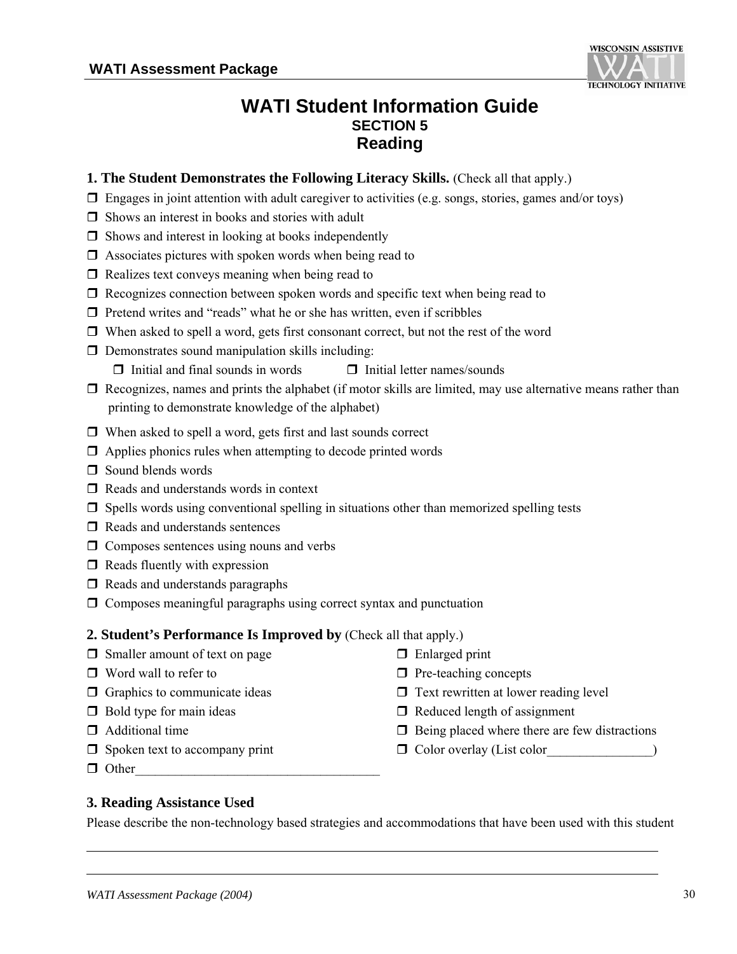

### **WATI Student Information Guide SECTION 5 Reading**

- **1. The Student Demonstrates the Following Literacy Skills.** (Check all that apply.)
- $\Box$  Engages in joint attention with adult caregiver to activities (e.g. songs, stories, games and/or toys)
- $\Box$  Shows an interest in books and stories with adult
- $\Box$  Shows and interest in looking at books independently
- $\Box$  Associates pictures with spoken words when being read to
- $\Box$  Realizes text conveys meaning when being read to
- $\Box$  Recognizes connection between spoken words and specific text when being read to
- $\Box$  Pretend writes and "reads" what he or she has written, even if scribbles
- $\Box$  When asked to spell a word, gets first consonant correct, but not the rest of the word
- $\Box$  Demonstrates sound manipulation skills including:
	- $\Box$  Initial and final sounds in words  $\Box$  Initial letter names/sounds
- $\Box$  Recognizes, names and prints the alphabet (if motor skills are limited, may use alternative means rather than printing to demonstrate knowledge of the alphabet)
- $\Box$  When asked to spell a word, gets first and last sounds correct
- $\Box$  Applies phonics rules when attempting to decode printed words
- $\Box$  Sound blends words
- $\Box$  Reads and understands words in context
- $\Box$  Spells words using conventional spelling in situations other than memorized spelling tests
- $\Box$  Reads and understands sentences
- $\Box$  Composes sentences using nouns and verbs
- $\Box$  Reads fluently with expression
- $\Box$  Reads and understands paragraphs
- $\Box$  Composes meaningful paragraphs using correct syntax and punctuation

#### **2. Student's Performance Is Improved by** (Check all that apply.)

- $\Box$  Smaller amount of text on page  $\Box$  Enlarged print
- 
- 
- 
- 
- 
- $\Box$  Other
- 
- $\Box$  Word wall to refer to  $\Box$  Pre-teaching concepts
- $\Box$  Graphics to communicate ideas  $\Box$  Text rewritten at lower reading level
- $\Box$  Bold type for main ideas  $\Box$  Reduced length of assignment
- $\Box$  Additional time  $\Box$  Being placed where there are few distractions
- $\Box$  Spoken text to accompany print  $\Box$  Color overlay (List color

#### **3. Reading Assistance Used**

Please describe the non-technology based strategies and accommodations that have been used with this student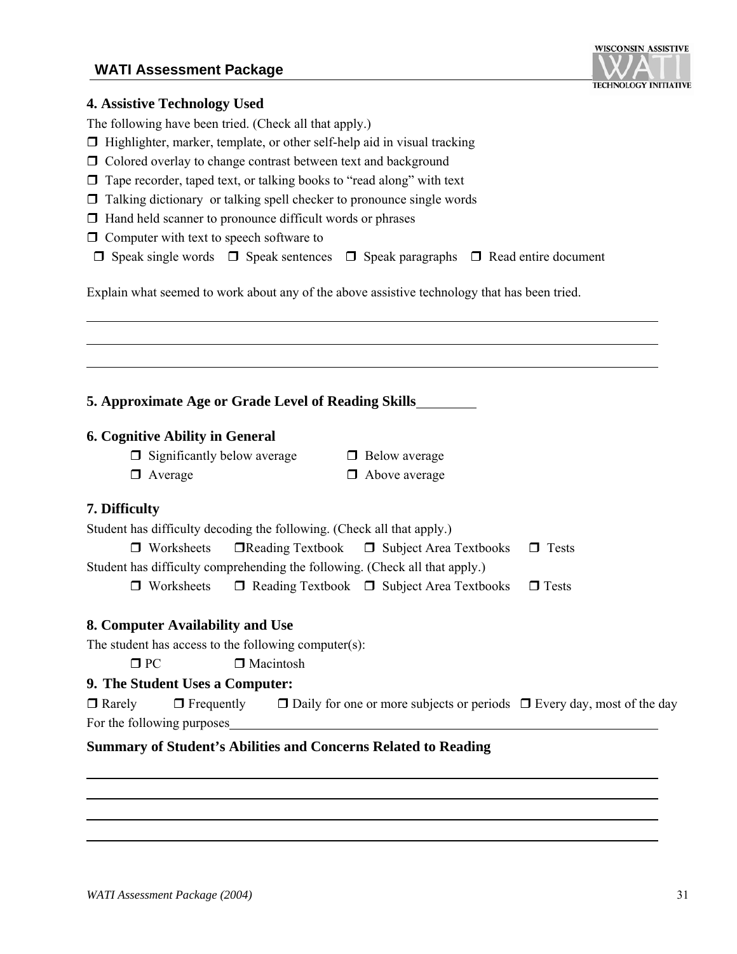#### **WATI Assessment Package**



#### **4. Assistive Technology Used**

The following have been tried. (Check all that apply.)

- $\Box$  Highlighter, marker, template, or other self-help aid in visual tracking
- Colored overlay to change contrast between text and background
- $\Box$  Tape recorder, taped text, or talking books to "read along" with text
- $\Box$  Talking dictionary or talking spell checker to pronounce single words
- $\Box$  Hand held scanner to pronounce difficult words or phrases
- $\Box$  Computer with text to speech software to
- $\Box$  Speak single words  $\Box$  Speak sentences  $\Box$  Speak paragraphs  $\Box$  Read entire document

Explain what seemed to work about any of the above assistive technology that has been tried.

**5. Approximate Age or Grade Level of Reading Skills**

#### **6. Cognitive Ability in General**

- $\Box$  Significantly below average  $\Box$  Below average
- $\Box$  Average  $\Box$  Above average
- 

#### **7. Difficulty**

| Student has difficulty decoding the following. (Check all that apply.)      |  |                                                                         |              |  |  |
|-----------------------------------------------------------------------------|--|-------------------------------------------------------------------------|--------------|--|--|
|                                                                             |  | $\Box$ Worksheets $\Box$ Reading Textbook $\Box$ Subject Area Textbooks | $\Box$ Tests |  |  |
| Student has difficulty comprehending the following. (Check all that apply.) |  |                                                                         |              |  |  |
| $\Box$ Worksheets                                                           |  | $\Box$ Reading Textbook $\Box$ Subject Area Textbooks                   | $\Box$ Tests |  |  |

#### **8. Computer Availability and Use**

The student has access to the following computer(s):

 $\Box$  PC  $\Box$  Macintosh

#### **9. The Student Uses a Computer:**

| $\Box$ Rarely              | $\Box$ Frequently | $\Box$ Daily for one or more subjects or periods $\Box$ Every day, most of the day |  |
|----------------------------|-------------------|------------------------------------------------------------------------------------|--|
| For the following purposes |                   |                                                                                    |  |

#### **Summary of Student's Abilities and Concerns Related to Reading**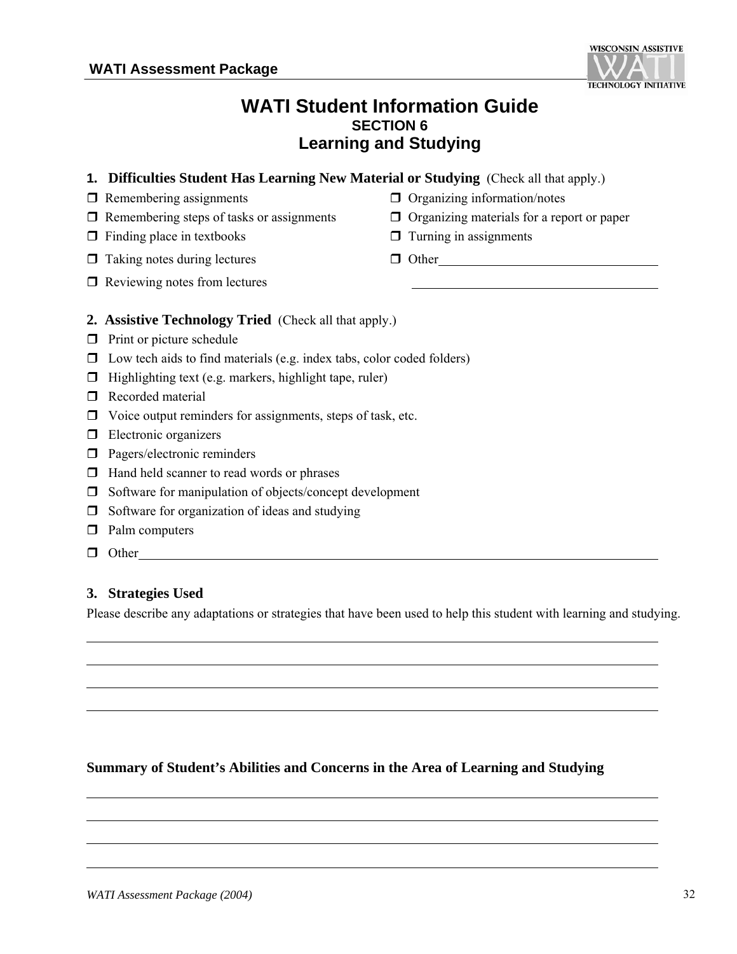#### **WATI Student Information Guide SECTION 6 Learning and Studying**

- **1. Difficulties Student Has Learning New Material or Studying** (Check all that apply.)
- 
- $\Box$  Remembering steps of tasks or assignments  $\Box$  Organizing materials for a report or paper
- $\Box$  Finding place in textbooks  $\Box$  Turning in assignments
- $\Box$  Taking notes during lectures  $\Box$  Other
- $\Box$  Reviewing notes from lectures
- **2. Assistive Technology Tried** (Check all that apply.)
- $\Box$  Print or picture schedule
- $\Box$  Low tech aids to find materials (e.g. index tabs, color coded folders)
- $\Box$  Highlighting text (e.g. markers, highlight tape, ruler)
- Recorded material
- $\Box$  Voice output reminders for assignments, steps of task, etc.
- **Electronic organizers**
- **Pagers/electronic reminders**
- $\Box$  Hand held scanner to read words or phrases
- $\Box$  Software for manipulation of objects/concept development
- $\Box$  Software for organization of ideas and studying
- **Palm computers**
- $\Box$  Other

l  $\overline{a}$  $\overline{a}$  $\overline{a}$ 

l  $\overline{a}$  $\overline{a}$ 

## **3. Strategies Used**

Please describe any adaptations or strategies that have been used to help this student with learning and studying.

## **Summary of Student's Abilities and Concerns in the Area of Learning and Studying**



- $\Box$  Remembering assignments  $\Box$  Organizing information/notes
	-
	-
	-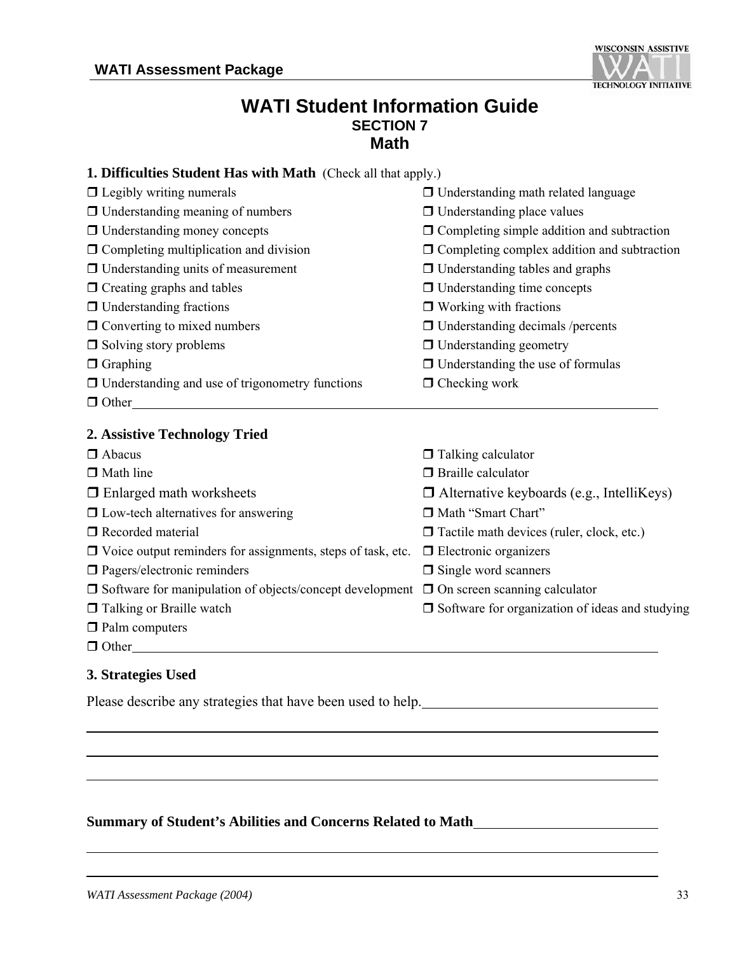

#### **WATI Student Information Guide SECTION 7 Math**

| 1. Difficulties Student Has with Math (Check all that apply.)                                        |                                                        |
|------------------------------------------------------------------------------------------------------|--------------------------------------------------------|
| $\Box$ Legibly writing numerals                                                                      | $\Box$ Understanding math related language             |
| $\Box$ Understanding meaning of numbers                                                              | $\Box$ Understanding place values                      |
| $\Box$ Understanding money concepts                                                                  | $\Box$ Completing simple addition and subtraction      |
| $\Box$ Completing multiplication and division                                                        | $\Box$ Completing complex addition and subtraction     |
| $\Box$ Understanding units of measurement                                                            | $\Box$ Understanding tables and graphs                 |
| $\Box$ Creating graphs and tables                                                                    | $\Box$ Understanding time concepts                     |
| $\Box$ Understanding fractions                                                                       | $\Box$ Working with fractions                          |
| $\Box$ Converting to mixed numbers                                                                   | $\Box$ Understanding decimals /percents                |
| $\Box$ Solving story problems                                                                        | $\Box$ Understanding geometry                          |
| $\Box$ Graphing                                                                                      | $\Box$ Understanding the use of formulas               |
| $\Box$ Understanding and use of trigonometry functions                                               | $\Box$ Checking work                                   |
| $\Box$ Other                                                                                         |                                                        |
| 2. Assistive Technology Tried                                                                        |                                                        |
| $\Box$ Abacus                                                                                        | $\Box$ Talking calculator                              |
| $\Box$ Math line                                                                                     | $\Box$ Braille calculator                              |
| $\Box$ Enlarged math worksheets                                                                      | $\Box$ Alternative keyboards (e.g., IntelliKeys)       |
| $\Box$ Low-tech alternatives for answering                                                           | Math "Smart Chart"                                     |
| $\Box$ Recorded material                                                                             | $\Box$ Tactile math devices (ruler, clock, etc.)       |
| $\Box$ Voice output reminders for assignments, steps of task, etc.                                   | $\Box$ Electronic organizers                           |
| $\square$ Pagers/electronic reminders                                                                | $\Box$ Single word scanners                            |
| $\Box$ Software for manipulation of objects/concept development $\Box$ On screen scanning calculator |                                                        |
| □ Talking or Braille watch                                                                           | $\Box$ Software for organization of ideas and studying |
| $\Box$ Palm computers                                                                                |                                                        |
| $\Box$ Other                                                                                         |                                                        |
| 3. Strategies Used                                                                                   |                                                        |
| Please describe any strategies that have been used to help.                                          |                                                        |

**Summary of Student's Abilities and Concerns Related to Math**

l

 $\overline{a}$  $\overline{a}$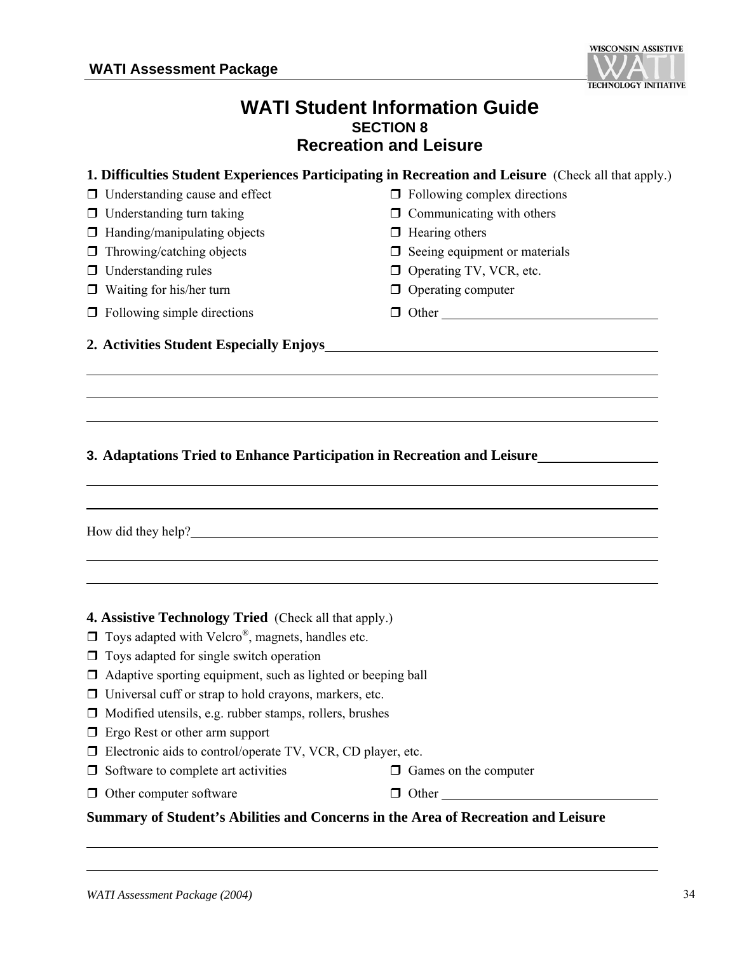

#### **WATI Student Information Guide SECTION 8 Recreation and Leisure**

| 1. Difficulties Student Experiences Participating in Recreation and Leisure (Check all that apply.)                                                                                                                                                                                                                                                                                                                                                                                                                |                                                                                                                        |
|--------------------------------------------------------------------------------------------------------------------------------------------------------------------------------------------------------------------------------------------------------------------------------------------------------------------------------------------------------------------------------------------------------------------------------------------------------------------------------------------------------------------|------------------------------------------------------------------------------------------------------------------------|
| $\Box$ Understanding cause and effect                                                                                                                                                                                                                                                                                                                                                                                                                                                                              | $\Box$ Following complex directions                                                                                    |
| Understanding turn taking<br>$\Box$                                                                                                                                                                                                                                                                                                                                                                                                                                                                                | $\Box$ Communicating with others                                                                                       |
| Handing/manipulating objects<br>□                                                                                                                                                                                                                                                                                                                                                                                                                                                                                  | $\Box$ Hearing others                                                                                                  |
| Throwing/catching objects<br>$\Box$                                                                                                                                                                                                                                                                                                                                                                                                                                                                                | $\Box$ Seeing equipment or materials                                                                                   |
| Understanding rules<br>0                                                                                                                                                                                                                                                                                                                                                                                                                                                                                           | <b>D</b> Operating TV, VCR, etc.                                                                                       |
| $\Box$ Waiting for his/her turn                                                                                                                                                                                                                                                                                                                                                                                                                                                                                    | $\Box$ Operating computer                                                                                              |
| $\Box$ Following simple directions                                                                                                                                                                                                                                                                                                                                                                                                                                                                                 | $\Box$ Other                                                                                                           |
| 2. Activities Student Especially Enjoys                                                                                                                                                                                                                                                                                                                                                                                                                                                                            | <u> 1989 - Johann Stoff, deutscher Stoffen und der Stoffen und der Stoffen und der Stoffen und der Stoffen und der</u> |
| 3. Adaptations Tried to Enhance Participation in Recreation and Leisure                                                                                                                                                                                                                                                                                                                                                                                                                                            |                                                                                                                        |
| How did they help?                                                                                                                                                                                                                                                                                                                                                                                                                                                                                                 |                                                                                                                        |
| 4. Assistive Technology Tried (Check all that apply.)<br>Toys adapted with Velcro®, magnets, handles etc.<br>Toys adapted for single switch operation<br>$\Box$<br>Adaptive sporting equipment, such as lighted or beeping ball<br>$\Box$ Universal cuff or strap to hold crayons, markers, etc.<br>Modified utensils, e.g. rubber stamps, rollers, brushes<br>Ergo Rest or other arm support<br>□<br>Electronic aids to control/operate TV, VCR, CD player, etc.<br>$\Box$<br>Software to complete art activities | $\Box$ Games on the computer                                                                                           |
| $\Box$ Other computer software                                                                                                                                                                                                                                                                                                                                                                                                                                                                                     | $\Box$ Other                                                                                                           |

**Summary of Student's Abilities and Concerns in the Area of Recreation and Leisure**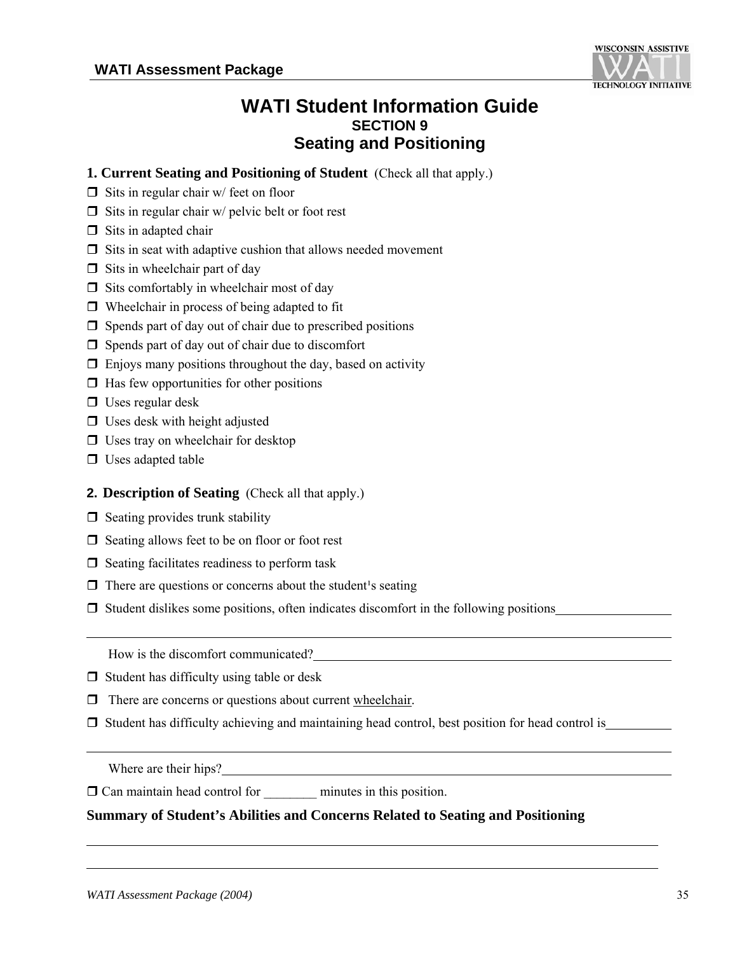

#### **WATI Student Information Guide SECTION 9 Seating and Positioning**

- **1. Current Seating and Positioning of Student** (Check all that apply.)
- $\Box$  Sits in regular chair w/ feet on floor
- $\Box$  Sits in regular chair w/ pelvic belt or foot rest
- $\Box$  Sits in adapted chair
- $\Box$  Sits in seat with adaptive cushion that allows needed movement
- $\Box$  Sits in wheelchair part of day
- $\Box$  Sits comfortably in wheelchair most of day
- $\Box$  Wheelchair in process of being adapted to fit
- $\Box$  Spends part of day out of chair due to prescribed positions
- $\Box$  Spends part of day out of chair due to discomfort
- $\Box$  Enjoys many positions throughout the day, based on activity
- $\Box$  Has few opportunities for other positions
- $\Box$  Uses regular desk
- $\Box$  Uses desk with height adjusted
- $\Box$  Uses tray on wheelchair for desktop
- $\Box$  Uses adapted table

#### **2. Description of Seating** (Check all that apply.)

- $\Box$  Seating provides trunk stability
- $\Box$  Seating allows feet to be on floor or foot rest
- $\Box$  Seating facilitates readiness to perform task
- $\Box$  There are questions or concerns about the student's seating
- $\Box$  Student dislikes some positions, often indicates discomfort in the following positions

How is the discomfort communicated?

- $\Box$  Student has difficulty using table or desk
- $\Box$  There are concerns or questions about current wheelchair.
- $\Box$  Student has difficulty achieving and maintaining head control, best position for head control is

Where are their hips?

 $\overline{a}$ 

Can maintain head control for \_\_\_\_\_\_\_\_ minutes in this position.

#### **Summary of Student's Abilities and Concerns Related to Seating and Positioning**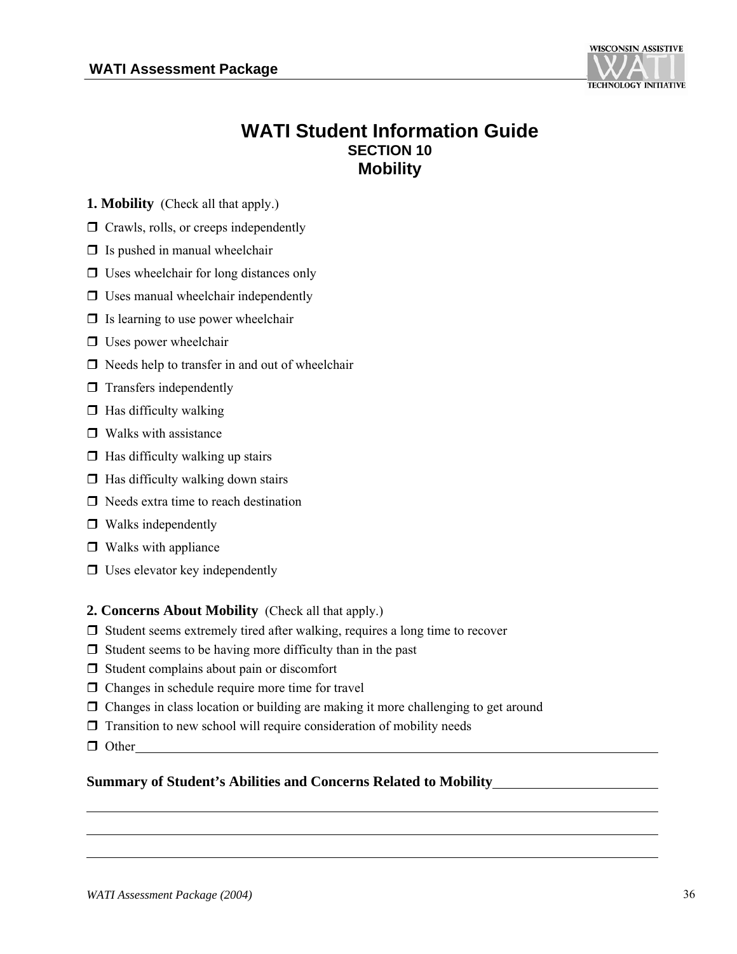

### **WATI Student Information Guide SECTION 10 Mobility**

**1. Mobility** (Check all that apply.)

- $\Box$  Crawls, rolls, or creeps independently
- $\Box$  Is pushed in manual wheelchair
- $\Box$  Uses wheelchair for long distances only
- $\Box$  Uses manual wheelchair independently
- $\Box$  Is learning to use power wheelchair
- $\Box$  Uses power wheelchair
- $\Box$  Needs help to transfer in and out of wheelchair
- $\Box$  Transfers independently
- $\Box$  Has difficulty walking
- $\Box$  Walks with assistance
- $\Box$  Has difficulty walking up stairs
- $\Box$  Has difficulty walking down stairs
- $\Box$  Needs extra time to reach destination
- □ Walks independently
- $\Box$  Walks with appliance
- $\Box$  Uses elevator key independently

#### **2. Concerns About Mobility** (Check all that apply.)

- $\Box$  Student seems extremely tired after walking, requires a long time to recover
- $\Box$  Student seems to be having more difficulty than in the past
- $\Box$  Student complains about pain or discomfort
- $\Box$  Changes in schedule require more time for travel
- Changes in class location or building are making it more challenging to get around
- $\Box$  Transition to new school will require consideration of mobility needs
- **Other**

#### **Summary of Student's Abilities and Concerns Related to Mobility**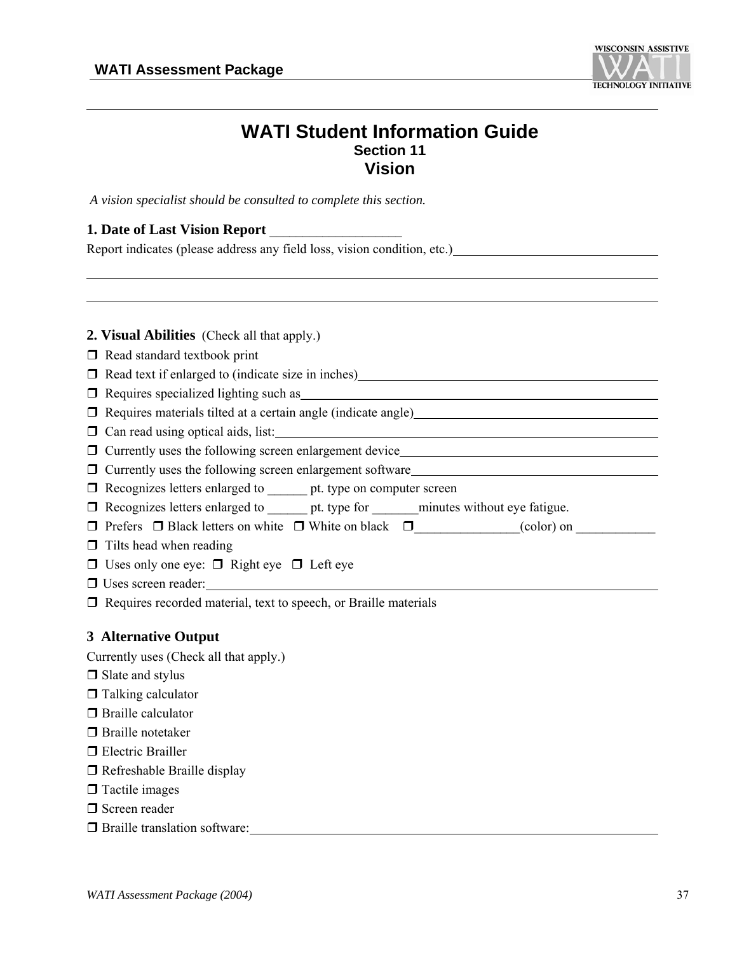

#### **WATI Student Information Guide Section 11 Vision**

*A vision specialist should be consulted to complete this section.* 

#### **1. Date of Last Vision Report** \_\_\_\_\_\_\_\_\_\_\_\_\_\_\_\_\_\_\_\_

| Report indicates (please address any field loss, vision condition, etc.) |  |  |  |  |
|--------------------------------------------------------------------------|--|--|--|--|
|                                                                          |  |  |  |  |

| <b>2. Visual Abilities</b> (Check all that apply.)                                                                               |
|----------------------------------------------------------------------------------------------------------------------------------|
| $\Box$ Read standard textbook print                                                                                              |
| □ Read text if enlarged to (indicate size in inches)<br>□ Read text if enlarged to (indicate size in inches)                     |
| Requires specialized lighting such as 100 million and the specialized lighting such as                                           |
| Requires materials tilted at a certain angle (indicate angle) COME Requires materials tilted at a certain angle (indicate angle) |
| $\Box$ Can read using optical aids, list:                                                                                        |
|                                                                                                                                  |
| $\Box$ Currently uses the following screen enlargement software                                                                  |
| $\Box$ Recognizes letters enlarged to $\Box$ bt. type on computer screen                                                         |
| □ Recognizes letters enlarged to _______ pt. type for ________ minutes without eye fatigue.                                      |
|                                                                                                                                  |
| $\Box$ Tilts head when reading                                                                                                   |
| $\Box$ Uses only one eye: $\Box$ Right eye $\Box$ Left eye                                                                       |
|                                                                                                                                  |
| $\Box$ Requires recorded material, text to speech, or Braille materials                                                          |
|                                                                                                                                  |
| <b>3 Alternative Output</b>                                                                                                      |
| Currently uses (Check all that apply.)                                                                                           |
| $\Box$ Slate and stylus                                                                                                          |
| $\Box$ Talking calculator                                                                                                        |
| $\Box$ Braille calculator                                                                                                        |
| $\Box$ Braille notetaker                                                                                                         |
| $\Box$ Electric Brailler                                                                                                         |
| $\Box$ Refreshable Braille display                                                                                               |
| $\Box$ Tactile images                                                                                                            |
| $\Box$ Screen reader                                                                                                             |
| $\Box$ Braille translation software:                                                                                             |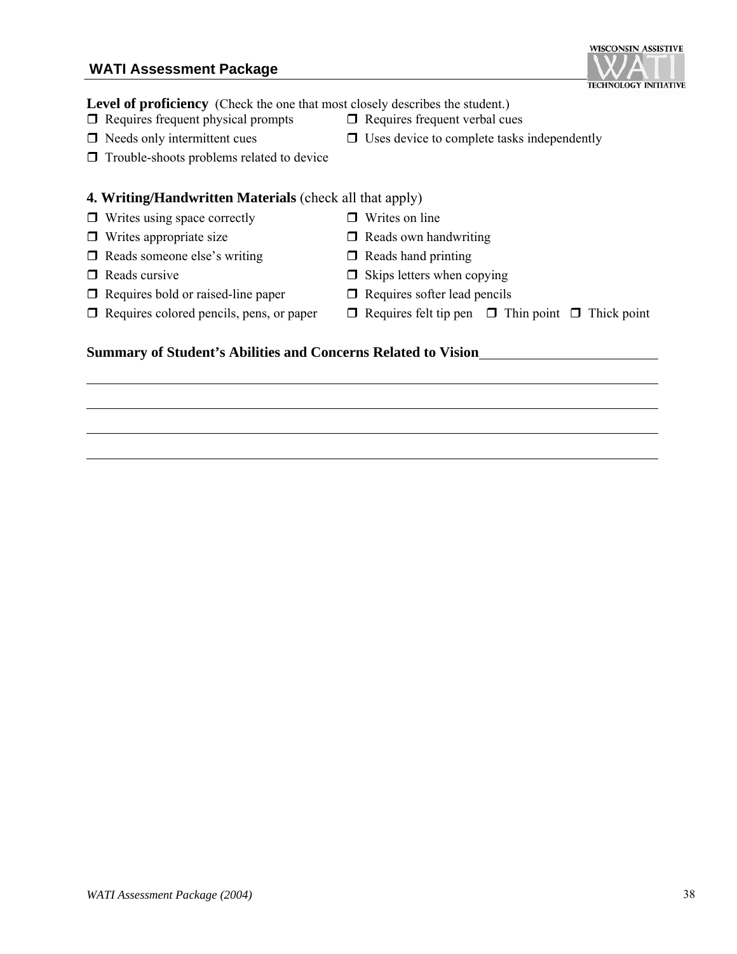#### **WATI Assessment Package**

#### Level of proficiency (Check the one that most closely describes the student.)

- $\Box$  Requires frequent physical prompts  $\Box$  Requires frequent verbal cues
- $\Box$  Needs only intermittent cues  $\Box$  Uses device to complete tasks independently
- $\Box$  Trouble-shoots problems related to device

#### **4. Writing/Handwritten Materials** (check all that apply)

- $\Box$  Writes using space correctly  $\Box$  Writes on line
- $\Box$  Writes appropriate size  $\Box$  Reads own handwriting
- $\Box$  Reads someone else's writing  $\Box$  Reads hand printing
- 
- $\Box$  Requires bold or raised-line paper  $\Box$  Requires softer lead pencils
- 
- 

**Summary of Student's Abilities and Concerns Related to Vision**

- 
- $\Box$  Reads cursive  $\Box$  Skips letters when copying
	-
- $\Box$  Requires colored pencils, pens, or paper  $\Box$  Requires felt tip pen  $\Box$  Thin point  $\Box$  Thick point

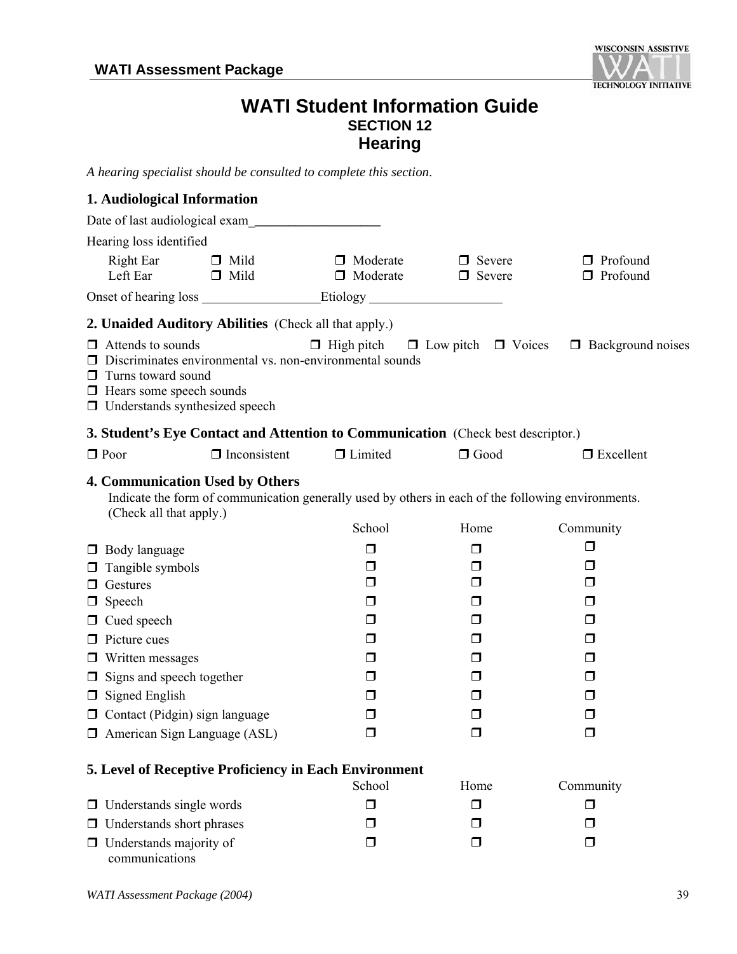

#### **WATI Student Information Guide SECTION 12 Hearing**

*A hearing specialist should be consulted to complete this section*.

#### **1. Audiological Information** Date of last audiological exam\_**\_\_\_\_\_\_\_\_\_\_\_\_\_\_\_\_\_\_\_**  Hearing loss identified Right Ear  $\Box$  Mild  $\Box$  Moderate  $\Box$  Severe  $\Box$  Profound Left Ear **D** Mild **D** Moderate **D** Severe **D** Profound Onset of hearing loss Etiology **2. Unaided Auditory Abilities** (Check all that apply.)  $\Box$  Attends to sounds  $\Box$  High pitch  $\Box$  Low pitch  $\Box$  Voices  $\Box$  Background noises  $\Box$  Discriminates environmental vs. non-environmental sounds  $\Box$  Turns toward sound  $\Box$  Hears some speech sounds  $\Box$  Understands synthesized speech **3. Student's Eye Contact and Attention to Communication** (Check best descriptor.)  $\Box$  Poor  $\Box$  Inconsistent  $\Box$  Limited  $\Box$  Good  $\Box$  Excellent **4. Communication Used by Others**  Indicate the form of communication generally used by others in each of the following environments. (Check all that apply.) School Home Community **D** Body language  $\Box$  Tangible symbols  $\Box$  $\Box$  $\Box$  $\Box$  $\Box$  $\Box$  $\Box$  Gestures  $\Box$  $\Box$  Speech  $\Box$  $\Box$  Cued speech  $\Box$  $\Box$  Picture cues  $\Box$   $\Box$   $\Box$   $\Box$  $\square$  Written messages  $\square$  $\Box$  Signs and speech together  $\Box$  $\Box$  Signed English  $\Box$  $\Box$  Contact (Pidgin) sign language  $\Box$  $\Box$  American Sign Language (ASL)  $\Box$ **5. Level of Receptive Proficiency in Each Environment** School Home Community  $\Box$  Understands single words  $\Box$  $\Box$  Understands short phrases  $\Box$  $\Box$  Understands majority of  $\Box$

*WATI Assessment Package (2004)* 39

communications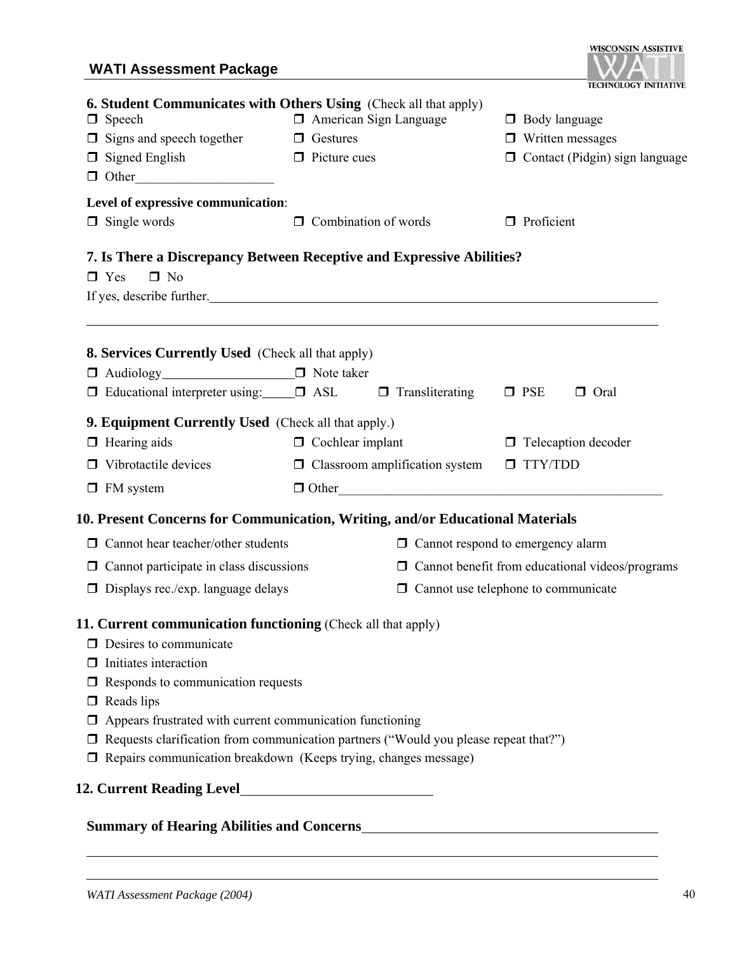#### **WATI Assessment Package**

| <b>WATI Assessment Package</b>                                                                                                                                                                                                                                                                                                                                                                                                                 |                                                        |                                                        |                                                           |
|------------------------------------------------------------------------------------------------------------------------------------------------------------------------------------------------------------------------------------------------------------------------------------------------------------------------------------------------------------------------------------------------------------------------------------------------|--------------------------------------------------------|--------------------------------------------------------|-----------------------------------------------------------|
| <b>6. Student Communicates with Others Using</b> (Check all that apply)<br>$\Box$ Speech<br>$\Box$ Signs and speech together $\Box$ Gestures<br>$\Box$ Signed English<br>$\Box$ Other                                                                                                                                                                                                                                                          | <b>I</b> American Sign Language<br>$\Box$ Picture cues | $\Box$ Body language<br>$\Box$ Written messages        | TECHNOLOGY INITIATIVE<br>□ Contact (Pidgin) sign language |
| Level of expressive communication:<br>$\Box$ Single words                                                                                                                                                                                                                                                                                                                                                                                      | $\Box$ Combination of words                            | <b>Proficient</b>                                      |                                                           |
| 7. Is There a Discrepancy Between Receptive and Expressive Abilities?<br>$\Box$ Yes<br>$\Box$ No<br>If yes, describe further.                                                                                                                                                                                                                                                                                                                  |                                                        |                                                        |                                                           |
| <b>8. Services Currently Used</b> (Check all that apply)<br>□ Audiology<br><u>□</u> Note taker<br>$\Box$ Educational interpreter using: $\Box$ ASL $\Box$ Transliterating                                                                                                                                                                                                                                                                      |                                                        | $\square$ PSE                                          | $\Box$ Oral                                               |
| <b>9. Equipment Currently Used</b> (Check all that apply.)                                                                                                                                                                                                                                                                                                                                                                                     |                                                        |                                                        |                                                           |
| $\Box$ Hearing aids                                                                                                                                                                                                                                                                                                                                                                                                                            | $\Box$ Cochlear implant                                |                                                        | $\Box$ Telecaption decoder                                |
| $\Box$ Vibrotactile devices                                                                                                                                                                                                                                                                                                                                                                                                                    | $\Box$ Classroom amplification system                  | TTY/TDD                                                |                                                           |
| $\Box$ FM system                                                                                                                                                                                                                                                                                                                                                                                                                               | $\Box$ Other                                           |                                                        |                                                           |
| 10. Present Concerns for Communication, Writing, and/or Educational Materials                                                                                                                                                                                                                                                                                                                                                                  |                                                        |                                                        |                                                           |
| $\Box$ Cannot hear teacher/other students                                                                                                                                                                                                                                                                                                                                                                                                      |                                                        | $\Box$ Cannot respond to emergency alarm               |                                                           |
| $\Box$ Cannot participate in class discussions                                                                                                                                                                                                                                                                                                                                                                                                 |                                                        | $\Box$ Cannot benefit from educational videos/programs |                                                           |
| $\Box$ Displays rec./exp. language delays                                                                                                                                                                                                                                                                                                                                                                                                      |                                                        | $\Box$ Cannot use telephone to communicate             |                                                           |
| <b>11. Current communication functioning</b> (Check all that apply)<br>$\Box$ Desires to communicate<br>$\Box$ Initiates interaction<br>$\Box$ Responds to communication requests<br>$\Box$ Reads lips<br>$\Box$ Appears frustrated with current communication functioning<br>□ Requests clarification from communication partners ("Would you please repeat that?")<br>$\Box$ Repairs communication breakdown (Keeps trying, changes message) |                                                        |                                                        |                                                           |
|                                                                                                                                                                                                                                                                                                                                                                                                                                                |                                                        |                                                        |                                                           |
|                                                                                                                                                                                                                                                                                                                                                                                                                                                |                                                        |                                                        |                                                           |

#### **Summary of Hearing Abilities and Concerns**

**WISCONSIN ASSISTIVE**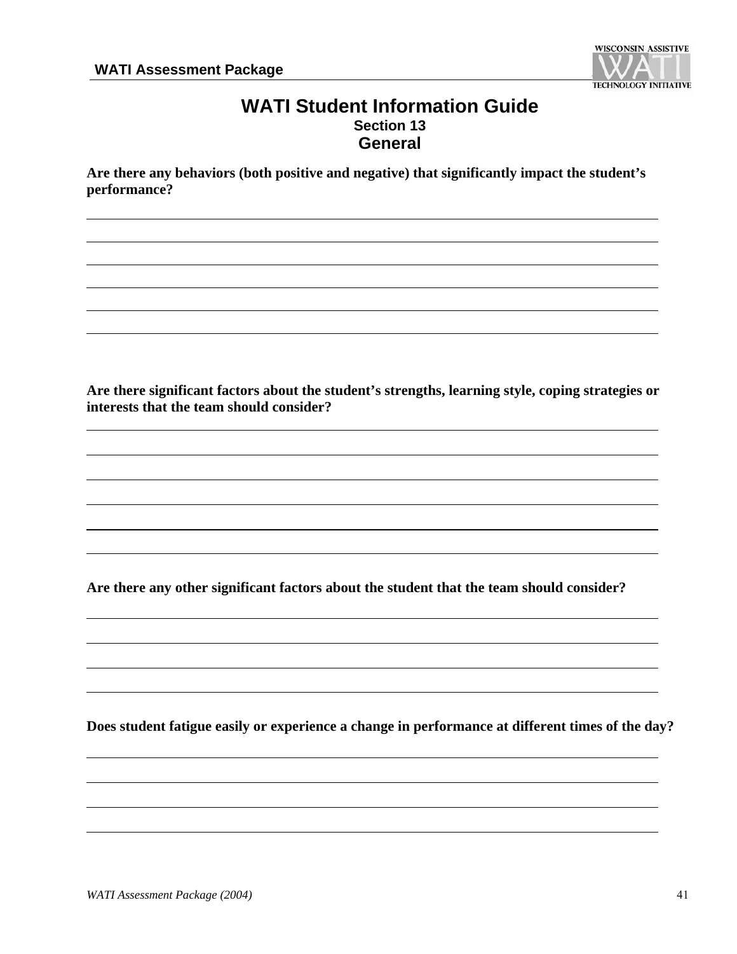

#### **WATI Student Information Guide Section 13 General**

**Are there any behaviors (both positive and negative) that significantly impact the student's performance?** 

**Are there significant factors about the student's strengths, learning style, coping strategies or interests that the team should consider?**

**Are there any other significant factors about the student that the team should consider?** 

**Does student fatigue easily or experience a change in performance at different times of the day?**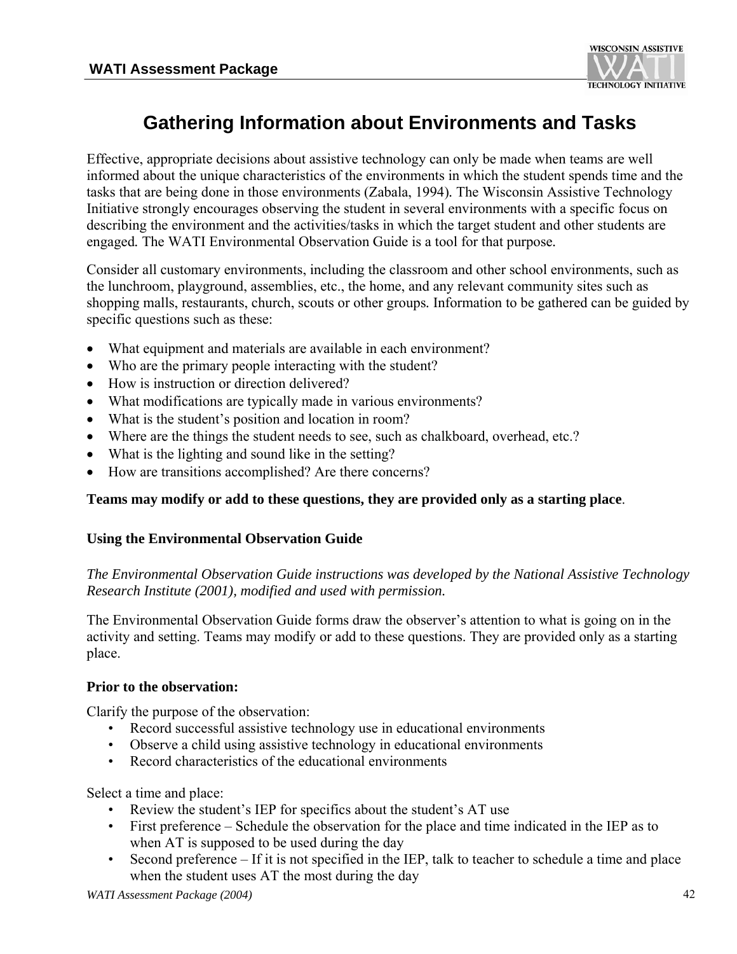

## **Gathering Information about Environments and Tasks**

Effective, appropriate decisions about assistive technology can only be made when teams are well informed about the unique characteristics of the environments in which the student spends time and the tasks that are being done in those environments (Zabala, 1994)*.* The Wisconsin Assistive Technology Initiative strongly encourages observing the student in several environments with a specific focus on describing the environment and the activities/tasks in which the target student and other students are engaged*.* The WATI Environmental Observation Guide is a tool for that purpose*.* 

Consider all customary environments, including the classroom and other school environments, such as the lunchroom, playground, assemblies, etc., the home, and any relevant community sites such as shopping malls, restaurants, church, scouts or other groups*.* Information to be gathered can be guided by specific questions such as these:

- What equipment and materials are available in each environment?
- Who are the primary people interacting with the student?
- How is instruction or direction delivered?
- What modifications are typically made in various environments?
- What is the student's position and location in room?
- Where are the things the student needs to see, such as chalkboard, overhead, etc.?
- What is the lighting and sound like in the setting?
- How are transitions accomplished? Are there concerns?

#### **Teams may modify or add to these questions, they are provided only as a starting place**.

#### **Using the Environmental Observation Guide**

#### *The Environmental Observation Guide instructions was developed by the National Assistive Technology Research Institute (2001), modified and used with permission.*

The Environmental Observation Guide forms draw the observer's attention to what is going on in the activity and setting. Teams may modify or add to these questions. They are provided only as a starting place.

#### **Prior to the observation:**

Clarify the purpose of the observation:

- Record successful assistive technology use in educational environments
- Observe a child using assistive technology in educational environments
- Record characteristics of the educational environments

Select a time and place:

- Review the student's IEP for specifics about the student's AT use
- First preference Schedule the observation for the place and time indicated in the IEP as to when AT is supposed to be used during the day
- Second preference If it is not specified in the IEP, talk to teacher to schedule a time and place when the student uses AT the most during the day

*WATI Assessment Package (2004)* 42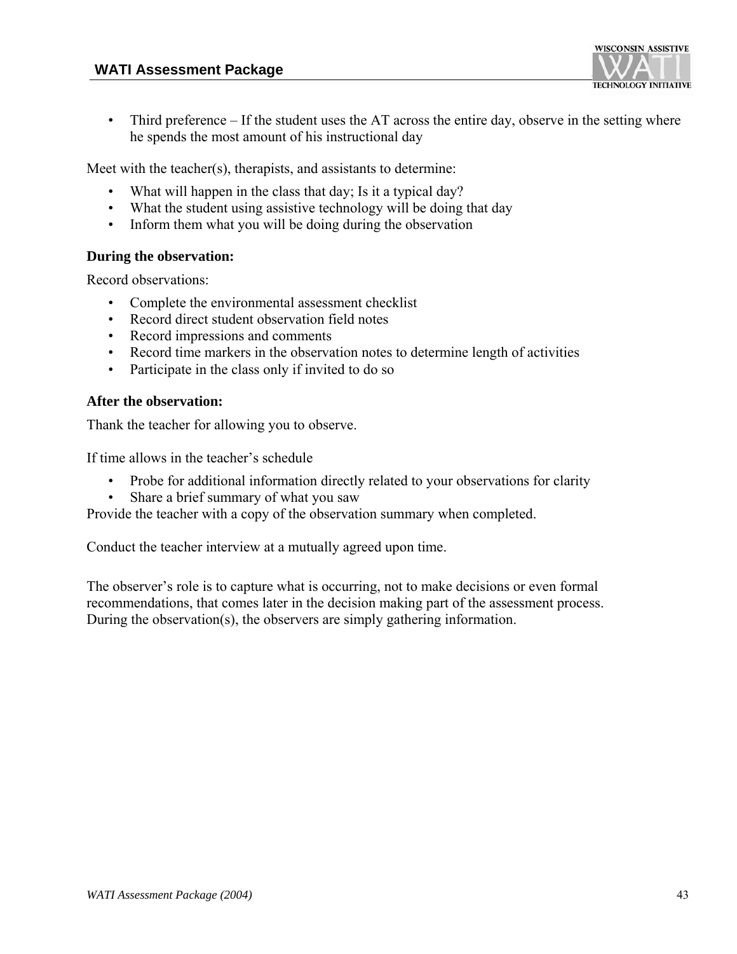

• Third preference – If the student uses the AT across the entire day, observe in the setting where he spends the most amount of his instructional day

Meet with the teacher(s), therapists, and assistants to determine:

- What will happen in the class that day; Is it a typical day?
- What the student using assistive technology will be doing that day
- Inform them what you will be doing during the observation

#### **During the observation:**

Record observations:

- Complete the environmental assessment checklist
- Record direct student observation field notes
- Record impressions and comments
- Record time markers in the observation notes to determine length of activities
- Participate in the class only if invited to do so

#### **After the observation:**

Thank the teacher for allowing you to observe.

If time allows in the teacher's schedule

- Probe for additional information directly related to your observations for clarity
- Share a brief summary of what you saw

Provide the teacher with a copy of the observation summary when completed.

Conduct the teacher interview at a mutually agreed upon time.

The observer's role is to capture what is occurring, not to make decisions or even formal recommendations, that comes later in the decision making part of the assessment process. During the observation(s), the observers are simply gathering information.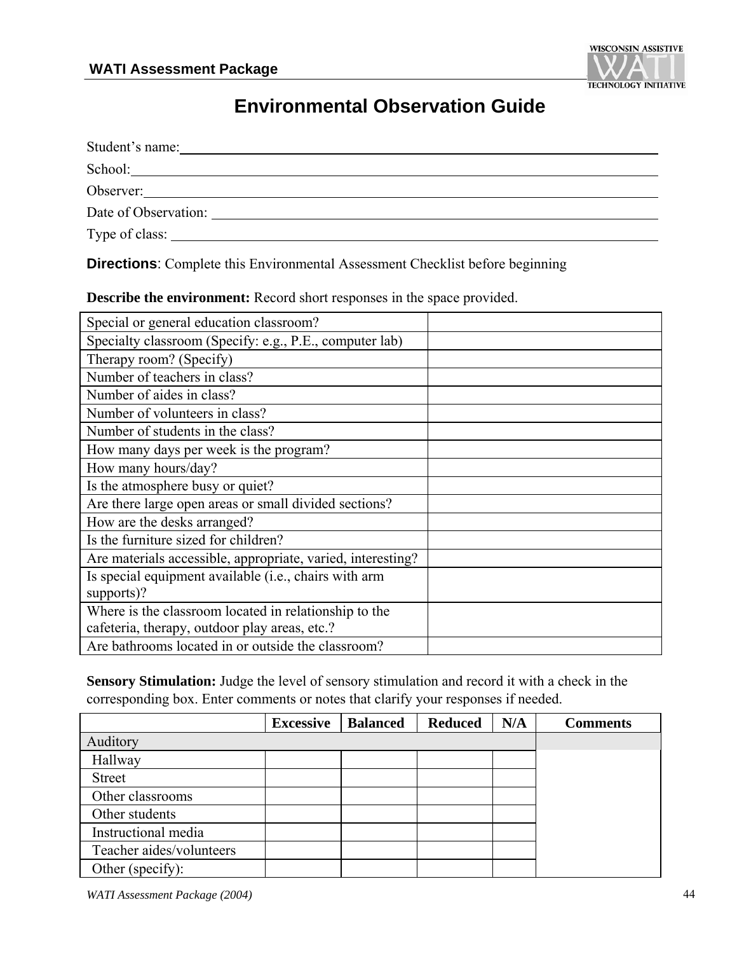

## **Environmental Observation Guide**

| Student's name:      |  |
|----------------------|--|
| School:              |  |
| Observer:            |  |
| Date of Observation: |  |
| Type of class: _____ |  |

**Directions**: Complete this Environmental Assessment Checklist before beginning

Special or general education classroom? Specialty classroom (Specify: e.g., P.E., computer lab) Therapy room? (Specify) Number of teachers in class? Number of aides in class? Number of volunteers in class? Number of students in the class? How many days per week is the program? How many hours/day? Is the atmosphere busy or quiet? Are there large open areas or small divided sections? How are the desks arranged? Is the furniture sized for children? Are materials accessible, appropriate, varied, interesting? Is special equipment available (i.e., chairs with arm supports)? Where is the classroom located in relationship to the cafeteria, therapy, outdoor play areas, etc.?

**Describe the environment:** Record short responses in the space provided.

**Sensory Stimulation:** Judge the level of sensory stimulation and record it with a check in the corresponding box. Enter comments or notes that clarify your responses if needed.

|                          | <b>Excessive</b> | <b>Balanced</b> | <b>Reduced</b> | N/A | <b>Comments</b> |
|--------------------------|------------------|-----------------|----------------|-----|-----------------|
| Auditory                 |                  |                 |                |     |                 |
| Hallway                  |                  |                 |                |     |                 |
| <b>Street</b>            |                  |                 |                |     |                 |
| Other classrooms         |                  |                 |                |     |                 |
| Other students           |                  |                 |                |     |                 |
| Instructional media      |                  |                 |                |     |                 |
| Teacher aides/volunteers |                  |                 |                |     |                 |
| Other (specify):         |                  |                 |                |     |                 |

*WATI Assessment Package (2004)* 44

Are bathrooms located in or outside the classroom?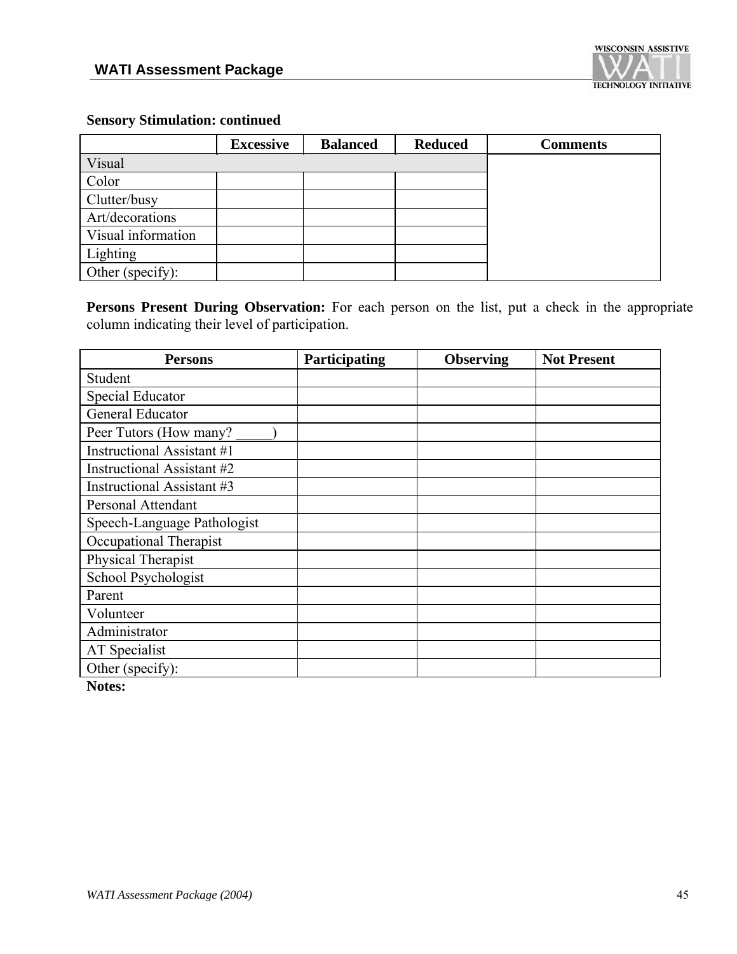

#### **Sensory Stimulation: continued**

|                    | <b>Excessive</b> | <b>Balanced</b> | <b>Reduced</b> | <b>Comments</b> |
|--------------------|------------------|-----------------|----------------|-----------------|
| Visual             |                  |                 |                |                 |
| Color              |                  |                 |                |                 |
| Clutter/busy       |                  |                 |                |                 |
| Art/decorations    |                  |                 |                |                 |
| Visual information |                  |                 |                |                 |
| Lighting           |                  |                 |                |                 |
| Other (specify):   |                  |                 |                |                 |

Persons Present During Observation: For each person on the list, put a check in the appropriate column indicating their level of participation.

| <b>Persons</b>              | Participating | <b>Observing</b> | <b>Not Present</b> |
|-----------------------------|---------------|------------------|--------------------|
| Student                     |               |                  |                    |
| Special Educator            |               |                  |                    |
| General Educator            |               |                  |                    |
| Peer Tutors (How many?      |               |                  |                    |
| Instructional Assistant #1  |               |                  |                    |
| Instructional Assistant #2  |               |                  |                    |
| Instructional Assistant #3  |               |                  |                    |
| Personal Attendant          |               |                  |                    |
| Speech-Language Pathologist |               |                  |                    |
| Occupational Therapist      |               |                  |                    |
| Physical Therapist          |               |                  |                    |
| School Psychologist         |               |                  |                    |
| Parent                      |               |                  |                    |
| Volunteer                   |               |                  |                    |
| Administrator               |               |                  |                    |
| AT Specialist               |               |                  |                    |
| Other (specify):            |               |                  |                    |

**Notes:**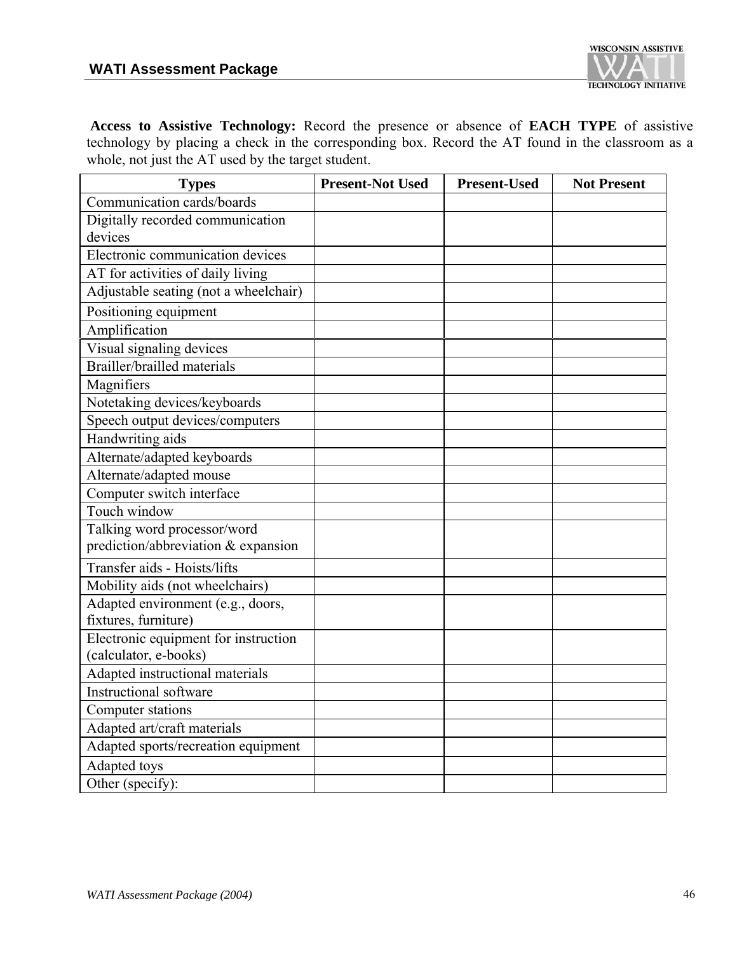

**Access to Assistive Technology:** Record the presence or absence of **EACH TYPE** of assistive technology by placing a check in the corresponding box. Record the AT found in the classroom as a whole, not just the AT used by the target student.

| <b>Types</b>                          | <b>Present-Not Used</b> | <b>Present-Used</b> | <b>Not Present</b> |
|---------------------------------------|-------------------------|---------------------|--------------------|
| Communication cards/boards            |                         |                     |                    |
| Digitally recorded communication      |                         |                     |                    |
| devices                               |                         |                     |                    |
| Electronic communication devices      |                         |                     |                    |
| AT for activities of daily living     |                         |                     |                    |
| Adjustable seating (not a wheelchair) |                         |                     |                    |
| Positioning equipment                 |                         |                     |                    |
| Amplification                         |                         |                     |                    |
| Visual signaling devices              |                         |                     |                    |
| Brailler/brailled materials           |                         |                     |                    |
| Magnifiers                            |                         |                     |                    |
| Notetaking devices/keyboards          |                         |                     |                    |
| Speech output devices/computers       |                         |                     |                    |
| Handwriting aids                      |                         |                     |                    |
| Alternate/adapted keyboards           |                         |                     |                    |
| Alternate/adapted mouse               |                         |                     |                    |
| Computer switch interface             |                         |                     |                    |
| Touch window                          |                         |                     |                    |
| Talking word processor/word           |                         |                     |                    |
| prediction/abbreviation & expansion   |                         |                     |                    |
| Transfer aids - Hoists/lifts          |                         |                     |                    |
| Mobility aids (not wheelchairs)       |                         |                     |                    |
| Adapted environment (e.g., doors,     |                         |                     |                    |
| fixtures, furniture)                  |                         |                     |                    |
| Electronic equipment for instruction  |                         |                     |                    |
| (calculator, e-books)                 |                         |                     |                    |
| Adapted instructional materials       |                         |                     |                    |
| Instructional software                |                         |                     |                    |
| Computer stations                     |                         |                     |                    |
| Adapted art/craft materials           |                         |                     |                    |
| Adapted sports/recreation equipment   |                         |                     |                    |
| Adapted toys                          |                         |                     |                    |
| Other (specify):                      |                         |                     |                    |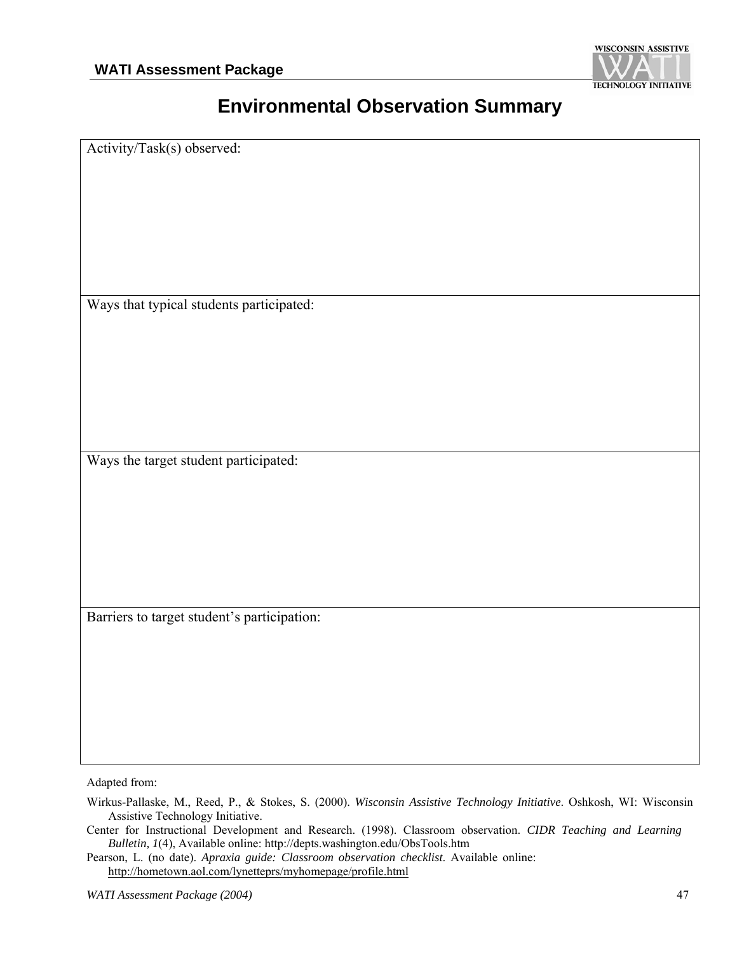

## **Environmental Observation Summary**

Activity/Task(s) observed:

Ways that typical students participated:

Ways the target student participated:

Barriers to target student's participation:

Adapted from:

Wirkus-Pallaske, M., Reed, P., & Stokes, S. (2000). *Wisconsin Assistive Technology Initiative*. Oshkosh, WI: Wisconsin Assistive Technology Initiative.

Center for Instructional Development and Research. (1998). Classroom observation. *CIDR Teaching and Learning Bulletin, 1*(4), Available online: http://depts.washington.edu/ObsTools.htm

Pearson, L. (no date). *Apraxia guide: Classroom observation checklist*. Available online: http://hometown.aol.com/lynetteprs/myhomepage/profile.html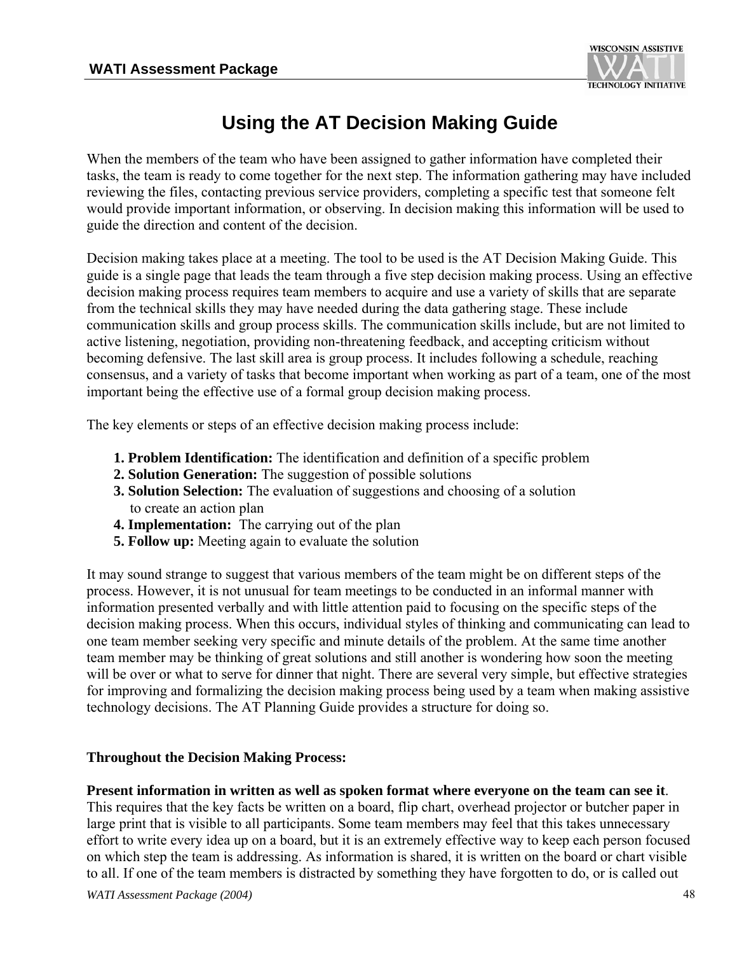

## **Using the AT Decision Making Guide**

When the members of the team who have been assigned to gather information have completed their tasks, the team is ready to come together for the next step. The information gathering may have included reviewing the files, contacting previous service providers, completing a specific test that someone felt would provide important information, or observing. In decision making this information will be used to guide the direction and content of the decision.

Decision making takes place at a meeting. The tool to be used is the AT Decision Making Guide. This guide is a single page that leads the team through a five step decision making process. Using an effective decision making process requires team members to acquire and use a variety of skills that are separate from the technical skills they may have needed during the data gathering stage. These include communication skills and group process skills. The communication skills include, but are not limited to active listening, negotiation, providing non-threatening feedback, and accepting criticism without becoming defensive. The last skill area is group process. It includes following a schedule, reaching consensus, and a variety of tasks that become important when working as part of a team, one of the most important being the effective use of a formal group decision making process.

The key elements or steps of an effective decision making process include:

- **1. Problem Identification:** The identification and definition of a specific problem
- **2. Solution Generation:** The suggestion of possible solutions
- **3. Solution Selection:** The evaluation of suggestions and choosing of a solution to create an action plan
- **4. Implementation:** The carrying out of the plan
- **5. Follow up:** Meeting again to evaluate the solution

It may sound strange to suggest that various members of the team might be on different steps of the process. However, it is not unusual for team meetings to be conducted in an informal manner with information presented verbally and with little attention paid to focusing on the specific steps of the decision making process. When this occurs, individual styles of thinking and communicating can lead to one team member seeking very specific and minute details of the problem. At the same time another team member may be thinking of great solutions and still another is wondering how soon the meeting will be over or what to serve for dinner that night. There are several very simple, but effective strategies for improving and formalizing the decision making process being used by a team when making assistive technology decisions. The AT Planning Guide provides a structure for doing so.

#### **Throughout the Decision Making Process:**

#### **Present information in written as well as spoken format where everyone on the team can see it**.

This requires that the key facts be written on a board, flip chart, overhead projector or butcher paper in large print that is visible to all participants. Some team members may feel that this takes unnecessary effort to write every idea up on a board, but it is an extremely effective way to keep each person focused on which step the team is addressing. As information is shared, it is written on the board or chart visible to all. If one of the team members is distracted by something they have forgotten to do, or is called out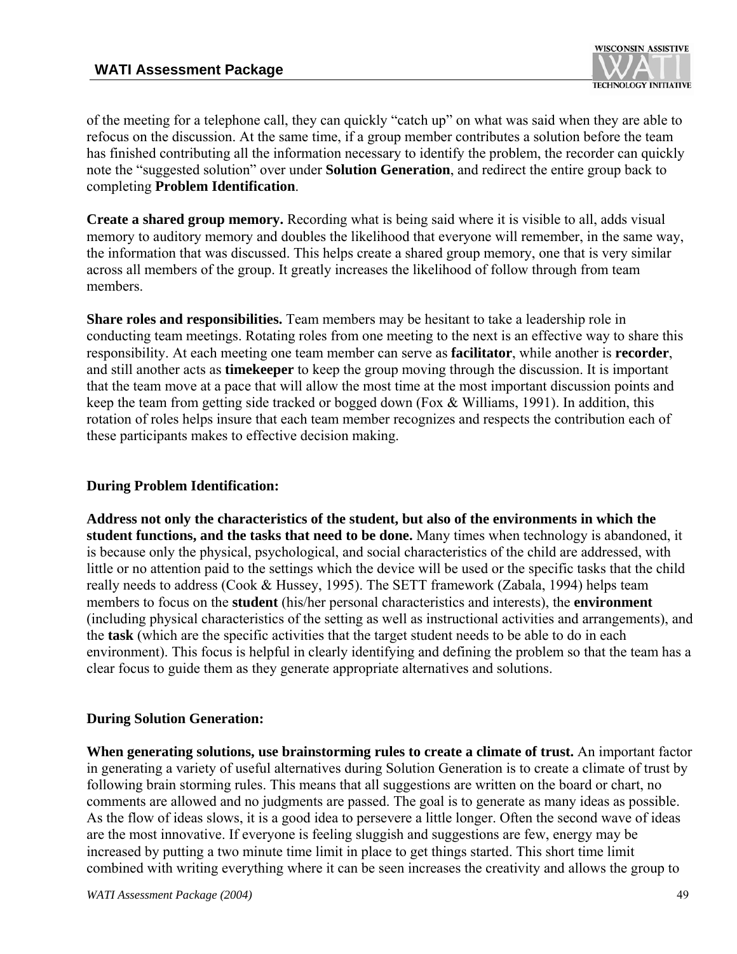

of the meeting for a telephone call, they can quickly "catch up" on what was said when they are able to refocus on the discussion. At the same time, if a group member contributes a solution before the team has finished contributing all the information necessary to identify the problem, the recorder can quickly note the "suggested solution" over under **Solution Generation**, and redirect the entire group back to completing **Problem Identification**.

**Create a shared group memory.** Recording what is being said where it is visible to all, adds visual memory to auditory memory and doubles the likelihood that everyone will remember, in the same way, the information that was discussed. This helps create a shared group memory, one that is very similar across all members of the group. It greatly increases the likelihood of follow through from team members.

**Share roles and responsibilities.** Team members may be hesitant to take a leadership role in conducting team meetings. Rotating roles from one meeting to the next is an effective way to share this responsibility. At each meeting one team member can serve as **facilitator**, while another is **recorder**, and still another acts as **timekeeper** to keep the group moving through the discussion. It is important that the team move at a pace that will allow the most time at the most important discussion points and keep the team from getting side tracked or bogged down (Fox & Williams, 1991). In addition, this rotation of roles helps insure that each team member recognizes and respects the contribution each of these participants makes to effective decision making.

#### **During Problem Identification:**

**Address not only the characteristics of the student, but also of the environments in which the student functions, and the tasks that need to be done.** Many times when technology is abandoned, it is because only the physical, psychological, and social characteristics of the child are addressed, with little or no attention paid to the settings which the device will be used or the specific tasks that the child really needs to address (Cook & Hussey, 1995). The SETT framework (Zabala, 1994) helps team members to focus on the **student** (his/her personal characteristics and interests), the **environment** (including physical characteristics of the setting as well as instructional activities and arrangements), and the **task** (which are the specific activities that the target student needs to be able to do in each environment). This focus is helpful in clearly identifying and defining the problem so that the team has a clear focus to guide them as they generate appropriate alternatives and solutions.

#### **During Solution Generation:**

**When generating solutions, use brainstorming rules to create a climate of trust.** An important factor in generating a variety of useful alternatives during Solution Generation is to create a climate of trust by following brain storming rules. This means that all suggestions are written on the board or chart, no comments are allowed and no judgments are passed. The goal is to generate as many ideas as possible. As the flow of ideas slows, it is a good idea to persevere a little longer. Often the second wave of ideas are the most innovative. If everyone is feeling sluggish and suggestions are few, energy may be increased by putting a two minute time limit in place to get things started. This short time limit combined with writing everything where it can be seen increases the creativity and allows the group to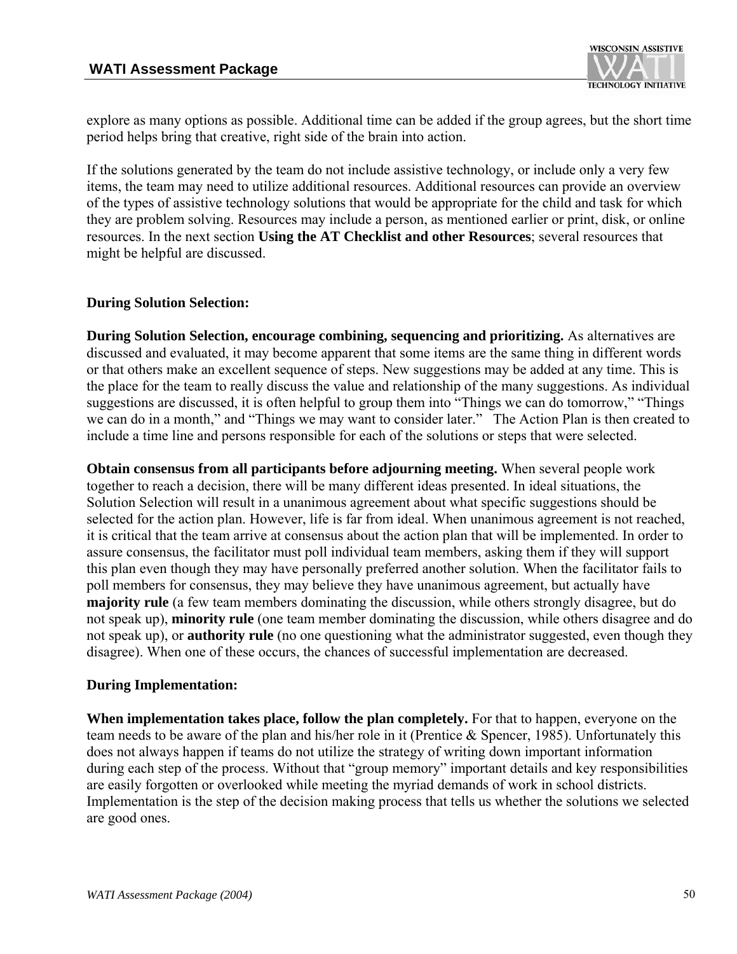

explore as many options as possible. Additional time can be added if the group agrees, but the short time period helps bring that creative, right side of the brain into action.

If the solutions generated by the team do not include assistive technology, or include only a very few items, the team may need to utilize additional resources. Additional resources can provide an overview of the types of assistive technology solutions that would be appropriate for the child and task for which they are problem solving. Resources may include a person, as mentioned earlier or print, disk, or online resources. In the next section **Using the AT Checklist and other Resources**; several resources that might be helpful are discussed.

#### **During Solution Selection:**

**During Solution Selection, encourage combining, sequencing and prioritizing.** As alternatives are discussed and evaluated, it may become apparent that some items are the same thing in different words or that others make an excellent sequence of steps. New suggestions may be added at any time. This is the place for the team to really discuss the value and relationship of the many suggestions. As individual suggestions are discussed, it is often helpful to group them into "Things we can do tomorrow," "Things we can do in a month," and "Things we may want to consider later." The Action Plan is then created to include a time line and persons responsible for each of the solutions or steps that were selected.

**Obtain consensus from all participants before adjourning meeting.** When several people work together to reach a decision, there will be many different ideas presented. In ideal situations, the Solution Selection will result in a unanimous agreement about what specific suggestions should be selected for the action plan. However, life is far from ideal. When unanimous agreement is not reached, it is critical that the team arrive at consensus about the action plan that will be implemented. In order to assure consensus, the facilitator must poll individual team members, asking them if they will support this plan even though they may have personally preferred another solution. When the facilitator fails to poll members for consensus, they may believe they have unanimous agreement, but actually have **majority rule** (a few team members dominating the discussion, while others strongly disagree, but do not speak up), **minority rule** (one team member dominating the discussion, while others disagree and do not speak up), or **authority rule** (no one questioning what the administrator suggested, even though they disagree). When one of these occurs, the chances of successful implementation are decreased.

#### **During Implementation:**

**When implementation takes place, follow the plan completely.** For that to happen, everyone on the team needs to be aware of the plan and his/her role in it (Prentice & Spencer, 1985). Unfortunately this does not always happen if teams do not utilize the strategy of writing down important information during each step of the process. Without that "group memory" important details and key responsibilities are easily forgotten or overlooked while meeting the myriad demands of work in school districts. Implementation is the step of the decision making process that tells us whether the solutions we selected are good ones.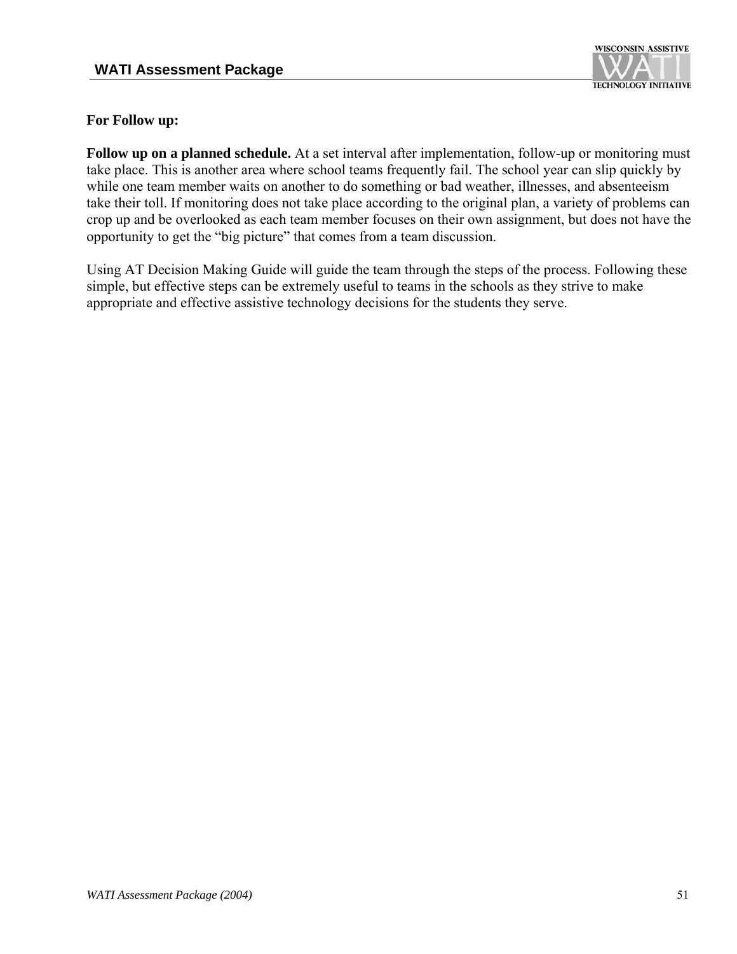

#### **For Follow up:**

**Follow up on a planned schedule.** At a set interval after implementation, follow-up or monitoring must take place. This is another area where school teams frequently fail. The school year can slip quickly by while one team member waits on another to do something or bad weather, illnesses, and absenteeism take their toll. If monitoring does not take place according to the original plan, a variety of problems can crop up and be overlooked as each team member focuses on their own assignment, but does not have the opportunity to get the "big picture" that comes from a team discussion.

Using AT Decision Making Guide will guide the team through the steps of the process. Following these simple, but effective steps can be extremely useful to teams in the schools as they strive to make appropriate and effective assistive technology decisions for the students they serve.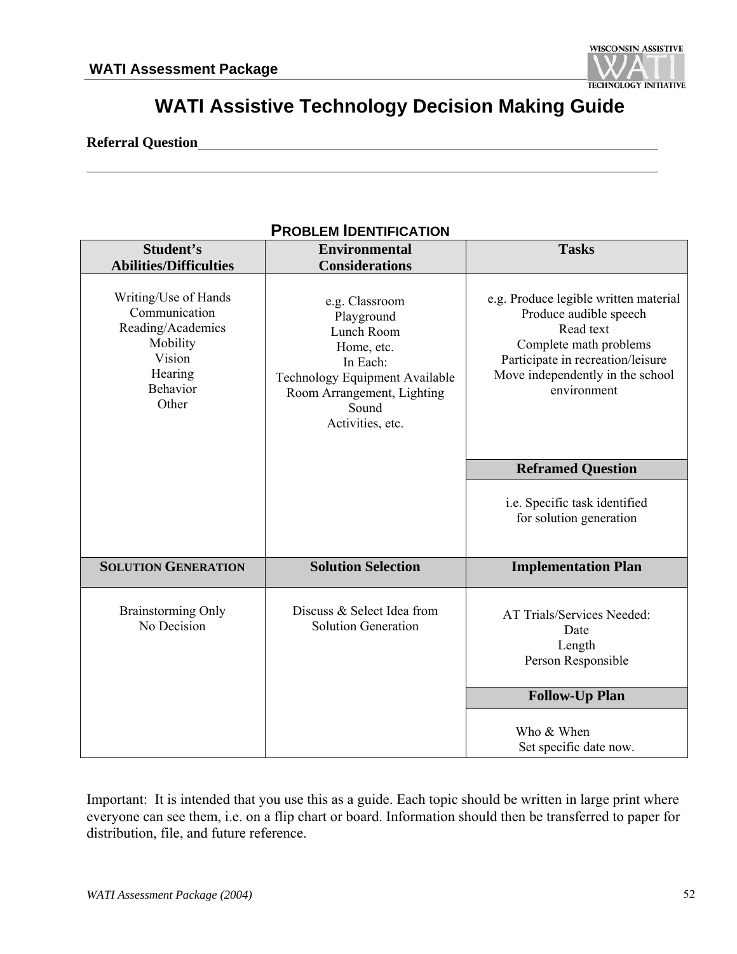

## **WATI Assistive Technology Decision Making Guide**

#### **Referral Question**

| <b>PROBLEM IDENTIFICATION</b>                                                                                           |                                                                                                                                                                   |                                                                                                                                                                                                |  |  |
|-------------------------------------------------------------------------------------------------------------------------|-------------------------------------------------------------------------------------------------------------------------------------------------------------------|------------------------------------------------------------------------------------------------------------------------------------------------------------------------------------------------|--|--|
| Student's<br><b>Abilities/Difficulties</b>                                                                              | <b>Environmental</b><br><b>Considerations</b>                                                                                                                     | <b>Tasks</b>                                                                                                                                                                                   |  |  |
| Writing/Use of Hands<br>Communication<br>Reading/Academics<br>Mobility<br>Vision<br>Hearing<br><b>Behavior</b><br>Other | e.g. Classroom<br>Playground<br>Lunch Room<br>Home, etc.<br>In Each:<br>Technology Equipment Available<br>Room Arrangement, Lighting<br>Sound<br>Activities, etc. | e.g. Produce legible written material<br>Produce audible speech<br>Read text<br>Complete math problems<br>Participate in recreation/leisure<br>Move independently in the school<br>environment |  |  |
|                                                                                                                         |                                                                                                                                                                   | <b>Reframed Question</b>                                                                                                                                                                       |  |  |
|                                                                                                                         |                                                                                                                                                                   | i.e. Specific task identified<br>for solution generation                                                                                                                                       |  |  |
| <b>SOLUTION GENERATION</b>                                                                                              | <b>Solution Selection</b>                                                                                                                                         | <b>Implementation Plan</b>                                                                                                                                                                     |  |  |
| Brainstorming Only<br>No Decision                                                                                       | Discuss & Select Idea from<br><b>Solution Generation</b>                                                                                                          | AT Trials/Services Needed:<br>Date<br>Length<br>Person Responsible                                                                                                                             |  |  |
|                                                                                                                         |                                                                                                                                                                   | <b>Follow-Up Plan</b>                                                                                                                                                                          |  |  |
|                                                                                                                         |                                                                                                                                                                   | Who & When<br>Set specific date now.                                                                                                                                                           |  |  |

Important: It is intended that you use this as a guide. Each topic should be written in large print where everyone can see them, i.e. on a flip chart or board. Information should then be transferred to paper for distribution, file, and future reference.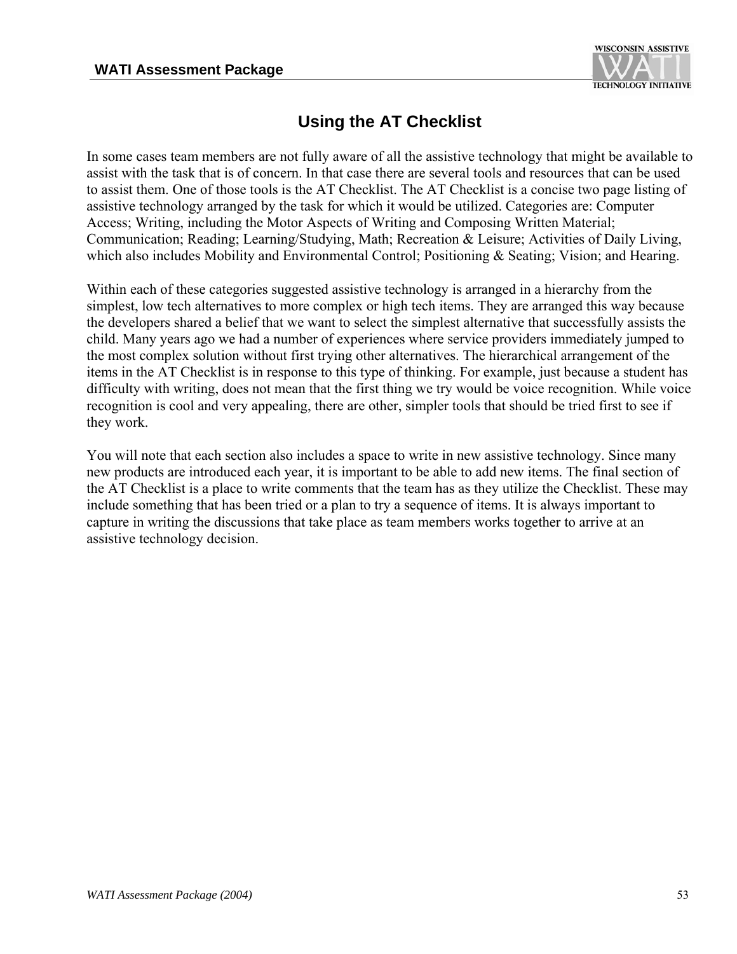

## **Using the AT Checklist**

In some cases team members are not fully aware of all the assistive technology that might be available to assist with the task that is of concern. In that case there are several tools and resources that can be used to assist them. One of those tools is the AT Checklist. The AT Checklist is a concise two page listing of assistive technology arranged by the task for which it would be utilized. Categories are: Computer Access; Writing, including the Motor Aspects of Writing and Composing Written Material; Communication; Reading; Learning/Studying, Math; Recreation & Leisure; Activities of Daily Living, which also includes Mobility and Environmental Control; Positioning & Seating; Vision; and Hearing.

Within each of these categories suggested assistive technology is arranged in a hierarchy from the simplest, low tech alternatives to more complex or high tech items. They are arranged this way because the developers shared a belief that we want to select the simplest alternative that successfully assists the child. Many years ago we had a number of experiences where service providers immediately jumped to the most complex solution without first trying other alternatives. The hierarchical arrangement of the items in the AT Checklist is in response to this type of thinking. For example, just because a student has difficulty with writing, does not mean that the first thing we try would be voice recognition. While voice recognition is cool and very appealing, there are other, simpler tools that should be tried first to see if they work.

You will note that each section also includes a space to write in new assistive technology. Since many new products are introduced each year, it is important to be able to add new items. The final section of the AT Checklist is a place to write comments that the team has as they utilize the Checklist. These may include something that has been tried or a plan to try a sequence of items. It is always important to capture in writing the discussions that take place as team members works together to arrive at an assistive technology decision.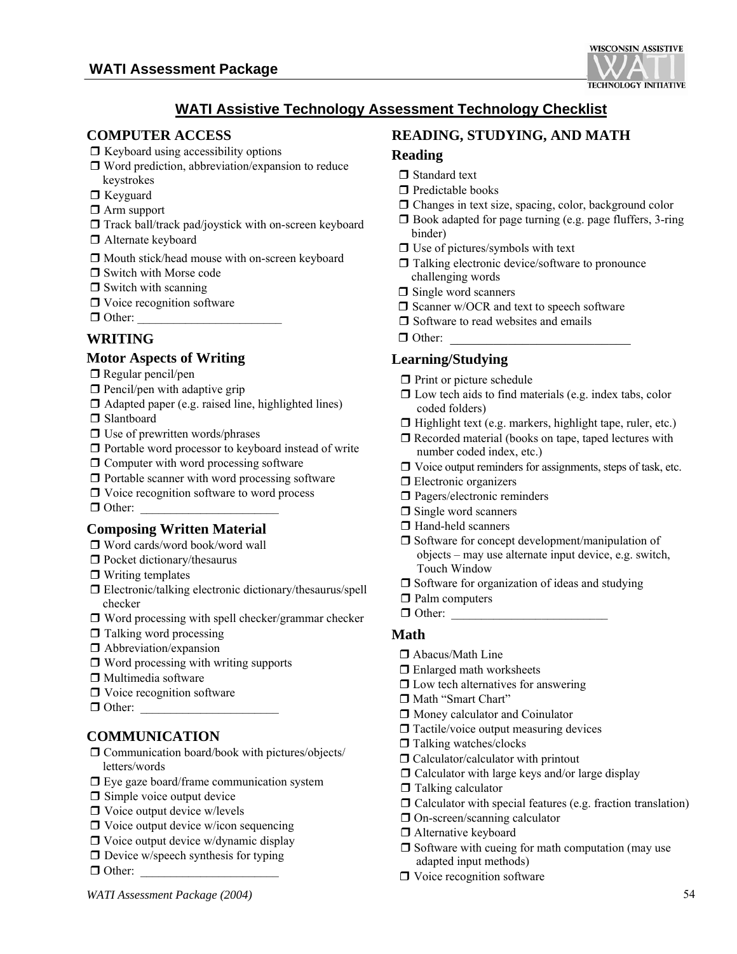

#### **WATI Assistive Technology Assessment Technology Checklist**

#### **COMPUTER ACCESS**

- $\Box$  Keyboard using accessibility options
- $\Box$  Word prediction, abbreviation/expansion to reduce keystrokes
- □ Keyguard
- □ Arm support
- $\Box$  Track ball/track pad/joystick with on-screen keyboard
- □ Alternate keyboard
- $\Box$  Mouth stick/head mouse with on-screen keyboard
- □ Switch with Morse code
- $\Box$  Switch with scanning
- □ Voice recognition software
- $\Box$  Other:

#### **WRITING**

#### **Motor Aspects of Writing**

- $\Box$  Regular pencil/pen
- $\Box$  Pencil/pen with adaptive grip
- $\Box$  Adapted paper (e.g. raised line, highlighted lines)

□ Slantboard

- $\Box$  Use of prewritten words/phrases
- $\Box$  Portable word processor to keyboard instead of write
- $\Box$  Computer with word processing software
- $\Box$  Portable scanner with word processing software
- $\Box$  Voice recognition software to word process
- $\Box$  Other:

#### **Composing Written Material**

- Word cards/word book/word wall
- $\Box$  Pocket dictionary/thesaurus
- $\Box$  Writing templates
- Electronic/talking electronic dictionary/thesaurus/spell checker
- $\Box$  Word processing with spell checker/grammar checker
- $\Box$  Talking word processing
- $\Box$  Abbreviation/expansion
- $\Box$  Word processing with writing supports
- $\Box$  Multimedia software
- □ Voice recognition software
- $\Box$  Other:

#### **COMMUNICATION**

- $\Box$  Communication board/book with pictures/objects/ letters/words
- $\Box$  Eye gaze board/frame communication system
- $\Box$  Simple voice output device
- $\Box$  Voice output device w/levels
- $\Box$  Voice output device w/icon sequencing
- $\Box$  Voice output device w/dynamic display
- $\Box$  Device w/speech synthesis for typing
- $\Box$  Other:

#### **READING, STUDYING, AND MATH**

#### **Reading**

- Standard text
- $\Box$  Predictable books
- Changes in text size, spacing, color, background color
- $\Box$  Book adapted for page turning (e.g. page fluffers, 3-ring binder)
- $\Box$  Use of pictures/symbols with text
- Talking electronic device/software to pronounce challenging words
- $\Box$  Single word scanners
- $\Box$  Scanner w/OCR and text to speech software
- $\Box$  Software to read websites and emails
- $\Box$  Other:

#### **Learning/Studying**

- $\Box$  Print or picture schedule
- $\Box$  Low tech aids to find materials (e.g. index tabs, color coded folders)
- $\Box$  Highlight text (e.g. markers, highlight tape, ruler, etc.)
- $\Box$  Recorded material (books on tape, taped lectures with number coded index, etc.)
- $\Box$  Voice output reminders for assignments, steps of task, etc.
- **Electronic organizers**
- $\square$  Pagers/electronic reminders
- $\Box$  Single word scanners
- □ Hand-held scanners
- $\Box$  Software for concept development/manipulation of objects – may use alternate input device, e.g. switch, Touch Window
- □ Software for organization of ideas and studying
- $\Box$  Palm computers
- $\Box$  Other:

#### **Math**

- □ Abacus/Math Line
- □ Enlarged math worksheets
- $\Box$  Low tech alternatives for answering
- Math "Smart Chart"
- $\Box$  Money calculator and Coinulator
- $\Box$  Tactile/voice output measuring devices
- □ Talking watches/clocks
- □ Calculator/calculator with printout
- $\Box$  Calculator with large keys and/or large display
- $\Box$  Talking calculator
- $\Box$  Calculator with special features (e.g. fraction translation)
- □ On-screen/scanning calculator
- □ Alternative keyboard
- $\Box$  Software with cueing for math computation (may use adapted input methods)
- $\Box$  Voice recognition software

*WATI Assessment Package (2004)* 54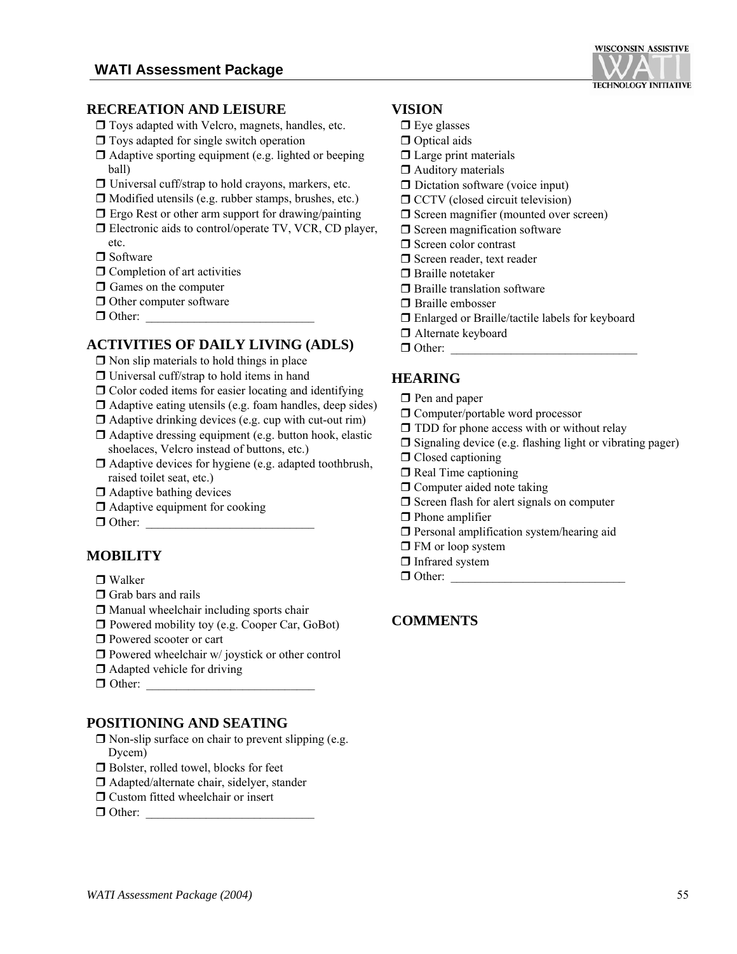

- $\Box$  Toys adapted with Velcro, magnets, handles, etc.
- $\Box$  Toys adapted for single switch operation
- $\Box$  Adaptive sporting equipment (e.g. lighted or beeping ball)
- $\Box$  Universal cuff/strap to hold crayons, markers, etc.
- $\Box$  Modified utensils (e.g. rubber stamps, brushes, etc.)
- $\Box$  Ergo Rest or other arm support for drawing/painting
- □ Electronic aids to control/operate TV, VCR, CD player, etc.
- □ Software
- $\Box$  Completion of art activities
- $\Box$  Games on the computer
- $\Box$  Other computer software
- $\Box$  Other:

#### **ACTIVITIES OF DAILY LIVING (ADLS)**

- $\Box$  Non slip materials to hold things in place
- $\Box$  Universal cuff/strap to hold items in hand
- $\Box$  Color coded items for easier locating and identifying
- $\Box$  Adaptive eating utensils (e.g. foam handles, deep sides)
- $\Box$  Adaptive drinking devices (e.g. cup with cut-out rim)
- $\Box$  Adaptive dressing equipment (e.g. button hook, elastic shoelaces, Velcro instead of buttons, etc.)
- Adaptive devices for hygiene (e.g. adapted toothbrush, raised toilet seat, etc.)
- $\Box$  Adaptive bathing devices
- $\Box$  Adaptive equipment for cooking
- $\Box$  Other:

#### **MOBILITY**

#### Walker

- $\Box$  Grab bars and rails
- $\square$  Manual wheelchair including sports chair
- □ Powered mobility toy (e.g. Cooper Car, GoBot)
- **Powered scooter or cart**
- $\Box$  Powered wheelchair w/ joystick or other control
- □ Adapted vehicle for driving
- Other: \_\_\_\_\_\_\_\_\_\_\_\_\_\_\_\_\_\_\_\_\_\_\_\_\_\_\_\_

#### **POSITIONING AND SEATING**

- $\Box$  Non-slip surface on chair to prevent slipping (e.g. Dycem)
- □ Bolster, rolled towel, blocks for feet
- □ Adapted/alternate chair, sidelyer, stander
- Custom fitted wheelchair or insert
- $\Box$  Other:

#### **VISION**

- $\Box$  Eye glasses
- **Optical aids**
- $\Box$  Large print materials
- $\Box$  Auditory materials
- $\Box$  Dictation software (voice input)
- $\Box$  CCTV (closed circuit television)
- $\Box$  Screen magnifier (mounted over screen)
- $\Box$  Screen magnification software
- □ Screen color contrast
- Screen reader, text reader
- **□** Braille notetaker
- $\Box$  Braille translation software
- **□** Braille embosser
- Enlarged or Braille/tactile labels for keyboard
- □ Alternate keyboard
- $\Box$  Other:

#### **HEARING**

- $\Box$  Pen and paper
- $\Box$  Computer/portable word processor
- **T** TDD for phone access with or without relay
- $\square$  Signaling device (e.g. flashing light or vibrating pager)
- □ Closed captioning
- $\Box$  Real Time captioning
- $\Box$  Computer aided note taking
- $\Box$  Screen flash for alert signals on computer
- **D** Phone amplifier
- $\Box$  Personal amplification system/hearing aid
- □ FM or loop system
- □ Infrared system

 $\Box$  Other:

#### **COMMENTS**

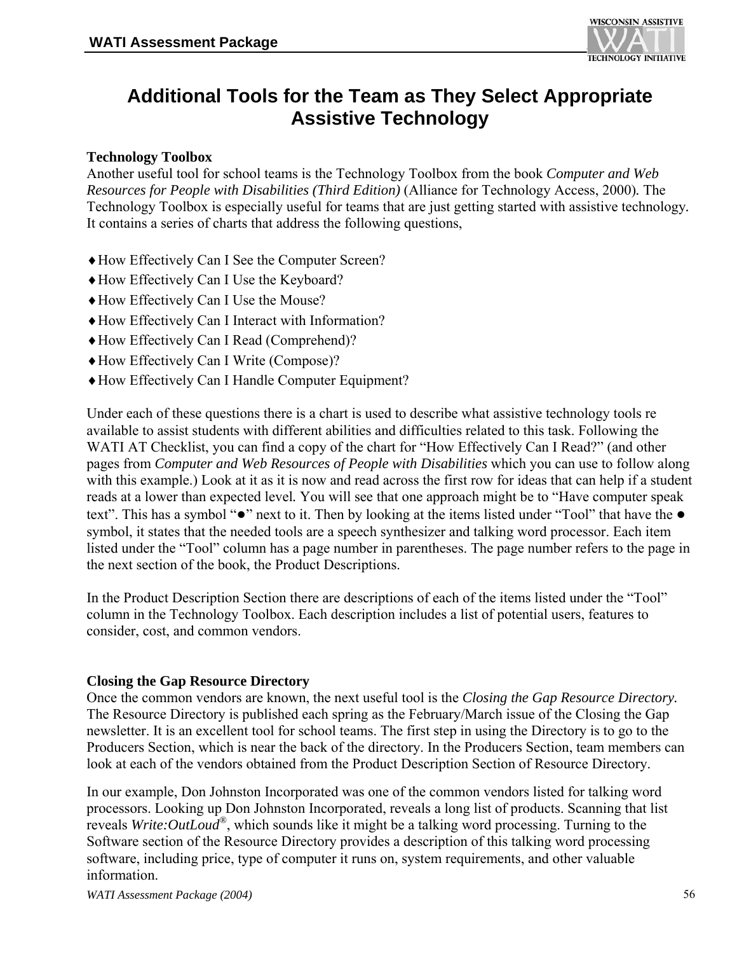

## **Additional Tools for the Team as They Select Appropriate Assistive Technology**

#### **Technology Toolbox**

Another useful tool for school teams is the Technology Toolbox from the book *Computer and Web Resources for People with Disabilities (Third Edition)* (Alliance for Technology Access, 2000)*.* The Technology Toolbox is especially useful for teams that are just getting started with assistive technology*.*  It contains a series of charts that address the following questions,

- ♦How Effectively Can I See the Computer Screen?
- ♦How Effectively Can I Use the Keyboard?
- ♦How Effectively Can I Use the Mouse?
- ♦How Effectively Can I Interact with Information?
- ♦How Effectively Can I Read (Comprehend)?
- ♦How Effectively Can I Write (Compose)?
- ♦How Effectively Can I Handle Computer Equipment?

Under each of these questions there is a chart is used to describe what assistive technology tools re available to assist students with different abilities and difficulties related to this task. Following the WATI AT Checklist, you can find a copy of the chart for "How Effectively Can I Read?" (and other pages from *Computer and Web Resources of People with Disabilities* which you can use to follow along with this example.) Look at it as it is now and read across the first row for ideas that can help if a student reads at a lower than expected level*.* You will see that one approach might be to "Have computer speak text". This has a symbol "●" next to it. Then by looking at the items listed under "Tool" that have the ● symbol, it states that the needed tools are a speech synthesizer and talking word processor. Each item listed under the "Tool" column has a page number in parentheses. The page number refers to the page in the next section of the book, the Product Descriptions.

In the Product Description Section there are descriptions of each of the items listed under the "Tool" column in the Technology Toolbox. Each description includes a list of potential users, features to consider, cost, and common vendors.

#### **Closing the Gap Resource Directory**

Once the common vendors are known, the next useful tool is the *Closing the Gap Resource Directory.*  The Resource Directory is published each spring as the February/March issue of the Closing the Gap newsletter. It is an excellent tool for school teams. The first step in using the Directory is to go to the Producers Section, which is near the back of the directory. In the Producers Section, team members can look at each of the vendors obtained from the Product Description Section of Resource Directory.

In our example, Don Johnston Incorporated was one of the common vendors listed for talking word processors. Looking up Don Johnston Incorporated, reveals a long list of products. Scanning that list reveals *Write:OutLoud®*, which sounds like it might be a talking word processing. Turning to the Software section of the Resource Directory provides a description of this talking word processing software, including price, type of computer it runs on, system requirements, and other valuable information.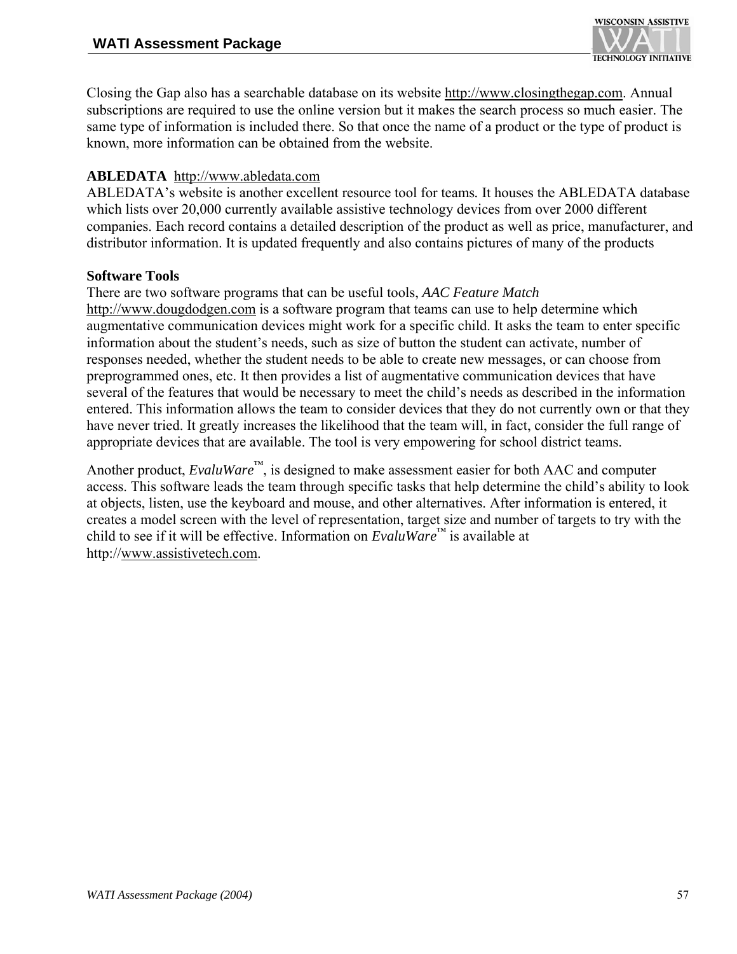

Closing the Gap also has a searchable database on its website http://www.closingthegap.com. Annual subscriptions are required to use the online version but it makes the search process so much easier. The same type of information is included there. So that once the name of a product or the type of product is known, more information can be obtained from the website.

#### **ABLEDATA** http://www.abledata.com

ABLEDATA's website is another excellent resource tool for teams*.* It houses the ABLEDATA database which lists over 20,000 currently available assistive technology devices from over 2000 different companies. Each record contains a detailed description of the product as well as price, manufacturer, and distributor information. It is updated frequently and also contains pictures of many of the products

#### **Software Tools**

#### There are two software programs that can be useful tools, *AAC Feature Match*

http://www.dougdodgen.com is a software program that teams can use to help determine which augmentative communication devices might work for a specific child. It asks the team to enter specific information about the student's needs, such as size of button the student can activate, number of responses needed, whether the student needs to be able to create new messages, or can choose from preprogrammed ones, etc. It then provides a list of augmentative communication devices that have several of the features that would be necessary to meet the child's needs as described in the information entered. This information allows the team to consider devices that they do not currently own or that they have never tried. It greatly increases the likelihood that the team will, in fact, consider the full range of appropriate devices that are available. The tool is very empowering for school district teams.

Another product, *EvaluWare*™, is designed to make assessment easier for both AAC and computer access. This software leads the team through specific tasks that help determine the child's ability to look at objects, listen, use the keyboard and mouse, and other alternatives. After information is entered, it creates a model screen with the level of representation, target size and number of targets to try with the child to see if it will be effective. Information on *EvaluWare*™ is available at http://www.assistivetech.com.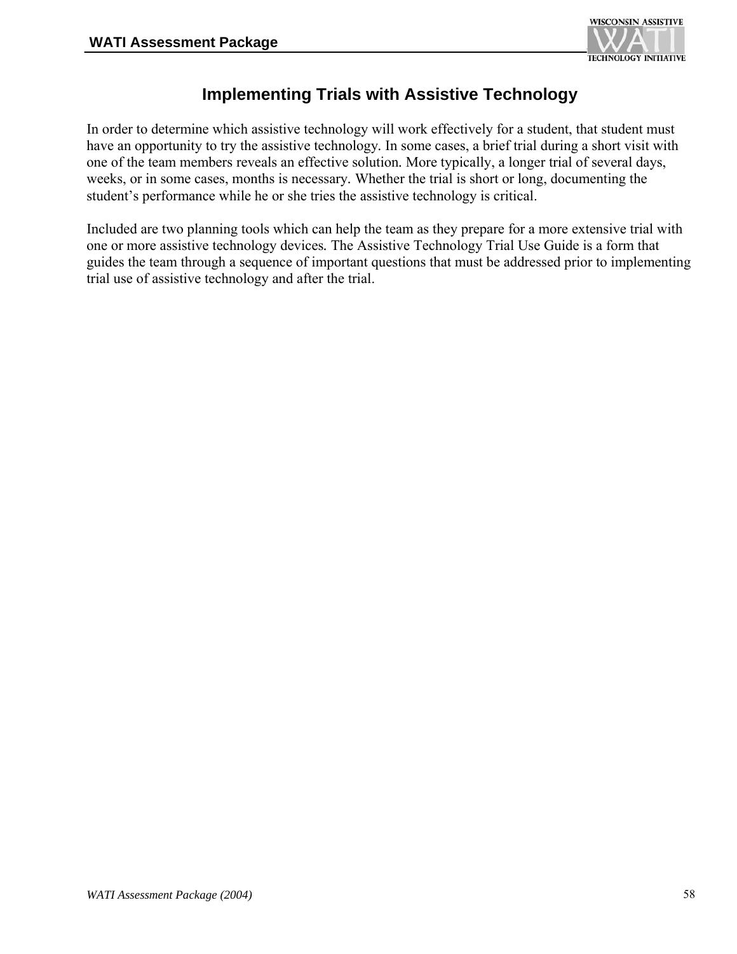

## **Implementing Trials with Assistive Technology**

In order to determine which assistive technology will work effectively for a student, that student must have an opportunity to try the assistive technology*.* In some cases, a brief trial during a short visit with one of the team members reveals an effective solution*.* More typically, a longer trial of several days, weeks, or in some cases, months is necessary*.* Whether the trial is short or long, documenting the student's performance while he or she tries the assistive technology is critical.

Included are two planning tools which can help the team as they prepare for a more extensive trial with one or more assistive technology devices*.* The Assistive Technology Trial Use Guide is a form that guides the team through a sequence of important questions that must be addressed prior to implementing trial use of assistive technology and after the trial.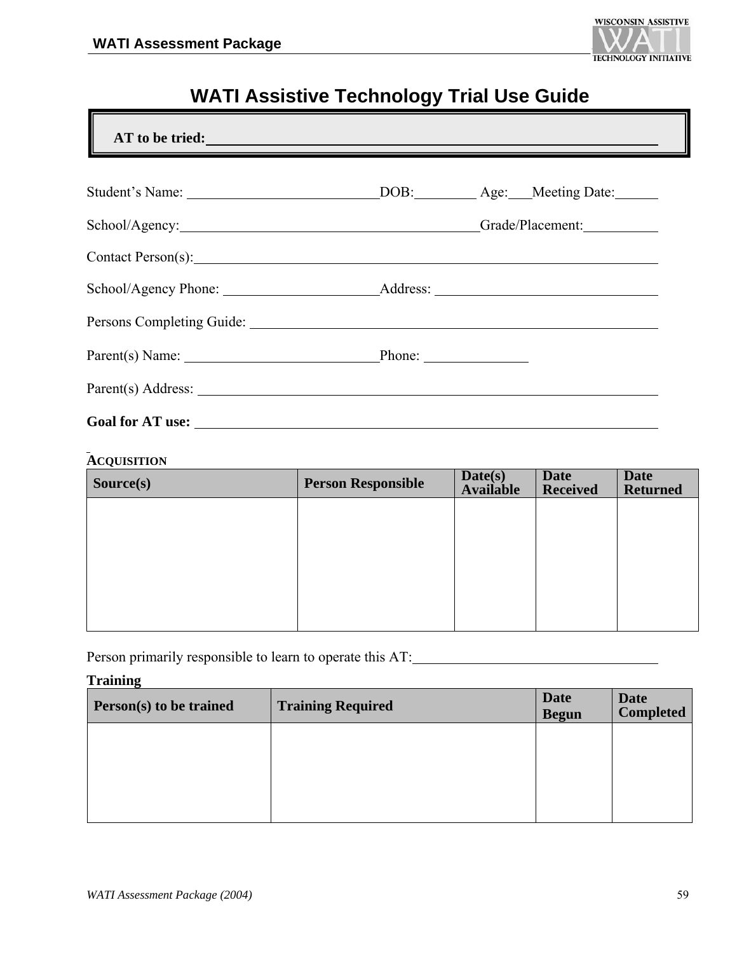

## **WATI Assistive Technology Trial Use Guide**

| Parent(s) Name: Phone: Phone: |  |
|-------------------------------|--|
|                               |  |

#### **ACQUISITION**

| Source(s) | <b>Person Responsible</b> | Date(s)<br><b>Available</b> | <b>Date</b><br><b>Received</b> | <b>Date</b><br><b>Returned</b> |
|-----------|---------------------------|-----------------------------|--------------------------------|--------------------------------|
|           |                           |                             |                                |                                |
|           |                           |                             |                                |                                |
|           |                           |                             |                                |                                |
|           |                           |                             |                                |                                |
|           |                           |                             |                                |                                |

Person primarily responsible to learn to operate this AT:

#### **Training**

| Person(s) to be trained | <b>Training Required</b> | <b>Date</b><br><b>Begun</b> | <b>Date</b><br><b>Completed</b> |
|-------------------------|--------------------------|-----------------------------|---------------------------------|
|                         |                          |                             |                                 |
|                         |                          |                             |                                 |
|                         |                          |                             |                                 |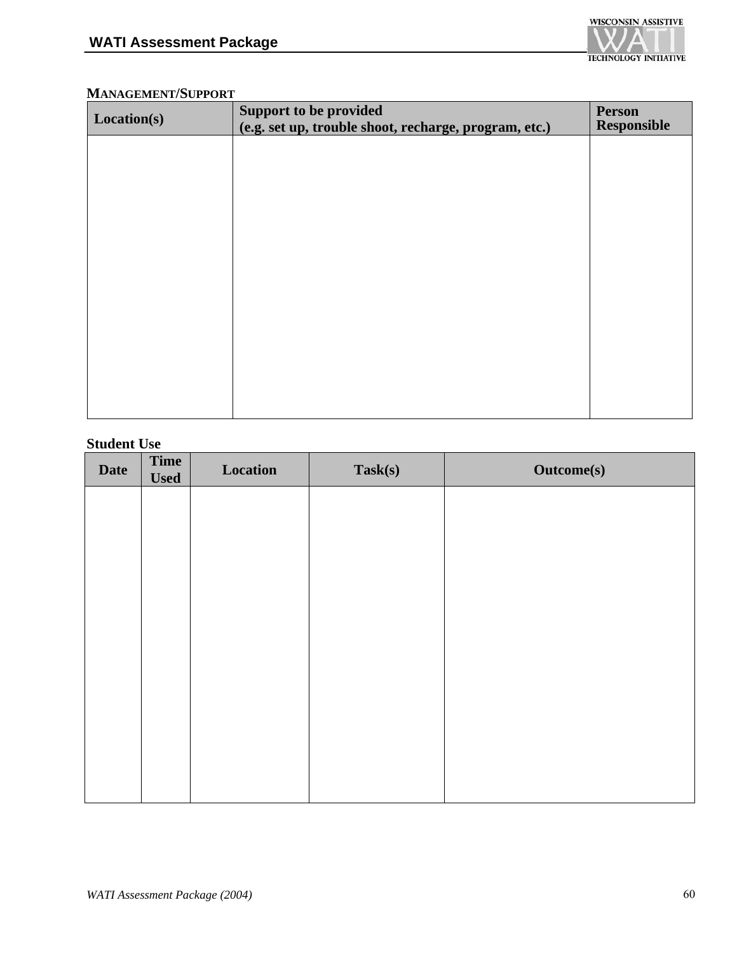

#### **MANAGEMENT/SUPPORT**

| Location(s) | <b>Support to be provided</b>                         | <b>Person</b><br><b>Responsible</b> |
|-------------|-------------------------------------------------------|-------------------------------------|
|             | (e.g. set up, trouble shoot, recharge, program, etc.) |                                     |
|             |                                                       |                                     |
|             |                                                       |                                     |
|             |                                                       |                                     |
|             |                                                       |                                     |
|             |                                                       |                                     |
|             |                                                       |                                     |
|             |                                                       |                                     |
|             |                                                       |                                     |
|             |                                                       |                                     |
|             |                                                       |                                     |
|             |                                                       |                                     |

#### **Student Use**

| Time<br><b>Used</b> | Location | Task(s) | Outcome(s) |
|---------------------|----------|---------|------------|
|                     |          |         |            |
|                     |          |         |            |
|                     |          |         |            |
|                     |          |         |            |
|                     |          |         |            |
|                     |          |         |            |
|                     |          |         |            |
|                     |          |         |            |
|                     |          |         |            |
|                     |          |         |            |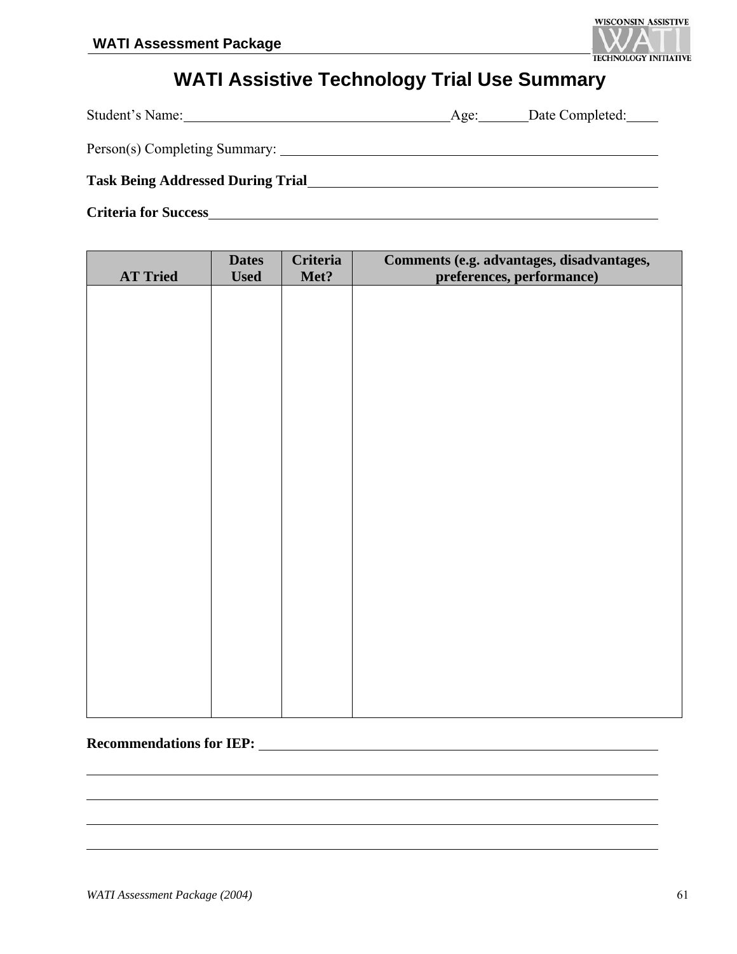

## **WATI Assistive Technology Trial Use Summary**

| Student's Name:                          | Age: | Date Completed: |
|------------------------------------------|------|-----------------|
| Person(s) Completing Summary:            |      |                 |
| <b>Task Being Addressed During Trial</b> |      |                 |
| <b>Criteria for Success</b>              |      |                 |

| <b>AT Tried</b> | <b>Dates</b><br><b>Used</b> | <b>Criteria</b><br>Met? | Comments (e.g. advantages, disadvantages,<br>preferences, performance) |
|-----------------|-----------------------------|-------------------------|------------------------------------------------------------------------|
|                 |                             |                         |                                                                        |
|                 |                             |                         |                                                                        |
|                 |                             |                         |                                                                        |
|                 |                             |                         |                                                                        |
|                 |                             |                         |                                                                        |
|                 |                             |                         |                                                                        |
|                 |                             |                         |                                                                        |
|                 |                             |                         |                                                                        |
|                 |                             |                         |                                                                        |
|                 |                             |                         |                                                                        |
|                 |                             |                         |                                                                        |
|                 |                             |                         |                                                                        |
|                 |                             |                         |                                                                        |
|                 |                             |                         |                                                                        |
|                 |                             |                         |                                                                        |
|                 |                             |                         |                                                                        |
|                 |                             |                         |                                                                        |

#### **Recommendations for IEP:**